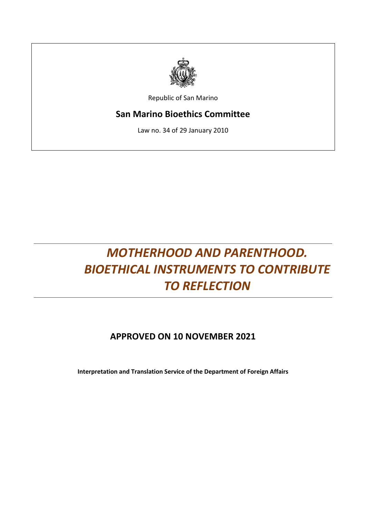

Republic of San Marino

# **San Marino Bioethics Committee**

Law no. 34 of 29 January 2010

# *MOTHERHOOD AND PARENTHOOD. BIOETHICAL INSTRUMENTS TO CONTRIBUTE TO REFLECTION*

# **APPROVED ON 10 NOVEMBER 2021**

**Interpretation and Translation Service of the Department of Foreign Affairs**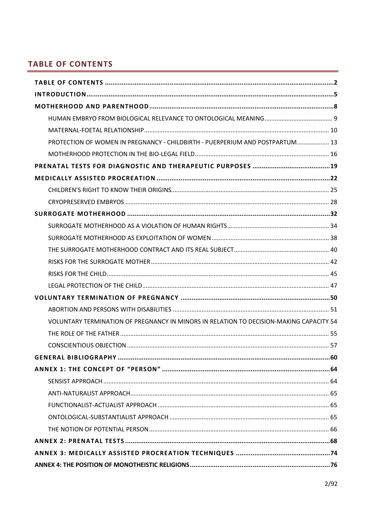# <span id="page-1-0"></span>**TABLE OF CONTENTS**

| PROTECTION OF WOMEN IN PREGNANCY - CHILDBIRTH - PUERPERIUM AND POSTPARTUM 13            |  |
|-----------------------------------------------------------------------------------------|--|
|                                                                                         |  |
|                                                                                         |  |
|                                                                                         |  |
|                                                                                         |  |
|                                                                                         |  |
|                                                                                         |  |
|                                                                                         |  |
|                                                                                         |  |
|                                                                                         |  |
|                                                                                         |  |
|                                                                                         |  |
|                                                                                         |  |
|                                                                                         |  |
|                                                                                         |  |
| VOLUNTARY TERMINATION OF PREGNANCY IN MINORS IN RELATION TO DECISION-MAKING CAPACITY 54 |  |
|                                                                                         |  |
|                                                                                         |  |
|                                                                                         |  |
|                                                                                         |  |
|                                                                                         |  |
|                                                                                         |  |
|                                                                                         |  |
|                                                                                         |  |
|                                                                                         |  |
|                                                                                         |  |
|                                                                                         |  |
|                                                                                         |  |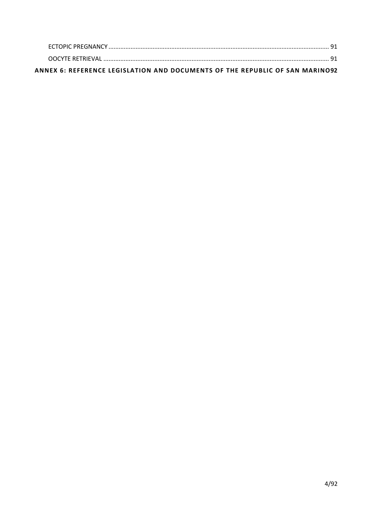| ANNEX 6: REFERENCE LEGISLATION AND DOCUMENTS OF THE REPUBLIC OF SAN MARINO92 |  |
|------------------------------------------------------------------------------|--|
|                                                                              |  |
|                                                                              |  |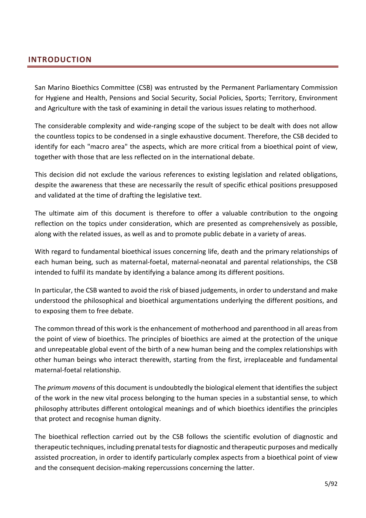## <span id="page-4-0"></span>**INTRODUCTION**

San Marino Bioethics Committee (CSB) was entrusted by the Permanent Parliamentary Commission for Hygiene and Health, Pensions and Social Security, Social Policies, Sports; Territory, Environment and Agriculture with the task of examining in detail the various issues relating to motherhood.

The considerable complexity and wide-ranging scope of the subject to be dealt with does not allow the countless topics to be condensed in a single exhaustive document. Therefore, the CSB decided to identify for each "macro area" the aspects, which are more critical from a bioethical point of view, together with those that are less reflected on in the international debate.

This decision did not exclude the various references to existing legislation and related obligations, despite the awareness that these are necessarily the result of specific ethical positions presupposed and validated at the time of drafting the legislative text.

The ultimate aim of this document is therefore to offer a valuable contribution to the ongoing reflection on the topics under consideration, which are presented as comprehensively as possible, along with the related issues, as well as and to promote public debate in a variety of areas.

With regard to fundamental bioethical issues concerning life, death and the primary relationships of each human being, such as maternal-foetal, maternal-neonatal and parental relationships, the CSB intended to fulfil its mandate by identifying a balance among its different positions.

In particular, the CSB wanted to avoid the risk of biased judgements, in order to understand and make understood the philosophical and bioethical argumentations underlying the different positions, and to exposing them to free debate.

The common thread of this work is the enhancement of motherhood and parenthood in all areas from the point of view of bioethics. The principles of bioethics are aimed at the protection of the unique and unrepeatable global event of the birth of a new human being and the complex relationships with other human beings who interact therewith, starting from the first, irreplaceable and fundamental maternal-foetal relationship.

The *primum movens* of this document is undoubtedly the biological element that identifies the subject of the work in the new vital process belonging to the human species in a substantial sense, to which philosophy attributes different ontological meanings and of which bioethics identifies the principles that protect and recognise human dignity.

The bioethical reflection carried out by the CSB follows the scientific evolution of diagnostic and therapeutic techniques, including prenatal tests for diagnostic and therapeutic purposes and medically assisted procreation, in order to identify particularly complex aspects from a bioethical point of view and the consequent decision-making repercussions concerning the latter.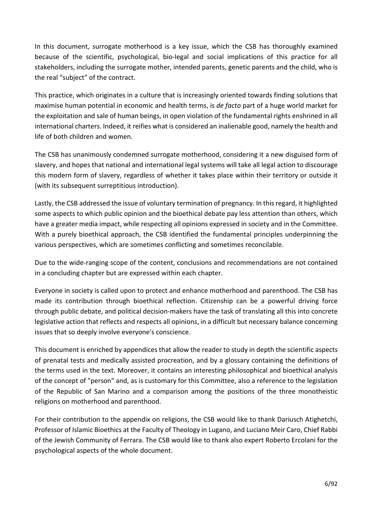In this document, surrogate motherhood is a key issue, which the CSB has thoroughly examined because of the scientific, psychological, bio-legal and social implications of this practice for all stakeholders, including the surrogate mother, intended parents, genetic parents and the child, who is the real "subject" of the contract.

This practice, which originates in a culture that is increasingly oriented towards finding solutions that maximise human potential in economic and health terms, is *de facto* part of a huge world market for the exploitation and sale of human beings, in open violation of the fundamental rights enshrined in all international charters. Indeed, it reifies what is considered an inalienable good, namely the health and life of both children and women.

The CSB has unanimously condemned surrogate motherhood, considering it a new disguised form of slavery, and hopes that national and international legal systems will take all legal action to discourage this modern form of slavery, regardless of whether it takes place within their territory or outside it (with its subsequent surreptitious introduction).

Lastly, the CSB addressed the issue of voluntary termination of pregnancy. In this regard, it highlighted some aspects to which public opinion and the bioethical debate pay less attention than others, which have a greater media impact, while respecting all opinions expressed in society and in the Committee. With a purely bioethical approach, the CSB identified the fundamental principles underpinning the various perspectives, which are sometimes conflicting and sometimes reconcilable.

Due to the wide-ranging scope of the content, conclusions and recommendations are not contained in a concluding chapter but are expressed within each chapter.

Everyone in society is called upon to protect and enhance motherhood and parenthood. The CSB has made its contribution through bioethical reflection. Citizenship can be a powerful driving force through public debate, and political decision-makers have the task of translating all this into concrete legislative action that reflects and respects all opinions, in a difficult but necessary balance concerning issues that so deeply involve everyone's conscience.

This document is enriched by appendices that allow the reader to study in depth the scientific aspects of prenatal tests and medically assisted procreation, and by a glossary containing the definitions of the terms used in the text. Moreover, it contains an interesting philosophical and bioethical analysis of the concept of "person" and, as is customary for this Committee, also a reference to the legislation of the Republic of San Marino and a comparison among the positions of the three monotheistic religions on motherhood and parenthood.

For their contribution to the appendix on religions, the CSB would like to thank Dariusch Atighetchi, Professor of Islamic Bioethics at the Faculty of Theology in Lugano, and Luciano Meir Caro, Chief Rabbi of the Jewish Community of Ferrara. The CSB would like to thank also expert Roberto Ercolani for the psychological aspects of the whole document.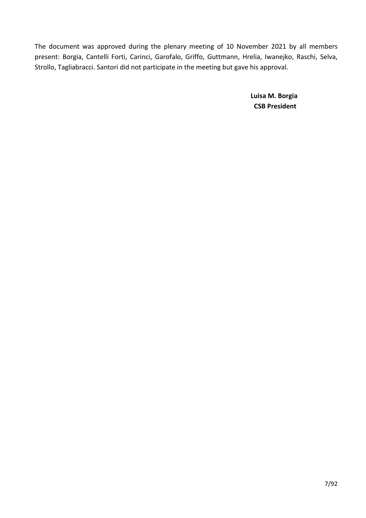The document was approved during the plenary meeting of 10 November 2021 by all members present: Borgia, Cantelli Forti, Carinci, Garofalo, Griffo, Guttmann, Hrelia, Iwanejko, Raschi, Selva, Strollo, Tagliabracci. Santori did not participate in the meeting but gave his approval.

> **Luisa M. Borgia CSB President**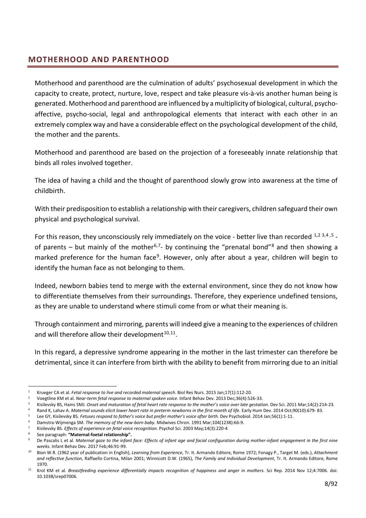## <span id="page-7-0"></span>**MOTHERHOOD AND PARENTHOOD**

Motherhood and parenthood are the culmination of adults' psychosexual development in which the capacity to create, protect, nurture, love, respect and take pleasure vis-à-vis another human being is generated. Motherhood and parenthood are influenced by a multiplicity of biological, cultural, psychoaffective, psycho-social, legal and anthropological elements that interact with each other in an extremely complex way and have a considerable effect on the psychological development of the child, the mother and the parents.

Motherhood and parenthood are based on the projection of a foreseeably innate relationship that binds all roles involved together.

The idea of having a child and the thought of parenthood slowly grow into awareness at the time of childbirth.

With their predisposition to establish a relationship with their caregivers, children safeguard their own physical and psychological survival.

For this reason, they unconsciously rely immediately on the voice - better live than recorded  $^{1,2}$  $^{1,2}$  $^{1,2}$  $^{1,2}$  [3,](#page-7-3)[4](#page-7-4),[5](#page-7-5) -of parents – but mainly of the mother<sup>[6,](#page-7-6)[7](#page-7-7)</sup>- by continuing the "prenatal bond"<sup>[8](#page-7-8)</sup> and then showing a marked preference for the human face<sup>9</sup>. However, only after about a year, children will begin to identify the human face as not belonging to them.

Indeed, newborn babies tend to merge with the external environment, since they do not know how to differentiate themselves from their surroundings. Therefore, they experience undefined tensions, as they are unable to understand where stimuli come from or what their meaning is.

Through containment and mirroring, parents will indeed give a meaning to the experiences of children .and will therefore allow their development $10,11$  $10,11$ .

In this regard, a depressive syndrome appearing in the mother in the last trimester can therefore be detrimental, since it can interfere from birth with the ability to benefit from mirroring due to an initial

<span id="page-7-1"></span><sup>1</sup> Krueger CA et al. *Fetal response to live and recorded maternal speech*. Biol Res Nurs. 2015 Jan;17(1):112-20.

<span id="page-7-2"></span><sup>2</sup> Voegtline KM et al. *Near-term fetal response to maternal spoken voice*. Infant Behav Dev. 2013 Dec;36(4):526-33.

<sup>3</sup> Kisilevsky BS, Hains SMJ. *Onset and maturation of fetal heart rate response to the mother's voice over late gestation*. Dev Sci. 2011 Mar;14(2):214-23.

<span id="page-7-5"></span><span id="page-7-4"></span><span id="page-7-3"></span>Rand K, Lahav A. *Maternal sounds elicit lower heart rate in preterm newborns in the first month of life*. Early Hum Dev. 2014 Oct;90(10):679-83.

Lee GY, Kisilevsky BS. *Fetuses respond to father's voice but prefer mother's voice after birth*. Dev Psychobiol. 2014 Jan;56(1):1-11.

<span id="page-7-6"></span><sup>6</sup> Damstra-Wijmenga SM. *The memory of the new-born baby.* Midwives Chron. 1991 Mar;104(1238):66-9. <sup>7</sup> Kisilevsky BS*. Effects of experience on fetal voice recognition*. Psychol Sci. 2003 May;14(3):220-4

<span id="page-7-8"></span><span id="page-7-7"></span><sup>8</sup> See paragraph: **"Maternal-foetal relationship".**

<span id="page-7-9"></span>De Pascalis L et al. Maternal gaze to the infant face: Effects of infant age and facial configuration during mother-infant engagement in the first nine *weeks.* Infant Behav Dev. 2017 Feb;46:91-99.

<span id="page-7-10"></span><sup>10</sup> Bion W.R. (1962 year of publication in English), *Learning from Experience*, Tr. It. Armando Editore, Rome 1972; Fonagy P., Target M. (eds.), *Attachment and reflective function*, Raffaello Cortina, Milan 2001; Winnicott D.W. (1965), *The Family and Individual Development*, Tr. It. Armando Editore, Rome 1970.

<span id="page-7-11"></span><sup>11</sup> Krol KM et al*. Breastfeeding experience differentially impacts recognition of happiness and anger in mothers.* Sci Rep. 2014 Nov 12;4:7006. doi: 10.1038/srep07006.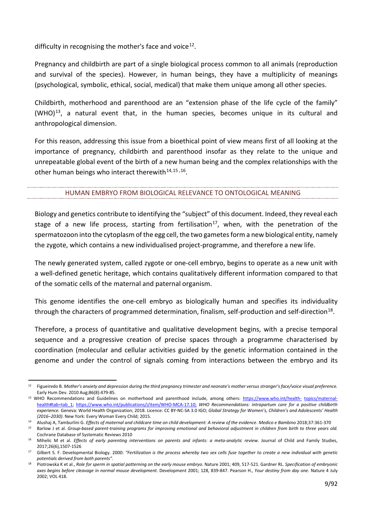difficulty in recognising the mother's face and voice<sup>[12](#page-8-1)</sup>.

Pregnancy and childbirth are part of a single biological process common to all animals (reproduction and survival of the species). However, in human beings, they have a multiplicity of meanings (psychological, symbolic, ethical, social, medical) that make them unique among all other species.

Childbirth, motherhood and parenthood are an "extension phase of the life cycle of the family"  $(WHO)^{13}$ , a natural event that, in the human species, becomes unique in its cultural and anthropological dimension.

For this reason, addressing this issue from a bioethical point of view means first of all looking at the importance of pregnancy, childbirth and parenthood insofar as they relate to the unique and unrepeatable global event of the birth of a new human being and the complex relationships with the other human beings who interact therewith $14,15,16$  $14,15,16$  $14,15,16$  $14,15,16$ .

#### HUMAN EMBRYO FROM BIOLOGICAL RELEVANCE TO ONTOLOGICAL MEANING

<span id="page-8-0"></span>Biology and genetics contribute to identifying the "subject" of this document. Indeed, they reveal each stage of a new life process, starting from fertilisation<sup>17</sup>, when, with the penetration of the spermatozoon into the cytoplasm of the egg cell, the two gametes form a new biological entity, namely the zygote, which contains a new individualised project-programme, and therefore a new life.

The newly generated system, called zygote or one-cell embryo, begins to operate as a new unit with a well-defined genetic heritage, which contains qualitatively different information compared to that of the somatic cells of the maternal and paternal organism.

This genome identifies the one-cell embryo as biologically human and specifies its individuality through the characters of programmed determination, finalism, self-production and self-direction<sup>18</sup>.

Therefore, a process of quantitative and qualitative development begins, with a precise temporal sequence and a progressive creation of precise spaces through a programme characterised by coordination (molecular and cellular activities guided by the genetic information contained in the genome and under the control of signals coming from interactions between the embryo and its

<span id="page-8-1"></span><sup>12</sup> Figueiredo B. *Mother's anxiety and depression during the third pregnancy trimester and neonate's mother versus stranger's face/voice visual preference.*  Early Hum Dev. 2010 Aug;86(8):479-85.

<span id="page-8-2"></span><sup>&</sup>lt;sup>13</sup> WHO Recommendations and Guidelines on motherhood and parenthood include, among others: [https://www.who.int/health-](https://www.who.int/health-topics/maternal-health%23tab%3Dtab_1) [topics/maternal](https://www.who.int/health-topics/maternal-health%23tab%3Dtab_1)[health#tab=tab\\_1;](https://www.who.int/health-topics/maternal-health%23tab%3Dtab_1) [https://www.who.int/publications/i/item/WHO-MCA-17.10;](https://www.who.int/publications/i/item/WHO-MCA-17.10) *WHO Recommendations: intrapartum care for a positive childbirth experience.* Geneva: World Health Organization; 2018. Licence: CC BY-NC-SA 3.0 IGO; *Global Strategy for Women's, Children's and Adolescents' Health (2016–2030)*. New York: Every Woman Every Child; 2015.

<span id="page-8-4"></span><span id="page-8-3"></span><sup>14</sup> Alushaj A, Tamburlini G. *Effects of maternal and childcare time on child development: A review of the evidence*. *Medico e Bambino* 2018;37:361-370

Barlow J et al. Group-based parent-training programs for improving emotional and behavioral adjustment in children from birth to three years old. Cochrane Database of Systematic Reviews 2010

<span id="page-8-5"></span><sup>16</sup> Mihelic M et al. *Effects of early parenting interventions on parents and infants: a meta-analytic review*. Journal of Child and Family Studies, 2017;26(6),1507-1526

<span id="page-8-6"></span><sup>17</sup> Gilbert S. F. Developmental Biology. 2000: *"Fertilization is the process whereby two sex cells fuse together to create a new individual with genetic potentials derived from both parents".*

<span id="page-8-7"></span><sup>18</sup> Piotrowska K et al., *Role for sperm in spatial patterning on the early mouse embryo*. Nature 2001; 409, 517-521. Gardner RL. *Specification of embryonic axes begins before cleavage in normal mouse development*. Development 2001; 128, 839-847. Pearson H., *Your destiny from day one*. Nature 4 July 2002; VOL 418.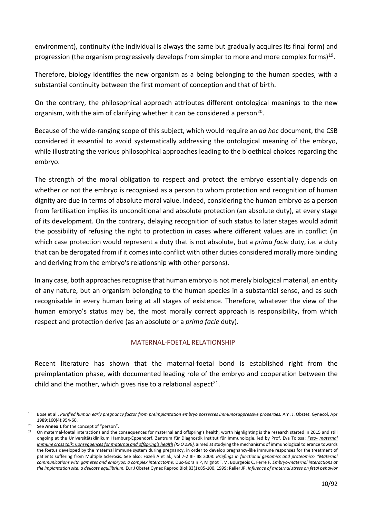environment), continuity (the individual is always the same but gradually acquires its final form) and progression (the organism progressively develops from simpler to more and more complex forms) $19$ .

Therefore, biology identifies the new organism as a being belonging to the human species, with a substantial continuity between the first moment of conception and that of birth.

On the contrary, the philosophical approach attributes different ontological meanings to the new organism, with the aim of clarifying whether it can be considered a person<sup>[20](#page-9-2)</sup>.

Because of the wide-ranging scope of this subject, which would require an *ad hoc* document, the CSB considered it essential to avoid systematically addressing the ontological meaning of the embryo, while illustrating the various philosophical approaches leading to the bioethical choices regarding the embryo.

The strength of the moral obligation to respect and protect the embryo essentially depends on whether or not the embryo is recognised as a person to whom protection and recognition of human dignity are due in terms of absolute moral value. Indeed, considering the human embryo as a person from fertilisation implies its unconditional and absolute protection (an absolute duty), at every stage of its development. On the contrary, delaying recognition of such status to later stages would admit the possibility of refusing the right to protection in cases where different values are in conflict (in which case protection would represent a duty that is not absolute, but a *prima facie* duty, i.e. a duty that can be derogated from if it comes into conflict with other duties considered morally more binding and deriving from the embryo's relationship with other persons).

In any case, both approaches recognise that human embryo is not merely biological material, an entity of any nature, but an organism belonging to the human species in a substantial sense, and as such recognisable in every human being at all stages of existence. Therefore, whatever the view of the human embryo's status may be, the most morally correct approach is responsibility, from which respect and protection derive (as an absolute or a *prima facie* duty).

#### MATERNAL-FOETAL RELATIONSHIP

<span id="page-9-0"></span>Recent literature has shown that the maternal-foetal bond is established right from the preimplantation phase, with documented leading role of the embryo and cooperation between the child and the mother, which gives rise to a relational aspect<sup>[21](#page-9-3)</sup>.

<span id="page-9-1"></span>Bose et al., Purified human early pregnancy factor from preimplantation embryo possesses immunosuppressive properties. Am. J. Obstet. Gynecol, Apr 1989;160(4):954-60.

<span id="page-9-2"></span>See Annex 1 for the concept of "person".

<span id="page-9-3"></span><sup>21</sup> On maternal-foetal interactions and the consequences for maternal and offspring's health, worth highlighting is the research started in 2015 and still ongoing at the Universitätsklinikum Hamburg-Eppendorf. Zentrum für Diagnostik Institut für Immunologie, led by Prof. Eva Tolosa: *[Feto-](https://www.uke.de/kliniken-institute/kliniken/geburtshilfe-und-pr%C3%A4natalmedizin/forschung/projekte-studien/kfo296-dt.html) [maternal](https://www.uke.de/kliniken-institute/kliniken/geburtshilfe-und-pr%C3%A4natalmedizin/forschung/projekte-studien/kfo296-dt.html)  [immune cross talk:](https://www.uke.de/kliniken-institute/kliniken/geburtshilfe-und-pr%C3%A4natalmedizin/forschung/projekte-studien/kfo296-dt.html) [Consequences for maternal and offspring's health](https://www.uke.de/kliniken-institute/kliniken/geburtshilfe-und-pr%C3%A4natalmedizin/forschung/projekte-studien/kfo296-dt.html) (KFO 296),* aimed at studying the mechanisms of immunological tolerance towards the foetus developed by the maternal immune system during pregnancy, in order to develop pregnancy-like immune responses for the treatment of patients suffering from Multiple Sclerosis. See also: Fazeli A et al.; vol 7-2 III- II8 2008: *Briefings in functional genomics and proteomics- "Maternal communications with gametes and embryos: a complex interactome;* Duc-Gorain P, Mignot T.M, Bourgeois C, Ferre F. *Embryo-maternal interactions at the implantation site: a delicate equilibrium.* Eur J Obstet Gynec Reprod Biol;83(1):85-100, 1999; Relier JP. *Influence of maternal stress on fetal behavior*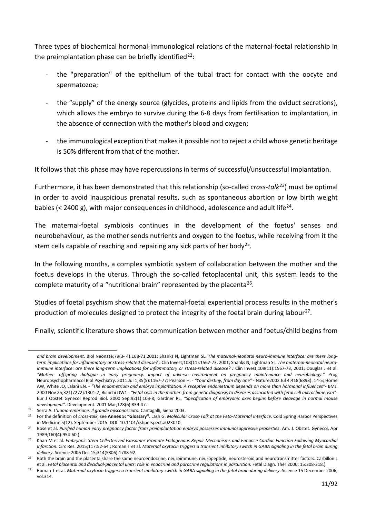Three types of biochemical hormonal-immunological relations of the maternal-foetal relationship in the preimplantation phase can be briefly identified<sup>[22](#page-10-0)</sup>:

- the "preparation" of the epithelium of the tubal tract for contact with the oocyte and spermatozoa;
- the "supply" of the energy source (glycides, proteins and lipids from the oviduct secretions), which allows the embryo to survive during the 6-8 days from fertilisation to implantation, in the absence of connection with the mother's blood and oxygen;
- the immunological exception that makes it possible not to reject a child whose genetic heritage is 50% different from that of the mother.

It follows that this phase may have repercussions in terms of successful/unsuccessful implantation.

Furthermore, it has been demonstrated that this relationship (so-called *cross-talk[23](#page-10-1)*) must be optimal in order to avoid inauspicious prenatal results, such as spontaneous abortion or low birth weight babies ( $\leq$  [24](#page-10-2)00 g), with major consequences in childhood, adolescence and adult life<sup>24</sup>.

The maternal-foetal symbiosis continues in the development of the foetus' senses and neurobehaviour, as the mother sends nutrients and oxygen to the foetus, while receiving from it the stem cells capable of reaching and repairing any sick parts of her body<sup>25</sup>.

In the following months, a complex symbiotic system of collaboration between the mother and the foetus develops in the uterus. Through the so-called fetoplacental unit, this system leads to the complete maturity of a "nutritional brain" represented by the placenta<sup>[26](#page-10-4)</sup>.

Studies of foetal psychism show that the maternal-foetal experiential process results in the mother's production of molecules designed to protect the integrity of the foetal brain during labour<sup>27</sup>.

Finally, scientific literature shows that communication between mother and foetus/child begins from

*and brain development*. Biol Neonate;79(3- 4):168-71,2001; Shanks N, Lightman SL. *The maternal-neonatal neuro-immune interface: are there longterm implications for inflammatory or stress-related disease?* J Clin Invest;108(11):1567-73, 2001; Shanks N, Lightman SL. *The maternal-neonatal neuroimmune interface: are there long-term implications for inflammatory or stress-related disease?* J Clin Invest;108(11):1567-73, 2001; Douglas J et al. *"Mother- offspring dialogue in early pregnancy: impact of adverse environment on pregnancy maintenance and neurobiology."* Prog Neuropsychopharmacol Biol Psychiatry. 2011 Jul 1;35(5):1167-77; Pearson H. - *"Your destiny, from day one"* - Nature2002 Jul 4;418(6893): 14-5; Horne AW, White JO, Lalani EN. - *"The endometrium and embryo implantation. A receptive endometrium depends on more than hormonal influences"*- BMJ. 2000 Nov 25;321(7272):1301-2; Bianchi DW1 - *"Fetal cells in the mother: from genetic diagnosis to diseases associated with fetal cell microchimerism"*- Eur J Obstet Gynecol Reprod Biol. 2000 Sep;92(1):103-8; Gardner RL. *"Specification of embryonic axes begins before cleavage in normal mouse development".* Development. 2001 Mar;128(6):839-47.

<sup>22</sup> Serra A. *L'uomo-embrione. Il grande misconosciuto.* Cantagalli, Siena 2003.

<span id="page-10-1"></span><span id="page-10-0"></span><sup>23</sup> For the definition of *cross-talk*, see **Annex 5: "Glossary"**. Lash G. *Molecular Cross-Talk at the Feto-Maternal Interface.* [Cold Spring](https://www.researchgate.net/journal/Cold-Spring-Harbor-Perspectives-in-Medicine-2157-1422) [Harbor Perspectives](https://www.researchgate.net/journal/Cold-Spring-Harbor-Perspectives-in-Medicine-2157-1422)  [in Medicine](https://www.researchgate.net/journal/Cold-Spring-Harbor-Perspectives-in-Medicine-2157-1422) 5(12). September 2015. DOI[: 10.1101/cshperspect.a023010.](https://www.researchgate.net/deref/http%3A%2F%2Fdx.doi.org%2F10.1101%2Fcshperspect.a023010)

<span id="page-10-2"></span><sup>24</sup> Bose et al. *Purified human early pregnancy factor from preimplantation embryo possesses immunosuppresive properties*. Am. J. Obstet. Gynecol, Apr 1989;160(4):954-60.)

<span id="page-10-3"></span><sup>25</sup> Khan M et al. *Embryonic Stem Cell–Derived Exosomes Promote Endogenous Repair Mechanisms and Enhance Cardiac Function Following Myocardial Infarction*. Circ Res. 2015;117:52-64.; Roman T et al. *Maternal oxytocin triggers a transient inhibitory switch in GABA signaling in the fetal brain during delivery*. Science 2006 Dec 15;314(5806):1788-92.

<span id="page-10-4"></span><sup>&</sup>lt;sup>26</sup> Both the brain and the placenta share the same neuroendocrine, neuroimmune, neuropeptide, neurosteroid and neurotransmitter factors. Carbillon L et al. *Fetal placental and decidual-placental units: role in endocrine and paracrine regulations in parturition*. Fetal Diagn. Ther 2000; 15:308-318.)

<span id="page-10-5"></span><sup>27</sup> Roman T et al. *Maternal oxytocin triggers a transient inhibitory switch in GABA signaling in the fetal brain during delivery*. Science 15 December 2006; vol.314.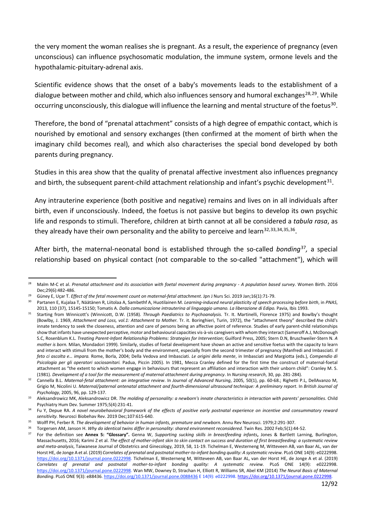the very moment the woman realises she is pregnant. As a result, the experience of pregnancy (even unconscious) can influence psychosomatic modulation, the immune system, ormone levels and the hypothalamic-pituitary-adrenal axis.

Scientific evidence shows that the onset of a baby's movements leads to the establishment of a dialogue between mother and child, which also influences sensory and humoral exchanges<sup>[28,](#page-11-0)29</sup>. While occurring unconsciously, this dialogue will influence the learning and mental structure of the foetus<sup>30</sup>.

Therefore, the bond of "prenatal attachment" consists of a high degree of empathic contact, which is nourished by emotional and sensory exchanges (then confirmed at the moment of birth when the imaginary child becomes real), and which also characterises the special bond developed by both parents during pregnancy.

Studies in this area show that the quality of prenatal affective investment also influences pregnancy and birth, the subsequent parent-child attachment relationship and infant's psychic development<sup>[31](#page-11-3)</sup>.

Any intrauterine experience (both positive and negative) remains and lives on in all individuals after birth, even if unconsciously. Indeed, the foetus is not passive but begins to develop its own psychic life and responds to stimuli. Therefore, children at birth cannot at all be considered a *tabula rasa*, as they already have their own personality and the ability to perceive and learn  $32,33,34,35,36$  $32,33,34,35,36$  $32,33,34,35,36$  $32,33,34,35,36$  $32,33,34,35,36$  $32,33,34,35,36$ .

After birth, the maternal-neonatal bond is established through the so-called *bonding*[37](#page-11-9)*,* a special relationship based on physical contact (not comparable to the so-called "attachment"), which will

<span id="page-11-0"></span><sup>28</sup> Malm M-C et al. *Prenatal attachment and its association with foetal movement during pregnancy - A population based survey*. Women Birth. 2016 Dec;29(6):482-486.

<sup>29</sup> Güney E, Uçar T. *Effect of the fetal movement count on maternal-fetal attachment*. Jpn J Nurs Sci. 2019 Jan;16(1):71-79.

<span id="page-11-2"></span><span id="page-11-1"></span><sup>30</sup> Partanen E, Kujalaa T, Näätänen R, Liitolaa A, Sambethf A, Huotilainen M. *Learning-induced neural plasticity of speech processing before birth*, in *PNAS*, 2013, 110 (37), 15145-15150; Tomatis A. *Dalla comunicazione intrauterina al linguaggio umano. La liberazione di Edipo. Pavia*, Ibis 1993.

<span id="page-11-3"></span><sup>31</sup> Starting from Winnicott's (Winnicott, D.W. (1958). *Through Paediatrics to Psychoanalysis.* Tr. It. Martinelli, Florence 1975) and Bowlby's thought (Bowlby, J. 1969, *Attachment and Loss, vol.1: Attachment to Mother.* Tr. it. Boringhieri, Turin, 1972), the "attachment theory" described the child's innate tendency to seek the closeness, attention and care of persons being an affective point of reference. Studies of early parent-child relationships show that infants have unexpected perceptive, motor and behavioural capacities vis-à-vis caregivers with whom they interact (Sameroff A.J, McDonough S.C, Rosenblum K.L. *Treating Parent-Infant Relationship Problems: Strategies for Intervention*; Guilford Press, 2005; Stern D.N, Bruschweiler-Stern N. *A mother is born.* Milan, Mondadori 1999). Similarly, studies of foetal development have shown an active and sensitive foetus with the capacity to learn and interact with stimuli from the mother's body and the environment, especially from the second trimester of pregnancy (Manfredi and Imbasciati. *Il feto ci ascolta e… impara.* Rome, Borla, 2004; Della Vedova and Imbasciati. *Le origini della mente*, in Imbasciati and Margiotta (eds.), *Compendio di Psicologia per gli operatori sociosanitari.* Padua, Piccin 2005). In 1981, Mecca Cranley defined for the first time the construct of maternal-foetal attachment as "the extent to which women engage in behaviours that represent an affiliation and interaction with their unborn child": Cranley M. S. (1981). *Development of a tool for the measurement of maternal attachment during pregnancy*. In *Nursing research*, 30, pp. 281-284).

<span id="page-11-4"></span><sup>32</sup> Cannella B.L. *Maternal-fetal attachment: an integrative review*. In *Journal of Advanced Nursing*, 2005*,* 50(1), pp. 60-68.; Righetti P.L, DellAvanzo M, Grigio M, Nicolini U. *Maternal/paternal antenatal attachment and fourth-dimensional ultrasound technique: A preliminary report*. In *British Journal of Psychology*, 2005, 96, pp. 129-137.

<span id="page-11-5"></span><sup>33</sup> Aleksandrowicz MK, Aleksandrowicz DR. *The molding of personality: a newborn's innate characteristics in interaction with parents' personalities*. Child Psychiatry Hum Dev. Summer 1975;5(4):231-41.

<span id="page-11-6"></span><sup>34</sup> Fu Y, Depue RA. *A novel neurobehavioral framework of the effects of positive early postnatal experience on incentive and consummatory reward sensitivity.* Neurosci Biobehav Rev. 2019 Dec;107:615-640.

<sup>&</sup>lt;sup>35</sup> Wolff PH, Ferber R. *The development of behavior in human infants, premature and newborn.* Annu Rev Neurosci. 1979;2:291-307.

<span id="page-11-9"></span><span id="page-11-8"></span><span id="page-11-7"></span><sup>36</sup> Torgersen AM, Janson H. *Why do identical twins differ in personality: shared environment reconsidered*. Twin Res. 2002 Feb;5(1):44-52.

<sup>37</sup> For the definition see **Annex 5: "Glossary".** Genna W, *Supporting sucking skills in breastfeeding infants***,** Jones & Bartlett Larning, Burlington, Massachusetts, 2016; Karimi Z et al. *The effect of mother-infant skin to skin contact on success and duration of first breastfeeding: a systematic review and meta-analysis*, Taiwanese Journal of Obstetrics and Ginecology, 2019, 58, 11-19. Tichelman E, Westerneng M, Witteveen AB, van Baar AL, van der Horst HE, de Jonge A et al. (2019) Correlates of prenatal and postnatal mother-to-infant bonding quality: A systematic review. PLoS ONE 14(9): e0222998. [https://doi.org/10.1371/journal.pone.0222998.](https://doi.org/10.1371/journal.pone.0222998) Tichelman E, Westerneng M, Witteveen AB, van Baar AL, van der Horst HE, de Jonge A et al. (2019) *Correlates of prenatal and postnatal mother-to-infant bonding quality: A systematic review.* PLoS ONE 14(9): e0222998. [https://doi.org/10.1371/journal.pone.0222998.](https://doi.org/10.1371/journal.pone.0222998) Wan MW, Downey D, Strachan H, Elliott R, Williams SR, Abel KM (2014) *The Neural Basis of Maternal Bonding*. PLoS ONE 9(3): e88436[. https://doi.org/10.1371/journal.pone.0088436](https://doi.org/10.1371/journal.pone.0088436) E 14(9): e0222998[. https://doi.org/10.1371/journal.pone.0222998.](https://doi.org/10.1371/journal.pone.0222998)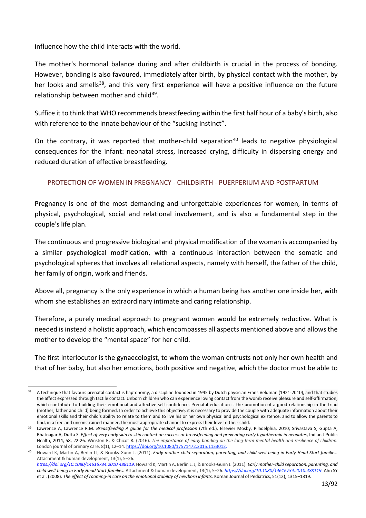influence how the child interacts with the world.

The mother's hormonal balance during and after childbirth is crucial in the process of bonding. However, bonding is also favoured, immediately after birth, by physical contact with the mother, by her looks and smells<sup>[38](#page-12-1)</sup>, and this very first experience will have a positive influence on the future relationship between mother and child<sup>[39](#page-12-2)</sup>.

Suffice it to think that WHO recommends breastfeeding within the first half hour of a baby's birth, also with reference to the innate behaviour of the "sucking instinct".

On the contrary, it was reported that mother-child separation<sup>[40](#page-12-3)</sup> leads to negative physiological consequences for the infant: neonatal stress, increased crying, difficulty in dispersing energy and reduced duration of effective breastfeeding.

#### <span id="page-12-0"></span>PROTECTION OF WOMEN IN PREGNANCY - CHILDBIRTH - PUERPERIUM AND POSTPARTUM

Pregnancy is one of the most demanding and unforgettable experiences for women, in terms of physical, psychological, social and relational involvement, and is also a fundamental step in the couple's life plan.

The continuous and progressive biological and physical modification of the woman is accompanied by a similar psychological modification, with a continuous interaction between the somatic and psychological spheres that involves all relational aspects, namely with herself, the father of the child, her family of origin, work and friends.

Above all, pregnancy is the only experience in which a human being has another one inside her, with whom she establishes an extraordinary intimate and caring relationship.

Therefore, a purely medical approach to pregnant women would be extremely reductive. What is needed is instead a holistic approach, which encompasses all aspects mentioned above and allows the mother to develop the "mental space" for her child.

The first interlocutor is the gynaecologist, to whom the woman entrusts not only her own health and that of her baby, but also her emotions, both positive and negative, which the doctor must be able to

<span id="page-12-1"></span><sup>38</sup> A technique that favours prenatal contact is haptonomy, a discipline founded in 1945 by Dutch physician Frans Veldman (1921-2010), and that studies the affect expressed through tactile contact. Unborn children who can experience loving contact from the womb receive pleasure and self-affirmation, which contribute to building their emotional and affective self-confidence. Prenatal education is the promotion of a good relationship in the triad (mother, father and child) being formed. In order to achieve this objective, it is necessary to provide the couple with adequate information about their emotional skills and their child's ability to relate to them and to live his or her own physical and psychological existence, and to allow the parents to find, in a free and unconstrained manner, the most appropriate channel to express their love to their child.

<span id="page-12-2"></span><sup>39</sup> Lawrence A, Lawrence R.M. *Breastfeeding A guide for the medical profession* (7th ed.), Elsevier Mosby, Piladelphia, 2010; Srivastava S, Gupta A, Bhatnagar A, Dutta S. *Effect of very early skin to skin contact on success at breastfeeding and preventing early hypothermia in neonates*, Indian J Public Health, 2014, 58, 22-26. Winston R, & Chicot R. (2016). *The importance of early bonding on the long-term mental health and resilience of children.*  London journal of primary care, 8(1), 12-14[. https://doi.org/10.1080/17571472.2015.1133012.](https://doi.org/10.1080/17571472.2015.1133012)

<span id="page-12-3"></span>Howard K, Martin A, Berlin LJ, & Brooks-Gunn J. (2011). *Early mother-child separation, parenting, and child well-being in Early Head Start families.* Attachment & human development, 13(1), 5–26.

*<https://doi.org/10.1080/14616734.2010.488119.>* Howard K, Martin A, Berlin L. J, & Brooks-Gunn J. (2011). *Early mother-child separation, parenting, and child well-being in Early Head Start families.* Attachment & human development, 13(1), 5–26. *[https://doi.org/10.1080/14616734.2010.488119.](https://doi.org/10.1080/14616734.2010.488119)* Ahn SY et al. (2008). *The effect of rooming‐in care on the emotional stability of newborn infants.* Korean Journal of Pediatrics, 51(12), 1315**–**1319.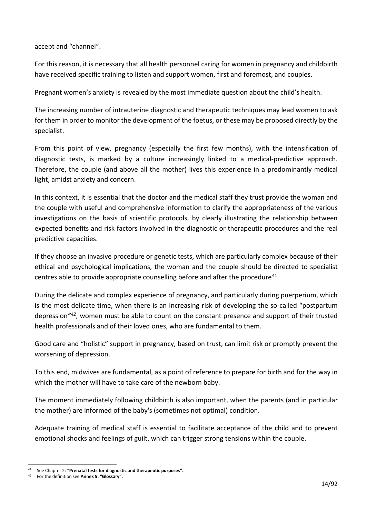accept and "channel".

For this reason, it is necessary that all health personnel caring for women in pregnancy and childbirth have received specific training to listen and support women, first and foremost, and couples.

Pregnant women's anxiety is revealed by the most immediate question about the child's health.

The increasing number of intrauterine diagnostic and therapeutic techniques may lead women to ask for them in order to monitor the development of the foetus, or these may be proposed directly by the specialist.

From this point of view, pregnancy (especially the first few months), with the intensification of diagnostic tests, is marked by a culture increasingly linked to a medical-predictive approach. Therefore, the couple (and above all the mother) lives this experience in a predominantly medical light, amidst anxiety and concern.

In this context, it is essential that the doctor and the medical staff they trust provide the woman and the couple with useful and comprehensive information to clarify the appropriateness of the various investigations on the basis of scientific protocols, by clearly illustrating the relationship between expected benefits and risk factors involved in the diagnostic or therapeutic procedures and the real predictive capacities.

If they choose an invasive procedure or genetic tests, which are particularly complex because of their ethical and psychological implications, the woman and the couple should be directed to specialist centres able to provide appropriate counselling before and after the procedure<sup>41</sup>.

During the delicate and complex experience of pregnancy, and particularly during puerperium, which is the most delicate time, when there is an increasing risk of developing the so-called "postpartum depression*"[42](#page-13-1)*, women must be able to count on the constant presence and support of their trusted health professionals and of their loved ones, who are fundamental to them.

Good care and "holistic" support in pregnancy, based on trust, can limit risk or promptly prevent the worsening of depression.

To this end, midwives are fundamental, as a point of reference to prepare for birth and for the way in which the mother will have to take care of the newborn baby.

The moment immediately following childbirth is also important, when the parents (and in particular the mother) are informed of the baby's (sometimes not optimal) condition.

Adequate training of medical staff is essential to facilitate acceptance of the child and to prevent emotional shocks and feelings of guilt, which can trigger strong tensions within the couple.

<span id="page-13-0"></span><sup>41</sup> See Chapter 2: **"Prenatal tests for diagnostic and therapeutic purposes".**

<span id="page-13-1"></span><sup>42</sup> For the definition see **Annex 5: "Glossary".**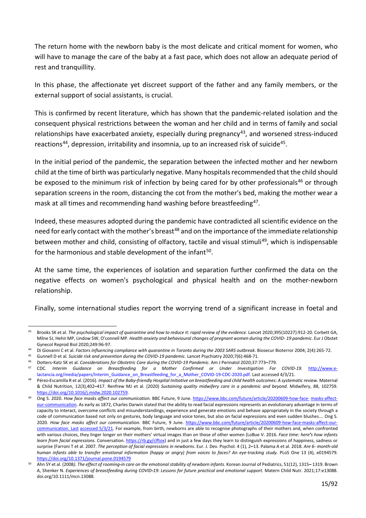The return home with the newborn baby is the most delicate and critical moment for women, who will have to manage the care of the baby at a fast pace, which does not allow an adequate period of rest and tranquillity.

In this phase, the affectionate yet discreet support of the father and any family members, or the external support of social assistants, is crucial.

This is confirmed by recent literature, which has shown that the pandemic-related isolation and the consequent physical restrictions between the woman and her child and in terms of family and social relationships have exacerbated anxiety, especially during pregnancy<sup>[43](#page-14-0)</sup>, and worsened stress-induced reactions<sup>[44](#page-14-1)</sup>, depression, irritability and insomnia, up to an increased risk of suicide<sup>45</sup>.

In the initial period of the pandemic, the separation between the infected mother and her newborn child at the time of birth was particularly negative. Many hospitals recommended that the child should be exposed to the minimum risk of infection by being cared for by other professionals<sup>[46](#page-14-3)</sup> or through separation screens in the room, distancing the cot from the mother's bed, making the mother wear a mask at all times and recommending hand washing before breastfeeding<sup>[47](#page-14-4)</sup>.

Indeed, these measures adopted during the pandemic have contradicted all scientific evidence on the need for early contact with the mother's breast<sup>[48](#page-14-5)</sup> and on the importance of the immediate relationship between mother and child, consisting of olfactory, tactile and visual stimuli<sup>[49](#page-14-6)</sup>, which is indispensable for the harmonious and stable development of the infant<sup>50</sup>.

At the same time, the experiences of isolation and separation further confirmed the data on the negative effects on women's psychological and physical health and on the mother-newborn relationship.

Finally, some international studies report the worrying trend of a significant increase in foetal and

<span id="page-14-0"></span><sup>&</sup>lt;sup>43</sup> Brooks SK et al. The psychological impact of quarantine and how to reduce it: rapid review of the evidence. Lancet 2020;395(10227):912-20. Corbett GA, Milne SJ, Hehir MP, Lindow SW, O'connell MP. *Health anxiety and behavioural changes of pregnant women during the COVID- 19 pandemic*. Eur J Obstet Gynecol Reprod Biol 2020;249:96-97.

<span id="page-14-1"></span><sup>44</sup> Di Giovanni C et al. *Factors influencing compliance with quarantine in Toronto during the 2003 SARS outbreak.* Biosecur Bioterror 2004; 2(4):265-72.

<span id="page-14-2"></span><sup>45</sup> Gunnell D et al. Suicide risk and prevention during the COVID-19 pandemic. Lancet Psychiatry 2020;7(6):468-71.<br>46 Detters Katz SK et al. Considerations for Obstatris Care during the COVID-19 Pandemic. Am LBorinatel 2020

<span id="page-14-4"></span><span id="page-14-3"></span><sup>46</sup> Dotters-Katz SK et al. *Considerations for Obstetric Care during the COVID-19 Pandemic.* Am J Perinatol 2020;37:773**–**779.

<sup>47</sup> CDC*. Interim Guidance on Breastfeeding for a Mother Confirmed or Under Investigation For COVID-19.* [http://www.e](http://www.e-lactancia.org/media/papers/Interim_Guidance_on_Breastfeeding_for_a_Mother_COVID-19-CDC-2020.pdf)[lactancia.org/media/papers/Interim\\_Guidance\\_on\\_Breastfeeding\\_for\\_a\\_Mother\\_COVID-19-CDC-2020.pdf.](http://www.e-lactancia.org/media/papers/Interim_Guidance_on_Breastfeeding_for_a_Mother_COVID-19-CDC-2020.pdf) Last accessed 4/3/21.

<span id="page-14-5"></span><sup>48</sup> Pérez**-**Escamilla R et al. (2016). *Impact of the Baby‐friendly Hospital Initiative on breastfeeding and child health outcomes: A systematic review.* Maternal & Child Nutrition, 12(3),402**–**417. Renfrew MJ et al. (2020) *Sustaining quality midwifery care in a pandemic and beyond*. Midwifery, 88, 102759. [https://doi.org/10.1016/j.midw.2020.102759.](https://doi.org/10.1016/j.midw.2020.102759)

<span id="page-14-6"></span><sup>49</sup> Ong S. 2020. *How face masks affect our communication.* BBC Future, 9 June. [https://www.bbc.com/future/article/20200609-how-face-](https://www.bbc.com/future/article/20200609-how-face-masks-affect-our-communication) [masks-affect](https://www.bbc.com/future/article/20200609-how-face-masks-affect-our-communication)[our-communication.](https://www.bbc.com/future/article/20200609-how-face-masks-affect-our-communication) As early as 1872, Charles Darwin stated that the ability to read facial expressions represents an evolutionary advantage in terms of capacity to interact, overcome conflicts and misunderstandings, experience and generate emotions and behave appropriately in the society through a code of communication based not only on gestures, body language and voice tones, but also on facial expressions and even sudden blushes.… Ong S. 2020. *How face masks affect our communication.* BBC Future, 9 June. [https://www.bbc.com/future/article/20200609-how-face-masks-affect-our](https://www.bbc.com/future/article/20200609-how-face-masks-affect-our-communication.%20Ultimo%20accesso%205/3/21)[communication.](https://www.bbc.com/future/article/20200609-how-face-masks-affect-our-communication.%20Ultimo%20accesso%205/3/21) [Last](https://www.bbc.com/future/article/20200609-how-face-masks-affect-our-communication.%20Ultimo%20accesso%205/3/21) [accessed 5/3/21.](https://www.bbc.com/future/article/20200609-how-face-masks-affect-our-communication.%20Ultimo%20accesso%205/3/21) For example, from birth, newborns are able to recognise photographs of their mothers and, when confronted with various choices, they linger longer on their mothers' virtual images than on those of other women (LoBue V. 2016. *Face time: here's how infants learn from facial expressions.* Conversation. [https://rb.gy/clftox\)](https://rb.gy/clftox) and in just a few days they learn to distinguish expressions of happiness, sadness or surprise (Farroni T et al. 2007. *The perception of facial expressions in newborns*. Eur. J. Dev. Psychol. 4 (1), 2**–**13. Palama A et al. 2018. *Are 6- month-old human infants able to transfer emotional information (happy or angry) from voices to faces? An eye-tracking study.* PLoS One 13 (4), e0194579. <https://doi.org/10.1371/journal.pone.0194579>

<span id="page-14-7"></span><sup>50</sup> Ahn SY et al. (2008*). The effect of rooming‐in care on the emotional stability of newborn infants.* Korean Journal of Pediatrics, 51(12), 1315**–** 1319. Brown A, Shenker N. Experiences of breastfeeding during COVID-19: Lessons for future practical and emotional support. Matern Child Nutr. 2021;17:e13088. doi.org/10.1111/mcn.13088.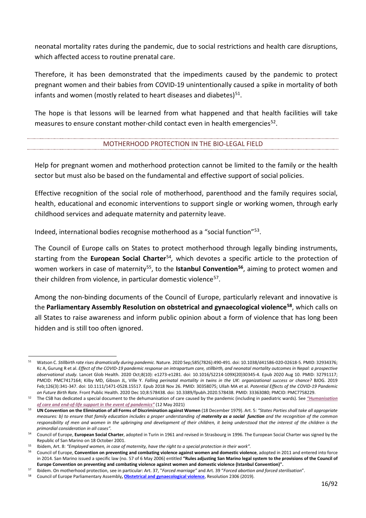neonatal mortality rates during the pandemic, due to social restrictions and health care disruptions, which affected access to routine prenatal care.

Therefore, it has been demonstrated that the impediments caused by the pandemic to protect pregnant women and their babies from COVID-19 unintentionally caused a spike in mortality of both infants and women (mostly related to heart diseases and diabetes) $51$ .

The hope is that lessons will be learned from what happened and that health facilities will take measures to ensure constant mother-child contact even in health emergencies<sup>52</sup>.

#### MOTHERHOOD PROTECTION IN THE BIO-LEGAL FIELD

<span id="page-15-0"></span>Help for pregnant women and motherhood protection cannot be limited to the family or the health sector but must also be based on the fundamental and effective support of social policies.

Effective recognition of the social role of motherhood, parenthood and the family requires social, health, educational and economic interventions to support single or working women, through early childhood services and adequate maternity and paternity leave.

Indeed, international bodies recognise motherhood as a "social function"[53](#page-15-3).

The Council of Europe calls on States to protect motherhood through legally binding instruments, starting from the **European Social Charter**[54](#page-15-4)*,* which devotes a specific article to the protection of women workers in case of maternity<sup>[55](#page-15-5)</sup>, to the **Istanbul Convention<sup>[56](#page-15-6)</sup>**, aiming to protect women and their children from violence, in particular domestic violence<sup>57</sup>.

Among the non-binding documents of the Council of Europe, particularly relevant and innovative is the **Parliamentary Assembly Resolution on obstetrical and gynaecological violence[58](#page-15-8)**, which calls on all States to raise awareness and inform public opinion about a form of violence that has long been hidden and is still too often ignored.

<span id="page-15-1"></span><sup>51</sup> Watson C. *Stillbirth rate rises dramatically during pandemic*. Nature. 2020 Sep;585(7826):490-491. doi: 10.1038/d41586-020-02618-5. PMID: 32934376; Kc A, Gurung R et al. *Effect of the COVID-19 pandemic response on intrapartum care, stillbirth, and neonatal mortality outcomes in Nepal: a prospective observational study.* Lancet Glob Health. 2020 Oct;8(10): e1273-e1281. doi: 10.1016/S2214-109X(20)30345-4. Epub 2020 Aug 10. PMID: 32791117; PMCID: PMC7417164; Kilby MD, Gibson JL, Ville Y. *Falling perinatal mortality in twins in the UK: organizational success or chance?* BJOG. 2019 Feb;126(3):341-347. doi: 10.1111/1471-0528.15517. Epub 2018 Nov 26. PMID: 30358075; Ullah MA et al. *Potential Effects of the COVID-19 Pandemic on Future Birth Rate*. Front Public Health. 2020 Dec 10;8:578438. doi: 10.3389/fpubh.2020.578438. PMID: 33363080; PMCID: PMC7758229.

<span id="page-15-2"></span><sup>52</sup> The CSB has dedicated a special document to the dehumanisation of care caused by the pandemic (including in paediatric wards). See *"Humanisation of care and end-of-life support in the event of pandemics"* (12 May 2021)

<span id="page-15-3"></span><sup>53</sup> **UN Convention on the Elimination of all Forms of Discrimination against Women** (18 December 1979). Art. 5: *"States Parties shall take all appropriate measures: b) to ensure that family education includes a proper understanding of maternity as a social function and the recognition of the common responsibility of men and women in the upbringing and development of their children, it being understood that the interest of the children is the primordial consideration in all cases".*

<span id="page-15-4"></span>Council of Europe, European Social Charter, adopted in Turin in 1961 and revised in Strasbourg in 1996. The European Social Charter was signed by the Republic of San Marino on 18 October 2001.

<span id="page-15-5"></span><sup>55</sup> Ibidem, Art. 8: *"Employed women, in case of maternity, have the right to a special protection in their work".*

<span id="page-15-6"></span><sup>56</sup> Council of Europe, **Convention on preventing and combating violence against women and domestic violence**, adopted in 2011 and entered into force in 2014. San Marino issued a specific law (no. 57 of 6 May 2006) entitled **"Rules adjusting San Marino legal system to the provisions of the Council of Europe Convention on preventing and combating violence against women and domestic violence (Istanbul Convention)".**

<span id="page-15-8"></span><span id="page-15-7"></span><sup>57</sup> Ibidem. On motherhood protection, see in particular: Art. 37, "*Forced marriage"* and Art. 39 "*Forced abortion and forced sterilisation*".

<sup>58</sup> Council of Europe Parliamentary Assembly**[, Obstetrical and gynaecological violence,](https://pace.coe.int/en/files/28236/html)** Resolution 2306 (2019).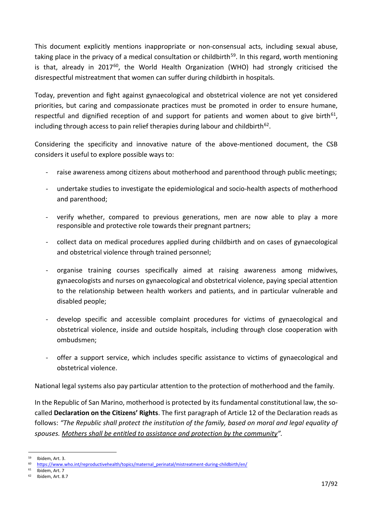This document explicitly mentions inappropriate or non-consensual acts, including sexual abuse, taking place in the privacy of a medical consultation or childbirth<sup>59</sup>. In this regard, worth mentioning is that, already in 2017 $^{60}$ , the World Health Organization (WHO) had strongly criticised the disrespectful mistreatment that women can suffer during childbirth in hospitals.

Today, prevention and fight against gynaecological and obstetrical violence are not yet considered priorities, but caring and compassionate practices must be promoted in order to ensure humane, respectful and dignified reception of and support for patients and women about to give birth<sup>61</sup>, including through access to pain relief therapies during labour and childbirth<sup>62</sup>.

Considering the specificity and innovative nature of the above-mentioned document, the CSB considers it useful to explore possible ways to:

- raise awareness among citizens about motherhood and parenthood through public meetings;
- undertake studies to investigate the epidemiological and socio-health aspects of motherhood and parenthood;
- verify whether, compared to previous generations, men are now able to play a more responsible and protective role towards their pregnant partners;
- collect data on medical procedures applied during childbirth and on cases of gynaecological and obstetrical violence through trained personnel;
- organise training courses specifically aimed at raising awareness among midwives, gynaecologists and nurses on gynaecological and obstetrical violence, paying special attention to the relationship between health workers and patients, and in particular vulnerable and disabled people;
- develop specific and accessible complaint procedures for victims of gynaecological and obstetrical violence, inside and outside hospitals, including through close cooperation with ombudsmen;
- offer a support service, which includes specific assistance to victims of gynaecological and obstetrical violence.

National legal systems also pay particular attention to the protection of motherhood and the family.

In the Republic of San Marino, motherhood is protected by its fundamental constitutional law, the socalled **Declaration on the Citizens' Rights**. The first paragraph of Article 12 of the Declaration reads as follows: *"The Republic shall protect the institution of the family, based on moral and legal equality of spouses. Mothers shall be entitled to assistance and protection by the community".*

<span id="page-16-1"></span><span id="page-16-0"></span> $^{59}$  Ibidem, Art. 3.

<sup>60</sup> [https://www.who.int/reproductivehealth/topics/maternal\\_perinatal/mistreatment-during-childbirth/en/](https://www.who.int/reproductivehealth/topics/maternal_perinatal/mistreatment-during-childbirth/en/)

<span id="page-16-3"></span><span id="page-16-2"></span> $^{61}$  Ibidem, Art. 7<br> $^{62}$  Ibidem Art. 8

Ibidem, Art. 8.7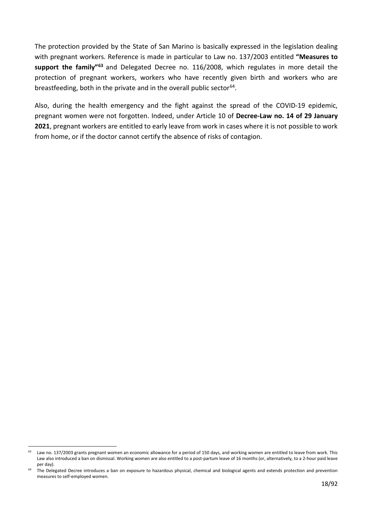The protection provided by the State of San Marino is basically expressed in the legislation dealing with pregnant workers. Reference is made in particular to Law no. 137/2003 entitled **"Measures to support the family"[63](#page-17-0)** and Delegated Decree no. 116/2008, which regulates in more detail the protection of pregnant workers, workers who have recently given birth and workers who are breastfeeding, both in the private and in the overall public sector<sup>[64](#page-17-1)</sup>.

Also, during the health emergency and the fight against the spread of the COVID-19 epidemic, pregnant women were not forgotten. Indeed, under Article 10 of **Decree-Law no. 14 of 29 January 2021**, pregnant workers are entitled to early leave from work in cases where it is not possible to work from home, or if the doctor cannot certify the absence of risks of contagion.

<span id="page-17-0"></span> $63$  Law no. 137/2003 grants pregnant women an economic allowance for a period of 150 days, and working women are entitled to leave from work. This Law also introduced a ban on dismissal. Working women are also entitled to a post-partum leave of 16 months (or, alternatively, to a 2-hour paid leave per day).

<span id="page-17-1"></span>The Delegated Decree introduces a ban on exposure to hazardous physical, chemical and biological agents and extends protection and prevention measures to self-employed women.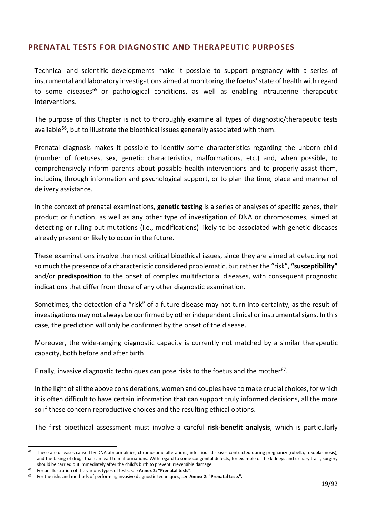# <span id="page-18-0"></span>**PRENATAL TESTS FOR DIAGNOSTIC AND THERAPEUTIC PURPOSES**

Technical and scientific developments make it possible to support pregnancy with a series of instrumental and laboratory investigations aimed at monitoring the foetus' state of health with regard to some diseases<sup>65</sup> or pathological conditions, as well as enabling intrauterine therapeutic interventions.

The purpose of this Chapter is not to thoroughly examine all types of diagnostic/therapeutic tests available<sup>[66](#page-18-2)</sup>, but to illustrate the bioethical issues generally associated with them.

Prenatal diagnosis makes it possible to identify some characteristics regarding the unborn child (number of foetuses, sex, genetic characteristics, malformations, etc.) and, when possible, to comprehensively inform parents about possible health interventions and to properly assist them, including through information and psychological support, or to plan the time, place and manner of delivery assistance.

In the context of prenatal examinations, **genetic testing** is a series of analyses of specific genes, their product or function, as well as any other type of investigation of DNA or chromosomes, aimed at detecting or ruling out mutations (i.e., modifications) likely to be associated with genetic diseases already present or likely to occur in the future.

These examinations involve the most critical bioethical issues, since they are aimed at detecting not so much the presence of a characteristic considered problematic, but rather the "risk", **"susceptibility"** and/or **predisposition** to the onset of complex multifactorial diseases, with consequent prognostic indications that differ from those of any other diagnostic examination.

Sometimes, the detection of a "risk" of a future disease may not turn into certainty, as the result of investigations may not always be confirmed by other independent clinical or instrumental signs. In this case, the prediction will only be confirmed by the onset of the disease.

Moreover, the wide-ranging diagnostic capacity is currently not matched by a similar therapeutic capacity, both before and after birth.

Finally, invasive diagnostic techniques can pose risks to the foetus and the mother<sup>[67](#page-18-3)</sup>.

In the light of all the above considerations, women and couples have to make crucial choices, for which it is often difficult to have certain information that can support truly informed decisions, all the more so if these concern reproductive choices and the resulting ethical options.

The first bioethical assessment must involve a careful **risk-benefit analysis**, which is particularly

<span id="page-18-1"></span><sup>&</sup>lt;sup>65</sup> These are diseases caused by DNA abnormalities, chromosome alterations, infectious diseases contracted during pregnancy (rubella, toxoplasmosis), and the taking of drugs that can lead to malformations. With regard to some congenital defects, for example of the kidneys and urinary tract, surgery should be carried out immediately after the child's birth to prevent irreversible damage.

<span id="page-18-2"></span><sup>66</sup> For an illustration of the various types of tests, see **Annex 2: "Prenatal tests".**

<span id="page-18-3"></span><sup>67</sup> For the risks and methods of performing invasive diagnostic techniques, see **Annex 2: "Prenatal tests".**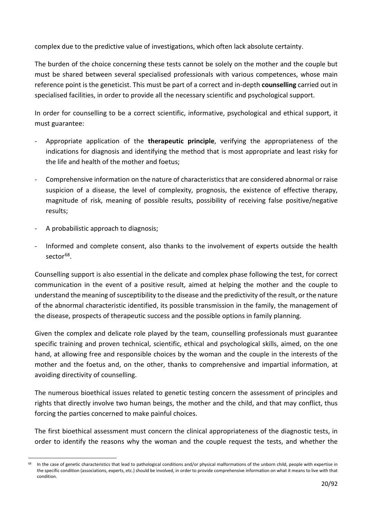complex due to the predictive value of investigations, which often lack absolute certainty.

The burden of the choice concerning these tests cannot be solely on the mother and the couple but must be shared between several specialised professionals with various competences, whose main reference point is the geneticist. This must be part of a correct and in-depth **counselling** carried out in specialised facilities, in order to provide all the necessary scientific and psychological support.

In order for counselling to be a correct scientific, informative, psychological and ethical support, it must guarantee:

- Appropriate application of the **therapeutic principle**, verifying the appropriateness of the indications for diagnosis and identifying the method that is most appropriate and least risky for the life and health of the mother and foetus;
- Comprehensive information on the nature of characteristics that are considered abnormal or raise suspicion of a disease, the level of complexity, prognosis, the existence of effective therapy, magnitude of risk, meaning of possible results, possibility of receiving false positive/negative results;
- A probabilistic approach to diagnosis;
- Informed and complete consent, also thanks to the involvement of experts outside the health sector<sup>68</sup>.

Counselling support is also essential in the delicate and complex phase following the test, for correct communication in the event of a positive result, aimed at helping the mother and the couple to understand the meaning of susceptibility to the disease and the predictivity of the result, or the nature of the abnormal characteristic identified, its possible transmission in the family, the management of the disease, prospects of therapeutic success and the possible options in family planning.

Given the complex and delicate role played by the team, counselling professionals must guarantee specific training and proven technical, scientific, ethical and psychological skills, aimed, on the one hand, at allowing free and responsible choices by the woman and the couple in the interests of the mother and the foetus and, on the other, thanks to comprehensive and impartial information, at avoiding directivity of counselling.

The numerous bioethical issues related to genetic testing concern the assessment of principles and rights that directly involve two human beings, the mother and the child, and that may conflict, thus forcing the parties concerned to make painful choices.

The first bioethical assessment must concern the clinical appropriateness of the diagnostic tests, in order to identify the reasons why the woman and the couple request the tests, and whether the

<span id="page-19-0"></span>In the case of genetic characteristics that lead to pathological conditions and/or physical malformations of the unborn child, people with expertise in the specific condition (associations, experts, etc.) should be involved, in order to provide comprehensive information on what it means to live with that condition.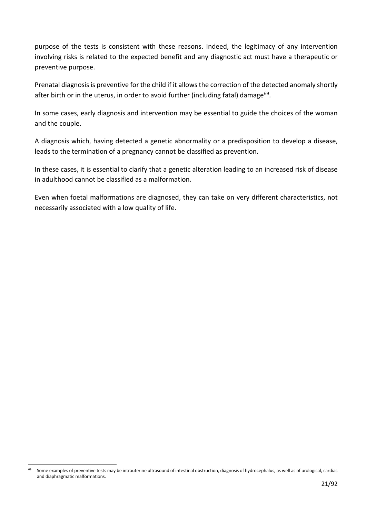purpose of the tests is consistent with these reasons. Indeed, the legitimacy of any intervention involving risks is related to the expected benefit and any diagnostic act must have a therapeutic or preventive purpose.

Prenatal diagnosis is preventive for the child if it allows the correction of the detected anomaly shortly after birth or in the uterus, in order to avoid further (including fatal) damage<sup>[69](#page-20-0)</sup>.

In some cases, early diagnosis and intervention may be essential to guide the choices of the woman and the couple.

A diagnosis which, having detected a genetic abnormality or a predisposition to develop a disease, leads to the termination of a pregnancy cannot be classified as prevention.

In these cases, it is essential to clarify that a genetic alteration leading to an increased risk of disease in adulthood cannot be classified as a malformation.

Even when foetal malformations are diagnosed, they can take on very different characteristics, not necessarily associated with a low quality of life.

<span id="page-20-0"></span>Some examples of preventive tests may be intrauterine ultrasound of intestinal obstruction, diagnosis of hydrocephalus, as well as of urological, cardiac and diaphragmatic malformations.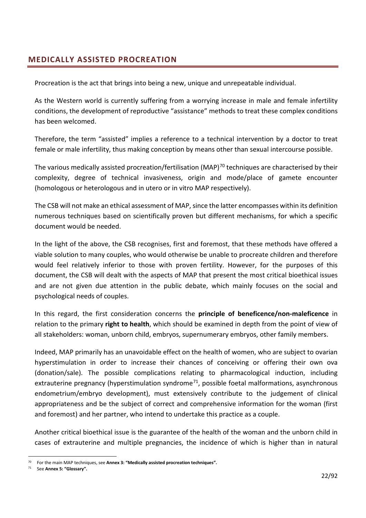## <span id="page-21-0"></span>**MEDICALLY ASSISTED PROCREATION**

Procreation is the act that brings into being a new, unique and unrepeatable individual.

As the Western world is currently suffering from a worrying increase in male and female infertility conditions, the development of reproductive "assistance" methods to treat these complex conditions has been welcomed.

Therefore, the term "assisted" implies a reference to a technical intervention by a doctor to treat female or male infertility, thus making conception by means other than sexual intercourse possible.

The various medically assisted procreation/fertilisation (MAP)<sup>[70](#page-21-1)</sup> techniques are characterised by their complexity, degree of technical invasiveness, origin and mode/place of gamete encounter (homologous or heterologous and in utero or in vitro MAP respectively).

The CSB will not make an ethical assessment of MAP, since the latter encompasses within its definition numerous techniques based on scientifically proven but different mechanisms, for which a specific document would be needed.

In the light of the above, the CSB recognises, first and foremost, that these methods have offered a viable solution to many couples, who would otherwise be unable to procreate children and therefore would feel relatively inferior to those with proven fertility. However, for the purposes of this document, the CSB will dealt with the aspects of MAP that present the most critical bioethical issues and are not given due attention in the public debate, which mainly focuses on the social and psychological needs of couples.

In this regard, the first consideration concerns the **principle of beneficence/non-maleficence** in relation to the primary **right to health**, which should be examined in depth from the point of view of all stakeholders: woman, unborn child, embryos, supernumerary embryos, other family members.

Indeed, MAP primarily has an unavoidable effect on the health of women, who are subject to ovarian hyperstimulation in order to increase their chances of conceiving or offering their own ova (donation/sale). The possible complications relating to pharmacological induction, including extrauterine pregnancy (hyperstimulation syndrome<sup>71</sup>, possible foetal malformations, asynchronous endometrium/embryo development), must extensively contribute to the judgement of clinical appropriateness and be the subject of correct and comprehensive information for the woman (first and foremost) and her partner, who intend to undertake this practice as a couple.

Another critical bioethical issue is the guarantee of the health of the woman and the unborn child in cases of extrauterine and multiple pregnancies, the incidence of which is higher than in natural

<span id="page-21-1"></span><sup>70</sup> For the main MAP techniques, see **Annex 3: "Medically assisted procreation techniques".**

<span id="page-21-2"></span><sup>71</sup> See **Annex 5: "Glossary".**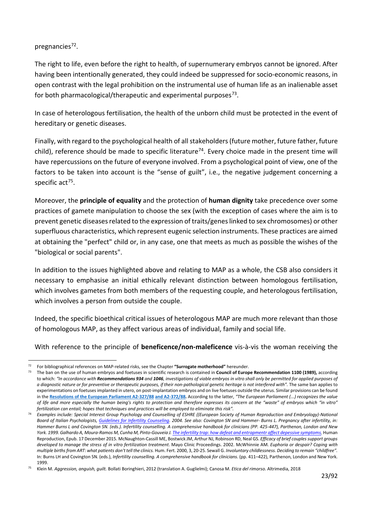#### pregnancies<sup>[72](#page-22-0)</sup>.

The right to life, even before the right to health, of supernumerary embryos cannot be ignored. After having been intentionally generated, they could indeed be suppressed for socio-economic reasons, in open contrast with the legal prohibition on the instrumental use of human life as an inalienable asset for both pharmacological/therapeutic and experimental purposes $73$ .

In case of heterologous fertilisation, the health of the unborn child must be protected in the event of hereditary or genetic diseases.

Finally, with regard to the psychological health of all stakeholders (future mother, future father, future child), reference should be made to specific literature<sup>[74](#page-22-2)</sup>. Every choice made in the present time will have repercussions on the future of everyone involved. From a psychological point of view, one of the factors to be taken into account is the "sense of guilt", i.e., the negative judgement concerning a specific  $act<sup>75</sup>$  $act<sup>75</sup>$  $act<sup>75</sup>$ .

Moreover, the **principle of equality** and the protection of **human dignity** take precedence over some practices of gamete manipulation to choose the sex (with the exception of cases where the aim is to prevent genetic diseases related to the expression of traits/genes linked to sex chromosomes) or other superfluous characteristics, which represent eugenic selection instruments. These practices are aimed at obtaining the "perfect" child or, in any case, one that meets as much as possible the wishes of the "biological or social parents".

In addition to the issues highlighted above and relating to MAP as a whole, the CSB also considers it necessary to emphasise an initial ethically relevant distinction between homologous fertilisation, which involves gametes from both members of the requesting couple, and heterologous fertilisation, which involves a person from outside the couple.

Indeed, the specific bioethical critical issues of heterologous MAP are much more relevant than those of homologous MAP, as they affect various areas of individual, family and social life.

With reference to the principle of **beneficence/non-maleficence** vis-à-vis the woman receiving the

<span id="page-22-1"></span><span id="page-22-0"></span><sup>72</sup> For bibliographical references on MAP-related risks, see the Chapter **"Surrogate motherhood"** hereunder.

<sup>73</sup> The ban on the use of human embryos and foetuses in scientific research is contained in **Council of Europe Recommendation 1100 (1989),** according to which: *"In accordance with Recommendations 934 and 1046, investigations of viable embryos in vitro shall only be permitted for applied purposes of a diagnostic nature or for preventive or therapeutic purposes, if their non-pathological genetic heritage is not interfered with".* The same ban applies to experimentations on foetuses implanted in utero, on post-implantation embryos and on live foetuses outside the uterus. Similar provisions can be found in the **[Resolutions of the European Parliament A2-327/88](https://eur-lex.europa.eu/legal-content/IT/TXT/PDF/?uri=OJ%3AJOC_1989_096_R_0127_01&from=GA) [and A2-372/88.](https://eur-lex.europa.eu/legal-content/IT/TXT/PDF/?uri=OJ%3AJOC_1989_096_R_0127_01&from=GA)** According to the latter, *"The European Parliament (...) recognizes the value of life and more especially the human being's rights to protection and therefore expresses its concern at the "waste" of embryos which "in vitro" fertilization can entail; hopes that techniques and practices will be employed to eliminate this risk".*

<span id="page-22-2"></span><sup>74</sup> *Examples include: Special Interest Group Psychology and Counselling of ESHRE ((European Society of Human Reproduction and Embryology)-National Board of Italian Psychologists, [Guidelines for Infertility Counseling.](https://www.psy.it/allegati/lg_infertilita.pdf) 2004. See also: Covington SN and Hammer- Burns L. Pregnancy after infertility, in: Hammer Burns L and Covington SN. (eds.). Infertility counselling. A comprehensive handbook for clinicians (PP. 425-447), Parthenon, London and New*  York. 1999. Galhardo A, Moura-Ramos M, Cunha M, Pinto-Gouveia J[. The infertility trap: how defeat and entrapmentr affect depessive symptoms,](https://pubmed.ncbi.nlm.nih.gov/26677954/) Human Reproduction, Epub. 17 December 2015. McNaughton-Cassill ME, Bostwick JM, Arthur NJ, Robinson RD, Neal GS. *Efficacy of brief couples support groups developed to manage the stress of in vitro fertilization treatment*. Mayo Clinic Proceedings. 2002. McWhinnie AM. *Euphoria or despair? Coping with multiple births from ART: what patients don't tell the clinics.* Hum. Fert. 2000, 3, 20-25. Sewall G. *Involuntary childlessness. Deciding to remain "childfree".*  In: Burns LH and Covington SN. (eds.), *Infertility counselling. A comprehensive handbook for clinicians.* (pp. 411–422), Parthenon, London and New York. 1999.

<span id="page-22-3"></span><sup>75</sup> Klein M. *Aggression, anguish, guilt.* Bollati Boringhieri, 2012 (translation A. Guglielmi); Canosa M. *Etica del rimorso.* Altrimedia, 2018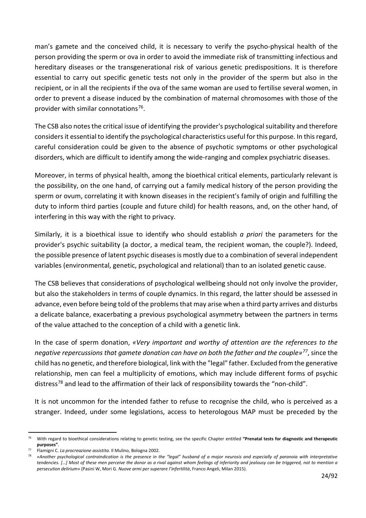man's gamete and the conceived child, it is necessary to verify the psycho-physical health of the person providing the sperm or ova in order to avoid the immediate risk of transmitting infectious and hereditary diseases or the transgenerational risk of various genetic predispositions. It is therefore essential to carry out specific genetic tests not only in the provider of the sperm but also in the recipient, or in all the recipients if the ova of the same woman are used to fertilise several women, in order to prevent a disease induced by the combination of maternal chromosomes with those of the provider with similar connotations $76$ .

The CSB also notes the critical issue of identifying the provider's psychological suitability and therefore considers it essential to identify the psychological characteristics useful for this purpose. In this regard, careful consideration could be given to the absence of psychotic symptoms or other psychological disorders, which are difficult to identify among the wide-ranging and complex psychiatric diseases.

Moreover, in terms of physical health, among the bioethical critical elements, particularly relevant is the possibility, on the one hand, of carrying out a family medical history of the person providing the sperm or ovum, correlating it with known diseases in the recipient's family of origin and fulfilling the duty to inform third parties (couple and future child) for health reasons, and, on the other hand, of interfering in this way with the right to privacy.

Similarly, it is a bioethical issue to identify who should establish *a priori* the parameters for the provider's psychic suitability (a doctor, a medical team, the recipient woman, the couple?). Indeed, the possible presence of latent psychic diseases is mostly due to a combination of several independent variables (environmental, genetic, psychological and relational) than to an isolated genetic cause.

The CSB believes that considerations of psychological wellbeing should not only involve the provider, but also the stakeholders in terms of couple dynamics. In this regard, the latter should be assessed in advance, even before being told of the problems that may arise when a third party arrives and disturbs a delicate balance, exacerbating a previous psychological asymmetry between the partners in terms of the value attached to the conception of a child with a genetic link.

In the case of sperm donation, *«Very important and worthy of attention are the references to the negative repercussions that gamete donation can have on both the father and the couple»[77](#page-23-1)*, since the child has no genetic, and therefore biological, link with the "legal" father. Excluded from the generative relationship, men can feel a multiplicity of emotions, which may include different forms of psychic distress<sup>[78](#page-23-2)</sup> and lead to the affirmation of their lack of responsibility towards the "non-child".

It is not uncommon for the intended father to refuse to recognise the child, who is perceived as a stranger. Indeed, under some legislations, access to heterologous MAP must be preceded by the

<span id="page-23-0"></span><sup>76</sup> With regard to bioethical considerations relating to genetic testing, see the specific Chapter entitled **"Prenatal tests for diagnostic and therapeutic purposes"**.

<span id="page-23-2"></span><span id="page-23-1"></span><sup>77</sup> Flamigni C. *La procreazione assistita.* Il Mulino, Bologna 2002.

<sup>78</sup> *«Another psychological contraindication is the presence in the "legal" husband of a major neurosis and especially of paranoia with interpretative tendencies. […] Most of these men perceive the donor as a rival against whom feelings of inferiority and jealousy can be triggered, not to mention a persecution delirium»* (Pasini W, Mori G. *Nuove armi per superare l'infertilità*, Franco Angeli, Milan 2015).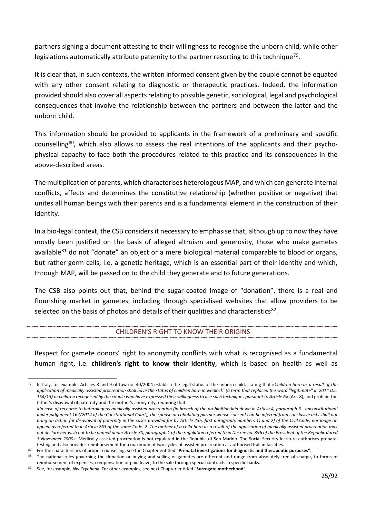partners signing a document attesting to their willingness to recognise the unborn child, while other legislations automatically attribute paternity to the partner resorting to this technique<sup>79</sup>.

It is clear that, in such contexts, the written informed consent given by the couple cannot be equated with any other consent relating to diagnostic or therapeutic practices. Indeed, the information provided should also cover all aspects relating to possible genetic, sociological, legal and psychological consequences that involve the relationship between the partners and between the latter and the unborn child.

This information should be provided to applicants in the framework of a preliminary and specific counselling[80](#page-24-2), which also allows to assess the real intentions of the applicants and their psychophysical capacity to face both the procedures related to this practice and its consequences in the above-described areas.

The multiplication of parents, which characterises heterologous MAP, and which can generate internal conflicts, affects and determines the constitutive relationship (whether positive or negative) that unites all human beings with their parents and is a fundamental element in the construction of their identity.

In a bio-legal context, the CSB considers it necessary to emphasise that, although up to now they have mostly been justified on the basis of alleged altruism and generosity, those who make gametes available $^{81}$  $^{81}$  $^{81}$  do not "donate" an object or a mere biological material comparable to blood or organs, but rather germ cells, i.e. a genetic heritage, which is an essential part of their identity and which, through MAP, will be passed on to the child they generate and to future generations.

The CSB also points out that, behind the sugar-coated image of "donation", there is a real and flourishing market in gametes, including through specialised websites that allow providers to be selected on the basis of photos and details of their qualities and characteristics $^{82}$  $^{82}$  $^{82}$ .

#### CHILDREN'S RIGHT TO KNOW THEIR ORIGINS

<span id="page-24-0"></span>Respect for gamete donors' right to anonymity conflicts with what is recognised as a fundamental human right, i.e. **children's right to know their identity**, which is based on health as well as

<span id="page-24-1"></span><sup>79</sup> In Italy, for example, Articles 8 and 9 of Law no. 40/2004 establish the legal status of the unborn child, stating that *«Children born as a result of the application of medically assisted procreation shall have the status of children born in wedlock˟ (a term that replaced the word "legitimate" in 2014 D.L. 154/13) or children recognised by the couple who have expressed their willingness to use such techniques pursuant to Article 6»* (Art. 8), and prohibit the father's disavowal of paternity and the mother's anonymity, requiring that

*<sup>«</sup>In case of recourse to heterologous medically assisted procreation (in breach of the prohibition laid down in Article 4, paragraph 3 - unconstitutional under judgement 162/2014 of the Constitutional Court), the spouse or cohabiting partner whose consent can be inferred from conclusive acts shall not bring an action for disavowal of paternity in the cases provided for by Article 235, first paragraph, numbers 1) and 2) of the Civil Code, nor lodge an appeal as referred to in Article 263 of the same Code. 2. The mother of a child born as a result of the application of medically assisted procreation may not declare her wish not to be named under Article 30, paragraph 1 of the regulation referred to in Decree no. 396 of the President of the Republic dated 3 November 2000».* Medically assisted procreation is not regulated in the Republic of San Marino. The Social Security Institute authorises prenatal testing and also provides reimbursement for a maximum of two cycles of assisted procreation at authorised Italian facilities.

<span id="page-24-2"></span><sup>80</sup> For the characteristics of proper counselling, see the Chapter entitled **"Prenatal investigations for diagnostic and therapeutic purposes"**.

<span id="page-24-3"></span>The national rules governing the donation or buying and selling of gametes are different and range from absolutely free of charge, to forms of reimbursement of expenses, compensation or paid leave, to the sale through special contracts in specific banks.

<span id="page-24-4"></span><sup>82</sup> See, for example, *[Nw Cryobank](https://www.nwcryobank.com/purchase-center/)*. [For other examples, see](https://www.nwcryobank.com/purchase-center/) next Chapter entitled **"Surrogate motherhood".**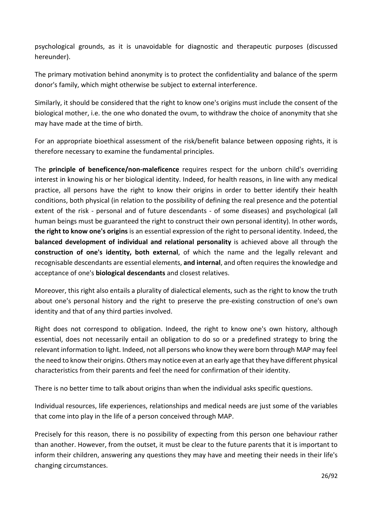psychological grounds, as it is unavoidable for diagnostic and therapeutic purposes (discussed hereunder).

The primary motivation behind anonymity is to protect the confidentiality and balance of the sperm donor's family, which might otherwise be subject to external interference.

Similarly, it should be considered that the right to know one's origins must include the consent of the biological mother, i.e. the one who donated the ovum, to withdraw the choice of anonymity that she may have made at the time of birth.

For an appropriate bioethical assessment of the risk/benefit balance between opposing rights, it is therefore necessary to examine the fundamental principles.

The **principle of beneficence/non-maleficence** requires respect for the unborn child's overriding interest in knowing his or her biological identity. Indeed, for health reasons, in line with any medical practice, all persons have the right to know their origins in order to better identify their health conditions, both physical (in relation to the possibility of defining the real presence and the potential extent of the risk - personal and of future descendants - of some diseases) and psychological (all human beings must be guaranteed the right to construct their own personal identity). In other words, **the right to know one's origins** is an essential expression of the right to personal identity. Indeed, the **balanced development of individual and relational personality** is achieved above all through the **construction of one's identity, both external**, of which the name and the legally relevant and recognisable descendants are essential elements, **and internal**, and often requires the knowledge and acceptance of one's **biological descendants** and closest relatives.

Moreover, this right also entails a plurality of dialectical elements, such as the right to know the truth about one's personal history and the right to preserve the pre-existing construction of one's own identity and that of any third parties involved.

Right does not correspond to obligation. Indeed, the right to know one's own history, although essential, does not necessarily entail an obligation to do so or a predefined strategy to bring the relevant information to light. Indeed, not all persons who know they were born through MAP may feel the need to know their origins. Others may notice even at an early age that they have different physical characteristics from their parents and feel the need for confirmation of their identity.

There is no better time to talk about origins than when the individual asks specific questions.

Individual resources, life experiences, relationships and medical needs are just some of the variables that come into play in the life of a person conceived through MAP.

Precisely for this reason, there is no possibility of expecting from this person one behaviour rather than another. However, from the outset, it must be clear to the future parents that it is important to inform their children, answering any questions they may have and meeting their needs in their life's changing circumstances.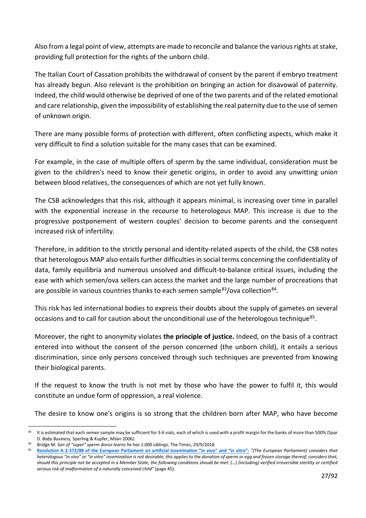Also from a legal point of view, attempts are made to reconcile and balance the various rights at stake, providing full protection for the rights of the unborn child.

The Italian Court of Cassation prohibits the withdrawal of consent by the parent if embryo treatment has already begun. Also relevant is the prohibition on bringing an action for disavowal of paternity. Indeed, the child would otherwise be deprived of one of the two parents and of the related emotional and care relationship, given the impossibility of establishing the real paternity due to the use of semen of unknown origin.

There are many possible forms of protection with different, often conflicting aspects, which make it very difficult to find a solution suitable for the many cases that can be examined.

For example, in the case of multiple offers of sperm by the same individual, consideration must be given to the children's need to know their genetic origins, in order to avoid any unwitting union between blood relatives, the consequences of which are not yet fully known.

The CSB acknowledges that this risk, although it appears minimal, is increasing over time in parallel with the exponential increase in the recourse to heterologous MAP. This increase is due to the progressive postponement of western couples' decision to become parents and the consequent increased risk of infertility.

Therefore, in addition to the strictly personal and identity-related aspects of the child, the CSB notes that heterologous MAP also entails further difficulties in social terms concerning the confidentiality of data, family equilibria and numerous unsolved and difficult-to-balance critical issues, including the ease with which semen/ova sellers can access the market and the large number of procreations that are possible in various countries thanks to each semen sample<sup>83</sup>/ova collection<sup>84</sup>.

This risk has led international bodies to express their doubts about the supply of gametes on several occasions and to call for caution about the unconditional use of the heterologous technique<sup>85</sup>.

Moreover, the right to anonymity violates **the principle of justice.** Indeed, on the basis of a contract entered into without the consent of the person concerned (the unborn child), it entails a serious discrimination, since only persons conceived through such techniques are prevented from knowing their biological parents.

If the request to know the truth is not met by those who have the power to fulfil it, this would constitute an undue form of oppression, a real violence.

The desire to know one's origins is so strong that the children born after MAP, who have become

<span id="page-26-0"></span><sup>83</sup> It is estimated that each semen sample may be sufficient for 3-6 vials, each of which is used with a profit margin for the banks of more than 500% (Spar D. *Baby Business,* Sperling & Kupfer, Milan 2006).

<span id="page-26-2"></span><span id="page-26-1"></span><sup>84</sup> Bridge M. *Son of "super" sperm donor learns he has 1.000 siblings*, The Times, 29/9/2018.

<sup>85</sup> **[Resolution A 2-372/88 of the European Parliament on artificial insemination "in vivo" and "in vitro":](https://eur-lex.europa.eu/legal-content/IT/TXT/PDF/?uri=OJ%3AJOC_1989_096_R_0127_01&from=GA)** *"(The European Parliament) considers that heterologous "in vivo" or "in vitro" insemination is not desirable; this applies to the donation of sperm or egg and frozen storage thereof; considers that, should this principle not be accepted in a Member State, the following conditions should be met: (…) (including) verified irreversible sterility or certified serious risk of malformation of a naturally conceived child"* (page 45).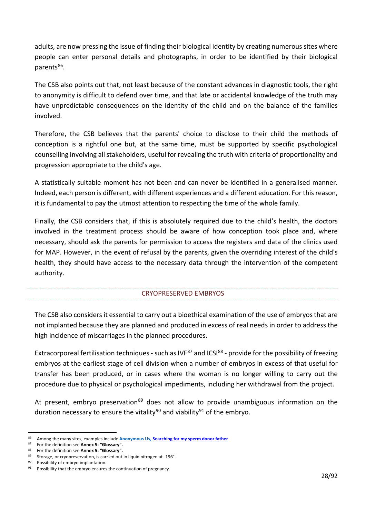adults, are now pressing the issue of finding their biological identity by creating numerous sites where people can enter personal details and photographs, in order to be identified by their biological parents<sup>[86](#page-27-1)</sup>.

The CSB also points out that, not least because of the constant advances in diagnostic tools, the right to anonymity is difficult to defend over time, and that late or accidental knowledge of the truth may have unpredictable consequences on the identity of the child and on the balance of the families involved.

Therefore, the CSB believes that the parents' choice to disclose to their child the methods of conception is a rightful one but, at the same time, must be supported by specific psychological counselling involving all stakeholders, useful for revealing the truth with criteria of proportionality and progression appropriate to the child's age.

A statistically suitable moment has not been and can never be identified in a generalised manner. Indeed, each person is different, with different experiences and a different education. For this reason, it is fundamental to pay the utmost attention to respecting the time of the whole family.

Finally, the CSB considers that, if this is absolutely required due to the child's health, the doctors involved in the treatment process should be aware of how conception took place and, where necessary, should ask the parents for permission to access the registers and data of the clinics used for MAP. However, in the event of refusal by the parents, given the overriding interest of the child's health, they should have access to the necessary data through the intervention of the competent authority.

#### CRYOPRESERVED EMBRYOS

<span id="page-27-0"></span>The CSB also considers it essential to carry out a bioethical examination of the use of embryos that are not implanted because they are planned and produced in excess of real needs in order to address the high incidence of miscarriages in the planned procedures.

Extracorporeal fertilisation techniques - such as IVF<sup>[87](#page-27-2)</sup> and ICSI $^{88}$  $^{88}$  $^{88}$  - provide for the possibility of freezing embryos at the earliest stage of cell division when a number of embryos in excess of that useful for transfer has been produced, or in cases where the woman is no longer willing to carry out the procedure due to physical or psychological impediments, including her withdrawal from the project.

At present, embryo preservation<sup>[89](#page-27-4)</sup> does not allow to provide unambiguous information on the duration necessary to ensure the vitality<sup>[90](#page-27-5)</sup> and viability<sup>[91](#page-27-6)</sup> of the embryo.

<span id="page-27-1"></span><sup>86</sup> Among the many sites, examples include **[Anonymous Us,](https://anonymousus.org/?play&_U01VOkqiApA) [Searching for my sperm donor father](http://searchingformyspermdonorfather.org/)**

<span id="page-27-2"></span><sup>87</sup> For the definition see **Annex 5: "Glossary".**

<span id="page-27-3"></span><sup>88</sup> For the definition see **Annex 5: "Glossary".**

<span id="page-27-4"></span><sup>&</sup>lt;sup>89</sup> Storage, or cryopreservation, is carried out in liquid nitrogen at -196°.<br><sup>90</sup> Pessibility of ambays implantation.

<span id="page-27-5"></span>Possibility of embryo implantation.

<span id="page-27-6"></span> $91$  Possibility that the embryo ensures the continuation of pregnancy.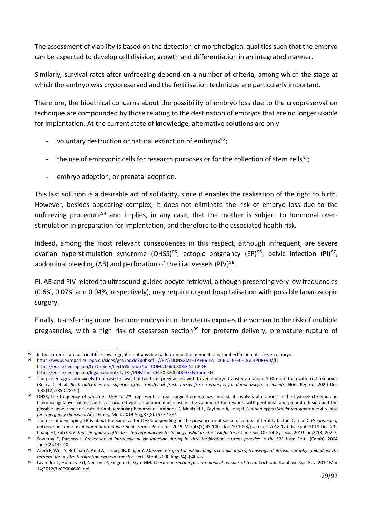The assessment of viability is based on the detection of morphological qualities such that the embryo can be expected to develop cell division, growth and differentiation in an integrated manner.

Similarly, survival rates after unfreezing depend on a number of criteria, among which the stage at which the embryo was cryopreserved and the fertilisation technique are particularly important.

Therefore, the bioethical concerns about the possibility of embryo loss due to the cryopreservation technique are compounded by those relating to the destination of embryos that are no longer usable for implantation. At the current state of knowledge, alternative solutions are only:

- voluntary destruction or natural extinction of embryos $92$ ;
- the use of embryonic cells for research purposes or for the collection of stem cells<sup>93</sup>;
- embryo adoption, or prenatal adoption.

This last solution is a desirable act of solidarity, since it enables the realisation of the right to birth. However, besides appearing complex, it does not eliminate the risk of embryo loss due to the unfreezing procedure<sup>[94](#page-28-2)</sup> and implies, in any case, that the mother is subject to hormonal overstimulation in preparation for implantation, and therefore to the associated health risk.

Indeed, among the most relevant consequences in this respect, although infrequent, are severe ovarian hyperstimulation syndrome (OHSS)<sup>[95](#page-28-3)</sup>, ectopic pregnancy (EP)<sup>[96](#page-28-4)</sup>, pelvic infection (PI)<sup>97</sup>, abdominal bleeding (AB) and perforation of the iliac vessels (PIV) $^{98}$  $^{98}$  $^{98}$ .

PI, AB and PIV related to ultrasound-guided oocyte retrieval, although presenting very low frequencies (0.6%, 0.07% and 0.04%, respectively), may require urgent hospitalisation with possible laparoscopic surgery.

Finally, transferring more than one embryo into the uterus exposes the woman to the risk of multiple pregnancies, with a high risk of caesarean section<sup>[99](#page-28-7)</sup> for preterm delivery, premature rupture of

<span id="page-28-1"></span><span id="page-28-0"></span><sup>&</sup>lt;sup>92</sup> In the current state of scientific knowledge, it is not possible to determine the moment of natural extinction of a frozen embryo.<br><sup>93</sup> https://www.ouroped.ourope.ou/cides/getDes.de?pubBef= //ED//NONSCA4+TA+DE TA-200 <sup>93</sup> https://www.europarl.europa.eu/sides/getDoc.do?pubRef=-//EP//NONSGML+TA+P6-TA-2006-0265+0+DOC+PDF+V0//IT <https://eur-lex.europa.eu/LexUriServ/LexUriServ.do?uri=COM:2006:0803:FIN:IT:PDF> <https://eur-lex.europa.eu/legal-content/IT/TXT/PDF/?uri=CELEX:32006D0973&from=EN>

<span id="page-28-2"></span>The percentages vary widely from case to case, but full-term pregnancies with frozen embryo transfer are about 10% more than with fresh embryos (Roeca C et al. *Birth outcomes are superior after transfer of fresh versus frozen embryos for donor oocyte recipients.* Hum Reprod. 2020 Dec 1;35(12):2850-2859.).

<span id="page-28-3"></span><sup>95</sup> OHSS, the frequency of which is 0.5% to 2%, represents a real surgical emergency. Indeed, it involves alterations in the hydroelectrolytic and haemocoagulative balance and is associated with an abnormal increase in the volume of the ovaries, with peritoneal and pleural effusion and the possible appearance of acute thromboembolic phenomena. Timmons D, Montrief T, Koyfman A, Long B. *Ovarian hyperstimulation syndrome: A review for emergency clinicians*. Am J Emerg Med. 2019 Aug;37(8):1577-1584

<span id="page-28-4"></span><sup>96</sup> The risk of developing EP is about the same as for OHSS, depending on the presence or absence of a tubal infertility factor. Carusi D. *Pregnancy of unknown location: Evaluation and management*. Semin Perinatol. 2019 Mar;43(2):95-100. doi: 10.1053/j.semperi.2018.12.006. Epub 2018 Dec 20.; Chang HJ, Suh CS. *Ectopic pregnancy after assisted reproductive technology: what are the risk factors?* Curr Opin Obstet Gynecol. 2010 Jun;22(3):202-7.

<span id="page-28-5"></span>Sowerby E, Parsons J. Prevention of iatrogenic pelvic infection during in vitro fertilization--current practice in the UK. Hum Fertil (Camb). 2004 Jun;7(2):135-40.

<span id="page-28-6"></span><sup>98</sup> Azem F, Wolf Y, Botchan A, Amit A, Lessing JB, Kluger Y. *Massive retroperitoneal bleeding: a complication of transvaginal ultrasonography- guided oocyte retrieval for in vitro fertilization-embryo transfer*. Fertil Steril. 2000 Aug;74(2):405-6

<span id="page-28-7"></span><sup>99</sup> Lavender T, Hofmeyr GJ, Neilson JP, Kingdon C, Gyte GM. *Caesarean section for non-medical reasons at term*. Cochrane Database Syst Rev. 2012 Mar 14;2012(3):CD004660. doi: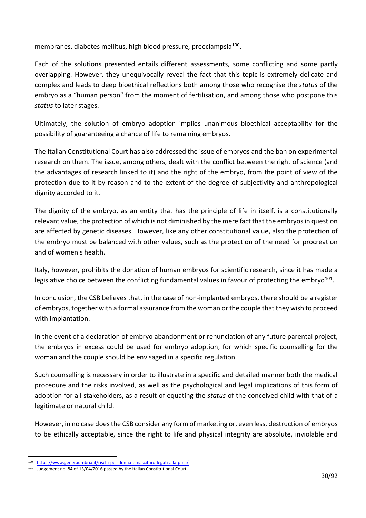membranes, diabetes mellitus, high blood pressure, preeclampsia<sup>100</sup>.

Each of the solutions presented entails different assessments, some conflicting and some partly overlapping. However, they unequivocally reveal the fact that this topic is extremely delicate and complex and leads to deep bioethical reflections both among those who recognise the *status* of the embryo as a "human person" from the moment of fertilisation, and among those who postpone this *status* to later stages.

Ultimately, the solution of embryo adoption implies unanimous bioethical acceptability for the possibility of guaranteeing a chance of life to remaining embryos.

The Italian Constitutional Court has also addressed the issue of embryos and the ban on experimental research on them. The issue, among others, dealt with the conflict between the right of science (and the advantages of research linked to it) and the right of the embryo, from the point of view of the protection due to it by reason and to the extent of the degree of subjectivity and anthropological dignity accorded to it.

The dignity of the embryo, as an entity that has the principle of life in itself, is a constitutionally relevant value, the protection of which is not diminished by the mere fact that the embryos in question are affected by genetic diseases. However, like any other constitutional value, also the protection of the embryo must be balanced with other values, such as the protection of the need for procreation and of women's health.

Italy, however, prohibits the donation of human embryos for scientific research, since it has made a legislative choice between the conflicting fundamental values in favour of protecting the embryo $101$ .

In conclusion, the CSB believes that, in the case of non-implanted embryos, there should be a register of embryos, together with a formal assurance from the woman or the couple that they wish to proceed with implantation.

In the event of a declaration of embryo abandonment or renunciation of any future parental project, the embryos in excess could be used for embryo adoption, for which specific counselling for the woman and the couple should be envisaged in a specific regulation.

Such counselling is necessary in order to illustrate in a specific and detailed manner both the medical procedure and the risks involved, as well as the psychological and legal implications of this form of adoption for all stakeholders, as a result of equating the *status* of the conceived child with that of a legitimate or natural child.

However, in no case does the CSB consider any form of marketing or, even less, destruction of embryos to be ethically acceptable, since the right to life and physical integrity are absolute, inviolable and

<span id="page-29-0"></span><sup>100</sup> <https://www.generaumbria.it/rischi-per-donna-e-nascituro-legati-alla-pma/>

<span id="page-29-1"></span><sup>101</sup> Judgement no. 84 of 13/04/2016 passed by the Italian Constitutional Court.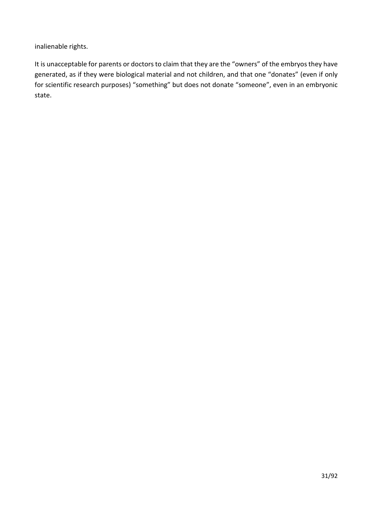inalienable rights.

It is unacceptable for parents or doctors to claim that they are the "owners" of the embryos they have generated, as if they were biological material and not children, and that one "donates" (even if only for scientific research purposes) "something" but does not donate "someone", even in an embryonic state.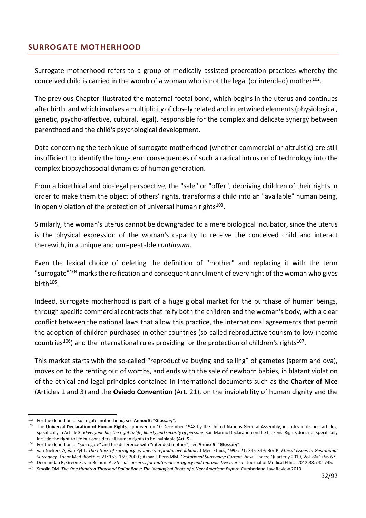# <span id="page-31-0"></span>**SURROGATE MOTHERHOOD**

Surrogate motherhood refers to a group of medically assisted procreation practices whereby the conceived child is carried in the womb of a woman who is not the legal (or intended) mother $^{102}$  $^{102}$  $^{102}$ .

The previous Chapter illustrated the maternal-foetal bond, which begins in the uterus and continues after birth, and which involves a multiplicity of closely related and intertwined elements (physiological, genetic, psycho-affective, cultural, legal), responsible for the complex and delicate synergy between parenthood and the child's psychological development.

Data concerning the technique of surrogate motherhood (whether commercial or altruistic) are still insufficient to identify the long-term consequences of such a radical intrusion of technology into the complex biopsychosocial dynamics of human generation.

From a bioethical and bio-legal perspective, the "sale" or "offer", depriving children of their rights in order to make them the object of others' rights, transforms a child into an "available" human being, in open violation of the protection of universal human rights $103$ .

Similarly, the woman's uterus cannot be downgraded to a mere biological incubator, since the uterus is the physical expression of the woman's capacity to receive the conceived child and interact therewith, in a unique and unrepeatable *continuum*.

Even the lexical choice of deleting the definition of "mother" and replacing it with the term "surrogate"<sup>[104](#page-31-3)</sup> marks the reification and consequent annulment of every right of the woman who gives birth $105$ .

Indeed, surrogate motherhood is part of a huge global market for the purchase of human beings, through specific commercial contracts that reify both the children and the woman's body, with a clear conflict between the national laws that allow this practice, the international agreements that permit the adoption of children purchased in other countries (so-called reproductive tourism to low-income countries<sup>106</sup>) and the international rules providing for the protection of children's rights<sup>[107](#page-31-6)</sup>.

This market starts with the so-called "reproductive buying and selling" of gametes (sperm and ova), moves on to the renting out of wombs, and ends with the sale of newborn babies, in blatant violation of the ethical and legal principles contained in international documents such as the **Charter of Nice**  (Articles 1 and 3) and the **Oviedo Convention** (Art. 21), on the inviolability of human dignity and the

<span id="page-31-1"></span><sup>102</sup> For the definition of surrogate motherhood, see **Annex 5: "Glossary"**.

<span id="page-31-2"></span><sup>103</sup> The **Universal Declaration of Human Rights**, approved on 10 December 1948 by the United Nations General Assembly, includes in its first articles, specifically in Article 3: *«Everyone hasthe right to life, liberty and security of person».* San Marino Declaration on the Citizens' Rights does not specifically include the right to life but considers all human rights to be inviolable (Art. 5).

<span id="page-31-3"></span><sup>104</sup> For the definition of "surrogate" and the difference with "intended mother", see **Annex 5: "Glossary".**

<span id="page-31-4"></span><sup>105</sup> van Niekerk A, van Zyl L. *The ethics of surrogacy: women's reproductive labour*. J Med Ethics, 1995; 21: 345-349; Ber R. *Ethical Issues In Gestational Surrogacy*. Theor Med Bioethics 21: 153–169, 2000.; Aznar J, Peris MM. *Gestational Surrogacy: Current View*. Linacre Quarterly 2019, Vol. 86(1) 56-67. <sup>106</sup> Deonandan R, Green S, van Beinum A. Ethical concerns for maternal surrogacy and reproductive tourism. Journal of Medical Ethics 2012;38:742-745.

<span id="page-31-6"></span><span id="page-31-5"></span><sup>&</sup>lt;sup>107</sup> Smolin DM. *The One Hundred Thousand Dollar Baby: The Ideological Roots of a New American Export. Cumberland Law Review 2019.*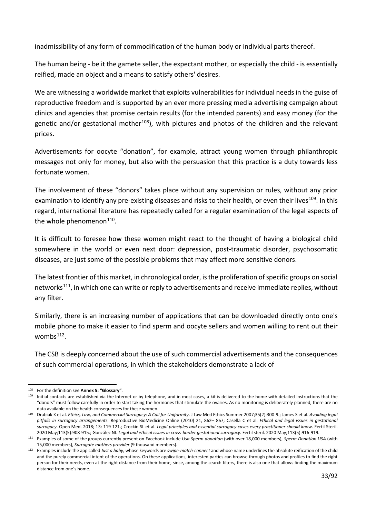inadmissibility of any form of commodification of the human body or individual parts thereof.

The human being - be it the gamete seller, the expectant mother, or especially the child - is essentially reified, made an object and a means to satisfy others' desires.

We are witnessing a worldwide market that exploits vulnerabilities for individual needs in the guise of reproductive freedom and is supported by an ever more pressing media advertising campaign about clinics and agencies that promise certain results (for the intended parents) and easy money (for the genetic and/or gestational mother<sup>108</sup>), with pictures and photos of the children and the relevant prices.

Advertisements for oocyte "donation", for example, attract young women through philanthropic messages not only for money, but also with the persuasion that this practice is a duty towards less fortunate women.

The involvement of these "donors" takes place without any supervision or rules, without any prior examination to identify any pre-existing diseases and risks to their health, or even their lives<sup>[109](#page-32-1)</sup>. In this regard, international literature has repeatedly called for a regular examination of the legal aspects of the whole phenomenon $110$ .

It is difficult to foresee how these women might react to the thought of having a biological child somewhere in the world or even next door: depression, post-traumatic disorder, psychosomatic diseases, are just some of the possible problems that may affect more sensitive donors.

The latest frontier of this market, in chronological order, is the proliferation of specific groups on social networks<sup>111</sup>, in which one can write or reply to advertisements and receive immediate replies, without any filter.

Similarly, there is an increasing number of applications that can be downloaded directly onto one's mobile phone to make it easier to find sperm and oocyte sellers and women willing to rent out their wombs<sup>112</sup>.

The CSB is deeply concerned about the use of such commercial advertisements and the consequences of such commercial operations, in which the stakeholders demonstrate a lack of

<span id="page-32-0"></span><sup>108</sup> For the definition see **Annex 5: "Glossary"**.

<span id="page-32-1"></span><sup>109</sup> Initial contacts are established via the Internet or by telephone, and in most cases, a kit is delivered to the home with detailed instructions that the "donors" must follow carefully in order to start taking the hormones that stimulate the ovaries. As no monitoring is deliberately planned, there are no data available on the health consequences for these women.

<span id="page-32-2"></span><sup>110</sup> Drabiak K et al. *Ethics, Law, and Commercial Surrogacy: A Call for Uniformity*. J Law Med Ethics Summer 2007;35(2):300-9.; James S et al. *Avoiding legal pitfalls in surrogacy arrangements*. Reproductive BioMedicine Online (2010) 21, 862– 867; Casella C et al. *Ethical and legal issues in gestational surrogacy*. Open Med. 2018; 13: 119-121.; Crockin SL et al. *Legal principles and essential surrogacy cases every practitioner should know*. Fertil Steril. 2020 May;113(5):908-915.; González NI. *Legal and ethical issues in cross-border gestational surrogacy.* Fertil steril. 2020 May;113(5):916-919.

<span id="page-32-3"></span><sup>111</sup> Examples of some of the groups currently present on Facebook include *Usa Sperm donation* (with over 18,000 members), *Sperm Donation USA* (with 15,000 members), *Surrogate mothers provider* (9 thousand members).

<span id="page-32-4"></span><sup>112</sup> Examples include the app called *Just a baby,* whose keywords are *swipe-match-connect* and whose name underlines the absolute reification of the child and the purely commercial intent of the operations. On these applications, interested parties can browse through photos and profiles to find the right person for their needs, even at the right distance from their home, since, among the search filters, there is also one that allows finding the maximum distance from one's home.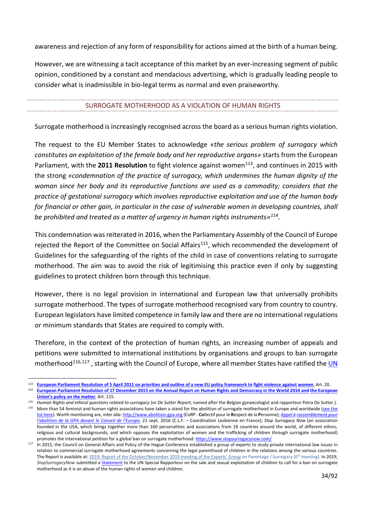awareness and rejection of any form of responsibility for actions aimed at the birth of a human being.

However, we are witnessing a tacit acceptance of this market by an ever-increasing segment of public opinion, conditioned by a constant and mendacious advertising, which is gradually leading people to consider what is inadmissible in bio-legal terms as normal and even praiseworthy.

#### SURROGATE MOTHERHOOD AS A VIOLATION OF HUMAN RIGHTS

<span id="page-33-0"></span>Surrogate motherhood is increasingly recognised across the board as a serious human rights violation.

The request to the EU Member States to acknowledge *«the serious problem of surrogacy which constitutes an exploitation of the female body and her reproductive organs»* starts from the European Parliament, with the 2011 Resolution to fight violence against women<sup>[113](#page-33-1)</sup>, and continues in 2015 with the strong *«condemnation of the practice of surrogacy, which undermines the human dignity of the woman since her body and its reproductive functions are used as a commodity; considers that the practice of gestational surrogacy which involves reproductive exploitation and use of the human body for financial or other gain, in particular in the case of vulnerable women in developing countries, shall be prohibited and treated as a matter of urgency in human rights instruments»[114](#page-33-2)*.

This condemnation was reiterated in 2016, when the Parliamentary Assembly of the Council of Europe rejected the Report of the Committee on Social Affairs<sup>115</sup>, which recommended the development of Guidelines for the safeguarding of the rights of the child in case of conventions relating to surrogate motherhood. The aim was to avoid the risk of legitimising this practice even if only by suggesting guidelines to protect children born through this technique.

However, there is no legal provision in international and European law that universally prohibits surrogate motherhood. The types of surrogate motherhood recognised vary from country to country. European legislators have limited competence in family law and there are no international regulations or minimum standards that States are required to comply with.

Therefore, in the context of the protection of human rights, an increasing number of appeals and petitions were submitted to international institutions by organisations and groups to ban surrogate motherhood<sup>[116,](#page-33-4)[117](#page-33-5)</sup>, starting with the Council of Europe, where all member States have ratified the **UN** 

<span id="page-33-2"></span><span id="page-33-1"></span><sup>113</sup> **[European Parliament Resolution of 5 April 2011 on priorities and outline of a new EU policy framework to](https://www.europarl.europa.eu/doceo/document/TA-7-2011-0127_IT.html?redirect) [fight violence against women](https://www.europarl.europa.eu/doceo/document/TA-7-2011-0127_IT.html?redirect)**, Art. 20. <sup>114</sup> **[European Parliament Resolution of 17 December 2015 on the Annual Report on Human Rights and Democracy in the World 2014 and](https://www.europarl.europa.eu/doceo/document/TA-8-2015-0470_IT.html) [the European](https://www.europarl.europa.eu/doceo/document/TA-8-2015-0470_IT.html)  [Union's policy on the matter](https://www.europarl.europa.eu/doceo/document/TA-8-2015-0470_IT.html)**, Art. 115.

<span id="page-33-4"></span><span id="page-33-3"></span><sup>115</sup> *Human Rights and ethical questions related to surrogacy* (or *De Sutter Report*, named after the Belgian gynaecologist and rapporteur Petra De Sutter.). <sup>116</sup> More than 54 feminist and human rights associations have taken a stand for the abolition of surrogate motherhood in Europe and worldwide (see the [list here\).](http://coordinationlesbienne.org/spip.php?article361) Worth mentioning are, *inter alia*[: http://www.abolition-gpa.org](http://www.abolition-gpa.org/) (CoRP - **Co**llectif pour le **R**espect de la **P**ersonne); *[Appel à](http://coordinationlesbienne.org/spip.php?article364) [rassemblement pour](http://coordinationlesbienne.org/spip.php?article364)  [l'abolition de la GPA devant le Conseil de l'Europe](http://coordinationlesbienne.org/spip.php?article364)*, 21 sept. 2016 (C.L.F. – Coordination Lesbienne en France); *Stop Surrogacy Now* (an association founded in the USA, which brings together more than 160 personalities and associations from 18 countries around the world, of different ethnic, religious and cultural backgrounds, and which opposes the exploitation of women and the trafficking of children through surrogate motherhood) promotes the international petition for a global ban on surrogate motherhood[: https://www.stopsurrogacynow.com/](https://www.stopsurrogacynow.com/)

<span id="page-33-5"></span> $117$  In 2015, the Council on General Affairs and Policy of the Hague Conference established a group of experts to study private international law issues in relation to commercial surrogate motherhood agreements concerning the legal parenthood of children in the relations among the various countries. The Report is available at[: 2019:](https://assets.hcch.net/docs/d435cffc-65ce-4047-b603-ff63ed20591c.pdf) [Report of the October/November 2019 meeting of the Experts' Group](https://assets.hcch.net/docs/d435cffc-65ce-4047-b603-ff63ed20591c.pdf) [on Parentage / Surrogacy \(6th](https://assets.hcch.net/docs/d435cffc-65ce-4047-b603-ff63ed20591c.pdf) meeting). In 2019, *StopSurrogacyNow* submitted a [Statement](http://www.stopsurrogacynow.com/the-statement/%23sthash.YpqtC0xT.dpbs) to the UN Special Rapporteur on the sale and sexual exploitation of children to call for a ban on surrogate motherhood as it is an abuse of the human rights of women and children.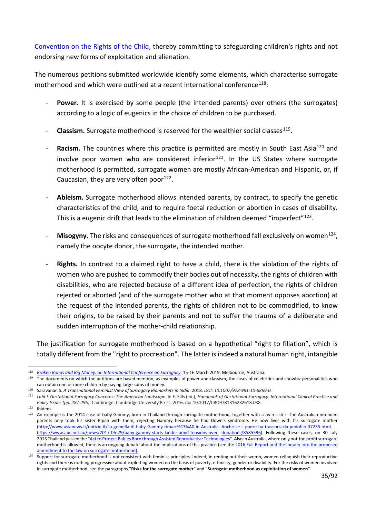[Convention on the Rights of the Child,](https://treaties.un.org/Pages/ViewDetails.aspx?src=TREATY&mtdsg_no=IV-11&chapter=4&clang=_en) thereby committing to safeguarding children's rights and not endorsing new forms of exploitation and alienation.

The numerous petitions submitted worldwide identify some elements, which characterise surrogate motherhood and which were outlined at a recent international conference<sup>[118](#page-34-0)</sup>:

- **Power.** It is exercised by some people (the intended parents) over others (the surrogates) according to a logic of eugenics in the choice of children to be purchased.
- Classism. Surrogate motherhood is reserved for the wealthier social classes<sup>119</sup>.
- Racism. The countries where this practice is permitted are mostly in South East Asia<sup>[120](#page-34-2)</sup> and involve poor women who are considered inferior<sup>121</sup>. In the US States where surrogate motherhood is permitted, surrogate women are mostly African-American and Hispanic, or, if Caucasian, they are very often poor $^{122}$ .
- Ableism. Surrogate motherhood allows intended parents, by contract, to specify the genetic characteristics of the child, and to require foetal reduction or abortion in cases of disability. This is a eugenic drift that leads to the elimination of children deemed "imperfect"<sup>[123](#page-34-5)</sup>.
- Misogyny. The risks and consequences of surrogate motherhood fall exclusively on women<sup>124</sup>, namely the oocyte donor, the surrogate, the intended mother.
- **Rights.** In contrast to a claimed right to have a child, there is the violation of the rights of women who are pushed to commodify their bodies out of necessity, the rights of children with disabilities, who are rejected because of a different idea of perfection, the rights of children rejected or aborted (and of the surrogate mother who at that moment opposes abortion) at the request of the intended parents, the rights of children not to be commodified, to know their origins, to be raised by their parents and not to suffer the trauma of a deliberate and sudden interruption of the mother-child relationship.

The justification for surrogate motherhood is based on a hypothetical "right to filiation", which is totally different from the "right to procreation". The latter is indeed a natural human right, intangible

<span id="page-34-5"></span><span id="page-34-4"></span> $122$  Ibidem.<br> $123$  An exar

<span id="page-34-0"></span><sup>118</sup> *[Broken Bonds and Big Money: an International Conference on Surrogacy.](http://www.stopsurrogacynow.com/broken-bonds-and-big-money-conference-summary/%23sthash.tJ0jr8oT.dpbs)* 15-16 March 2019. Melbourne, Australia.

<span id="page-34-1"></span><sup>&</sup>lt;sup>119</sup> The documents on which the petitions are based mention, as examples of power and classism, the cases of celebrities and showbiz personalities who can obtain one or more children by paying large sums of money.

<sup>120</sup> Saravanan S. *A Transnational Feminist View of Surrogacy Biomarkets in India*. 2018. *DOI[: 10.1007/978-981-10-6869-0.](https://www.researchgate.net/deref/http%3A%2F%2Fdx.doi.org%2F10.1007%2F978-981-10-6869-0)*

<span id="page-34-3"></span><span id="page-34-2"></span><sup>121</sup> Lahl J. Gestational Surrogacy Concerns: The American Landscape. In E. Sills (ed.), Handbook of Gestational Surrogacy: International Clinical Practice and *Policy Issues (pp. 287-295).* Cambridge: Cambridge University Press. 2016. doi:10.1017/CBO9781316282618.038.

<sup>123</sup> An example is the 2014 case of baby Gammy, born in Thailand through surrogate motherhood, together with a twin sister. The Australian intended parents only took his sister Pipah with them, rejecting Gammy because he had Down's syndrome. He now lives with his surrogate mother [\(http://www.asianews.it/notizie-it/La-gemella-di-baby-Gammy-rimarr%C3%A0-in-Australia.-Anche-se-il-padre-ha-](http://www.asianews.it/notizie-it/La-gemella-di-baby-Gammy-rimarr%C3%A0-in-Australia.-Anche-se-il-padre-ha-trascorsi-da-pedofilo-37235.html)trascorsi-da-pedofilo-37235.html. <https://www.abc.net.au/news/2017-06-29/baby-gammy-starts-kinder-amid-tensions-over-> [donations/8585596\).](https://www.abc.net.au/news/2017-06-29/baby-gammy-starts-kinder-amid-tensions-over-donations/8585596) Following these cases, on 30 July 2015 Thailand passed the ["Act to Protect Babies Born through Assisted](https://www.loc.gov/law/foreign-news/article/thailand-new-surrogacy-law/) [Reproductive Technologies"](https://www.loc.gov/law/foreign-news/article/thailand-new-surrogacy-law/). Also in Australia, where only not-for-profit surrogate motherhood is allowed, there is an ongoing debate about the implications of this practice (see the 2016 Full Report and the Inquiry into the proposed [amendment to the law on surrogate motherhood\).](https://www.parliament.wa.gov.au/Parliament/commit.nsf/luInquiryPublicSubmissions/F0182973867983C0482583FA00103408/%24file/ls.sla.190429.sub.023.sh.pdf)

<span id="page-34-6"></span>Support for surrogate motherhood is not consistent with feminist principles. Indeed, in renting out their womb, women relinquish their reproductive rights and there is nothing progressive about exploiting women on the basis of poverty, ethnicity, gender or disability. For the risks of women involved in surrogate motherhood, see the paragraphs **"Risks for the surrogate mother"** and **"Surrogate motherhood as exploitation of women"**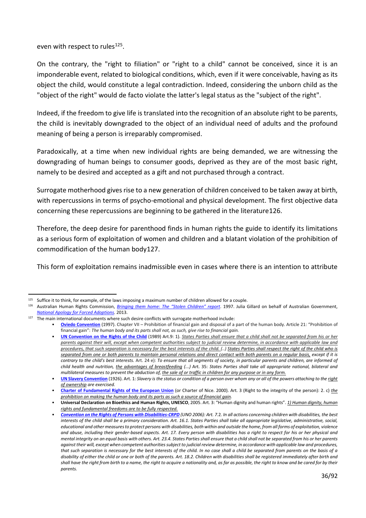even with respect to rules<sup>[125](#page-35-0)</sup>.

On the contrary, the "right to filiation" or "right to a child" cannot be conceived, since it is an imponderable event, related to biological conditions, which, even if it were conceivable, having as its object the child, would constitute a legal contradiction. Indeed, considering the unborn child as the "object of the right" would de facto violate the latter's legal status as the "subject of the right".

Indeed, if the freedom to give life is translated into the recognition of an absolute right to be parents, the child is inevitably downgraded to the object of an individual need of adults and the profound meaning of being a person is irreparably compromised.

Paradoxically, at a time when new individual rights are being demanded, we are witnessing the downgrading of human beings to consumer goods, deprived as they are of the most basic right, namely to be desired and accepted as a gift and not purchased through a contract.

Surrogate motherhood gives rise to a new generation of children conceived to be taken away at birth, with repercussions in terms of psycho-emotional and physical development. The first objective data concerning these repercussions are beginning to be gathered in the literature[126](#page-35-1).

Therefore, the deep desire for parenthood finds in human rights the guide to identify its limitations as a serious form of exploitation of women and children and a blatant violation of the prohibition of commodification of the human body[127](#page-35-2).

This form of exploitation remains inadmissible even in cases where there is an intention to attribute

<span id="page-35-1"></span><span id="page-35-0"></span><sup>&</sup>lt;sup>125</sup> Suffice it to think, for example, of the laws imposing a maximum number of children allowed for a couple.<br><sup>126</sup> Australian Human Rights Commission, *Bringing them home: The "Stolen Children" renort*, 1997, Julia (

<sup>126</sup> Australian Human Rights Commission, *[Bringing them home:](https://humanrights.gov.au/sites/default/files/content/pdf/social_justice/bringing_them_home_report.pdf?_ga=2.41988133.1813079075.1615387351-1831874424.1615387351) [The "Stolen Children" report](https://humanrights.gov.au/sites/default/files/content/pdf/social_justice/bringing_them_home_report.pdf?_ga=2.41988133.1813079075.1615387351-1831874424.1615387351)*. 1997. Julia Gillard on behalf of Australian Government, *[National Apology for Forced Adoptions.](https://www.ag.gov.au/sites/default/files/2020-03/Nationalapologyforforcedadoptions.PDF)* 2013.

<span id="page-35-2"></span> $127$  The main international documents where such desire conflicts with surrogate motherhood include:

<sup>•</sup> **[Oviedo Convention](https://www.coe.int/it/web/conventions/full-list/-/conventions/treaty/164)** (1997). Chapter VII – Prohibition of financial gain and disposal of a part of the human body. Article 21: "Prohibition of financial gain": *The human body and its parts shall not, as such, give rise to financial gain.*

<sup>•</sup> **[UN Convention on the Rights of the Child](https://www.datocms-assets.com/30196/1602520031-convenzione-diritti-infanzia.pdf)** (1989) Art.9: 1). *States Parties shall ensure that a child shall not be separated from his or her parents against their will, except when competent authorities subject to judicial review determine, in accordance with applicable law and procedures, that such separation is necessary for the best interests of the child. (..) States Parties shall respect the right of the child who is separated from one or both parents to maintain personal relations and direct contact with both parents on a regular basis, except if it is contrary to the child's best interests.* Art. 24 e): *To ensure that all segments of society, in particular parents and children, are informed of child health and nutrition, the advantages of breastfeeding (...)* Art. 35: *States Parties shall take all appropriate national, bilateral and multilateral measures to prevent the abduction of, the sale of or traffic in children for any purpose or in any form.*

<sup>•</sup> **[UN Slavery Convention](https://www.ohchr.org/Documents/ProfessionalInterest/slavery.pdf)** (1926). Art. 1: *Slavery is the status or condition of a person over whom any or all of the powers attaching to the right of ownership are exercised.*

<sup>•</sup> **Charter of Fundamental Rights of the European Union** (or Charter of Nice. 2000). Art. 3 (Right to the integrity of the person): 2. c) *the prohibition on making the human body and its parts as such a source of financial gain.*

<sup>•</sup> **Universal Declaration on Bioethics and Human Rights, UNESCO**, 2005. Art. 3: "Human dignity and human rights". *1) Human dignity, human rights and fundamental freedoms are to be fully respected.*

<sup>•</sup> *[Convention on the Rights of Persons with Disabilities-CRPD](https://www.datocms-assets.com/30196/1607611723-convenzionedirittipersonedisabili.pdf) (UNO 2006): Art. 7.*2*. In all actions concerning children with disabilities, the best interests of the child shall be a primary consideration. Art. 16.1. States Parties shall take all appropriate legislative, administrative, social, educational and other measures to protect persons with disabilities, both within and outside the home, from all forms of exploitation, violence and abuse, including their gender-based aspects. Art. 17. Every person with disabilities has a right to respect for his or her physical and mental integrity on an equal basis with others. Art. 23.4. States Parties shall ensure that a child shall not be separated from his or her parents against their will, except when competent authorities subject to judicial review determine, in accordance with applicable law and procedures, that such separation is necessary for the best interests of the child. In no case shall a child be separated from parents on the basis of a disability of either the child or one or both of the parents. Art. 18.2. Children with disabilities shall be registered immediately after birth and shall have the right from birth to a name, the right to acquire a nationality and, as far as possible, the right to know and be cared for by their parents.*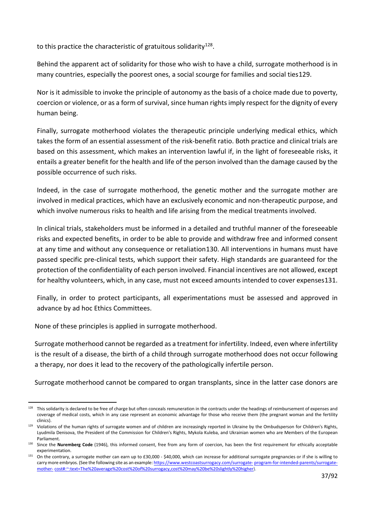to this practice the characteristic of gratuitous solidarity<sup>128</sup>.

Behind the apparent act of solidarity for those who wish to have a child, surrogate motherhood is in many countries, especially the poorest ones, a social scourge for families and social ties[129](#page-36-1).

Nor is it admissible to invoke the principle of autonomy as the basis of a choice made due to poverty, coercion or violence, or as a form of survival, since human rights imply respect for the dignity of every human being.

Finally, surrogate motherhood violates the therapeutic principle underlying medical ethics, which takes the form of an essential assessment of the risk-benefit ratio. Both practice and clinical trials are based on this assessment, which makes an intervention lawful if, in the light of foreseeable risks, it entails a greater benefit for the health and life of the person involved than the damage caused by the possible occurrence of such risks.

Indeed, in the case of surrogate motherhood, the genetic mother and the surrogate mother are involved in medical practices, which have an exclusively economic and non-therapeutic purpose, and which involve numerous risks to health and life arising from the medical treatments involved.

In clinical trials, stakeholders must be informed in a detailed and truthful manner of the foreseeable risks and expected benefits, in order to be able to provide and withdraw free and informed consent at any time and without any consequence or retaliation[130.](#page-36-2) All interventions in humans must have passed specific pre-clinical tests, which support their safety. High standards are guaranteed for the protection of the confidentiality of each person involved. Financial incentives are not allowed, except for healthy volunteers, which, in any case, must not exceed amounts intended to cover expenses[131](#page-36-3).

Finally, in order to protect participants, all experimentations must be assessed and approved in advance by ad hoc Ethics Committees.

None of these principles is applied in surrogate motherhood.

Surrogate motherhood cannot be regarded as a treatment for infertility. Indeed, even where infertility is the result of a disease, the birth of a child through surrogate motherhood does not occur following a therapy, nor does it lead to the recovery of the pathologically infertile person.

Surrogate motherhood cannot be compared to organ transplants, since in the latter case donors are

<span id="page-36-0"></span><sup>&</sup>lt;sup>128</sup> This solidarity is declared to be free of charge but often conceals remuneration in the contracts under the headings of reimbursement of expenses and coverage of medical costs, which in any case represent an economic advantage for those who receive them (the pregnant woman and the fertility clinics).

<span id="page-36-1"></span><sup>129</sup> Violations of the human rights of surrogate women and of children are increasingly reported in Ukraine by the Ombudsperson for Children's Rights, Lyudmila Denisova, the President of the Commission for Children's Rights, Mykola Kuleba, and Ukrainian women who are Members of the European Parliament.

<span id="page-36-2"></span><sup>130</sup> Since the **Nuremberg Code** (1946), this informed consent, free from any form of coercion, has been the first requirement for ethically acceptable experimentation.

<span id="page-36-3"></span> $131$  On the contrary, a surrogate mother can earn up to £30,000 - \$40,000, which can increase for additional surrogate pregnancies or if she is willing to carry more embryos. (See the following site as an example[: https://www.westcoastsurrogacy.com/surrogate-](https://www.westcoastsurrogacy.com/surrogate-program-for-intended-parents/surrogate-mother-cost%23%3A%7E%3Atext%3DThe%20average%20cost%20of%20surrogacy%2Ccost%20may%20be%20slightly%20higher) [program-for-intended-parents/surrogate](https://www.westcoastsurrogacy.com/surrogate-program-for-intended-parents/surrogate-mother-cost%23%3A%7E%3Atext%3DThe%20average%20cost%20of%20surrogacy%2Ccost%20may%20be%20slightly%20higher)[mother-](https://www.westcoastsurrogacy.com/surrogate-program-for-intended-parents/surrogate-mother-cost%23%3A%7E%3Atext%3DThe%20average%20cost%20of%20surrogacy%2Ccost%20may%20be%20slightly%20higher) [cost#:~:text=The%20average%20cost%20of%20surrogacy,cost%20may%20be%20slightly%20higher\).](https://www.westcoastsurrogacy.com/surrogate-program-for-intended-parents/surrogate-mother-cost%23%3A%7E%3Atext%3DThe%20average%20cost%20of%20surrogacy%2Ccost%20may%20be%20slightly%20higher)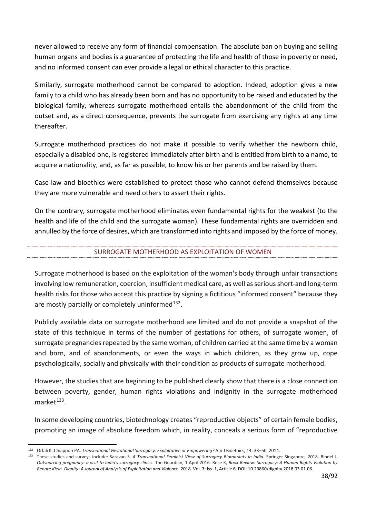never allowed to receive any form of financial compensation. The absolute ban on buying and selling human organs and bodies is a guarantee of protecting the life and health of those in poverty or need, and no informed consent can ever provide a legal or ethical character to this practice.

Similarly, surrogate motherhood cannot be compared to adoption. Indeed, adoption gives a new family to a child who has already been born and has no opportunity to be raised and educated by the biological family, whereas surrogate motherhood entails the abandonment of the child from the outset and, as a direct consequence, prevents the surrogate from exercising any rights at any time thereafter.

Surrogate motherhood practices do not make it possible to verify whether the newborn child, especially a disabled one, is registered immediately after birth and is entitled from birth to a name, to acquire a nationality, and, as far as possible, to know his or her parents and be raised by them.

Case-law and bioethics were established to protect those who cannot defend themselves because they are more vulnerable and need others to assert their rights.

On the contrary, surrogate motherhood eliminates even fundamental rights for the weakest (to the health and life of the child and the surrogate woman). These fundamental rights are overridden and annulled by the force of desires, which are transformed into rights and imposed by the force of money.

## SURROGATE MOTHERHOOD AS EXPLOITATION OF WOMEN

Surrogate motherhood is based on the exploitation of the woman's body through unfair transactions involving low remuneration, coercion, insufficient medical care, as well as serious short-and long-term health risks for those who accept this practice by signing a fictitious "informed consent" because they are mostly partially or completely uninformed $132$ .

Publicly available data on surrogate motherhood are limited and do not provide a snapshot of the state of this technique in terms of the number of gestations for others, of surrogate women, of surrogate pregnancies repeated by the same woman, of children carried at the same time by a woman and born, and of abandonments, or even the ways in which children, as they grow up, cope psychologically, socially and physically with their condition as products of surrogate motherhood.

However, the studies that are beginning to be published clearly show that there is a close connection between poverty, gender, human rights violations and indignity in the surrogate motherhood market $133$ .

In some developing countries, biotechnology creates "reproductive objects" of certain female bodies, promoting an image of absolute freedom which, in reality, conceals a serious form of "reproductive

<span id="page-37-1"></span><span id="page-37-0"></span><sup>132</sup> Orfali K, Chiappori PA. *Transnational Gestational Surrogacy: Exploitative or Empowering?* Am J Bioethics, 14: 33–50, 2014.

<sup>133</sup> These studies and surveys include: Saravan S. *A Transnational Feminist View of Surrogacy Biomarkets in India.* Springer Singapore*,* 2018. Bindel J, *[Outsourcing pregnancy: a visit to India's surrogacy clinics.](https://www.theguardian.com/global-development/2016/apr/01/outsourcing-pregnancy-india-surrogacy-clinics-julie-bindel)* The Guardian, 1 April 2016*.* Rose K, *[Book Review:](https://digitalcommons.uri.edu/cgi/viewcontent.cgi?article=1102&context=dignity) [Surrogacy:](https://digitalcommons.uri.edu/cgi/viewcontent.cgi?article=1102&context=dignity) [A Human](https://digitalcommons.uri.edu/cgi/viewcontent.cgi?article=1102&context=dignity) Rights [Violation by](https://digitalcommons.uri.edu/cgi/viewcontent.cgi?article=1102&context=dignity)  [Renate Klein.](https://digitalcommons.uri.edu/cgi/viewcontent.cgi?article=1102&context=dignity) Dignity: A Journal of Analysis of Exploitation and Violence*. 2018. Vol. 3: Iss. 1, Article 6. DOI: 10.23860/dignity.2018.03.01.06.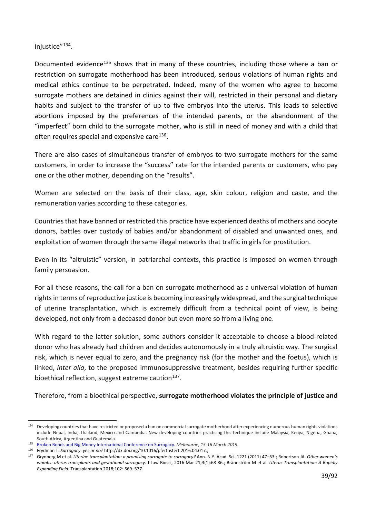injustice"<sup>[134](#page-38-0)</sup>.

Documented evidence<sup>[135](#page-38-1)</sup> shows that in many of these countries, including those where a ban or restriction on surrogate motherhood has been introduced, serious violations of human rights and medical ethics continue to be perpetrated. Indeed, many of the women who agree to become surrogate mothers are detained in clinics against their will, restricted in their personal and dietary habits and subject to the transfer of up to five embryos into the uterus. This leads to selective abortions imposed by the preferences of the intended parents, or the abandonment of the "imperfect" born child to the surrogate mother, who is still in need of money and with a child that often requires special and expensive care<sup>136</sup>.

There are also cases of simultaneous transfer of embryos to two surrogate mothers for the same customers, in order to increase the "success" rate for the intended parents or customers, who pay one or the other mother, depending on the "results".

Women are selected on the basis of their class, age, skin colour, religion and caste, and the remuneration varies according to these categories.

Countries that have banned or restricted this practice have experienced deaths of mothers and oocyte donors, battles over custody of babies and/or abandonment of disabled and unwanted ones, and exploitation of women through the same illegal networks that traffic in girls for prostitution.

Even in its "altruistic" version, in patriarchal contexts, this practice is imposed on women through family persuasion.

For all these reasons, the call for a ban on surrogate motherhood as a universal violation of human rights in terms of reproductive justice is becoming increasingly widespread, and the surgical technique of uterine transplantation, which is extremely difficult from a technical point of view, is being developed, not only from a deceased donor but even more so from a living one.

With regard to the latter solution, some authors consider it acceptable to choose a blood-related donor who has already had children and decides autonomously in a truly altruistic way. The surgical risk, which is never equal to zero, and the pregnancy risk (for the mother and the foetus), which is linked, *inter alia*, to the proposed immunosuppressive treatment, besides requiring further specific bioethical reflection, suggest extreme caution $137$ .

Therefore, from a bioethical perspective, **surrogate motherhood violates the principle of justice and** 

<span id="page-38-0"></span><sup>134</sup> Developing countries that have restricted or proposed a ban on commercial surrogate motherhood after experiencing numerous human rights violations include Nepal, India, Thailand, Mexico and Cambodia. New developing countries practising this technique include Malaysia, Kenya, Nigeria, Ghana, South Africa, Argentina and Guatemala.

<span id="page-38-1"></span><sup>135</sup> [Broken Bonds and Big Money International Conference on Surrogacy](https://www.facebook.com/events/227590868121210/)*. Melbourne, 15-16 March 2019.*

<span id="page-38-3"></span><span id="page-38-2"></span><sup>136</sup> Frydman T. *Surrogacy: yes or no?* [http://dx.doi.org/10.1016/j.fertnstert.2016.04.017.;](http://dx.doi.org/10.1016/j.fertnstert.2016.04.017.%3B)

<sup>137</sup> Grynberg M et al. *Uterine transplantation: a promising surrogate to surrogacy?* Ann. N.Y. Acad. Sci. 1221 (2011) 47–53.; Robertson JA. *Other women's wombs: uterus transplants and gestational surrogacy*. J Law Biosci, 2016 Mar 21;3(1):68-86.; Brännström M et al. *Uterus Transplantation: A Rapidly Expanding Field.* Transplantation 2018;102: 569–577.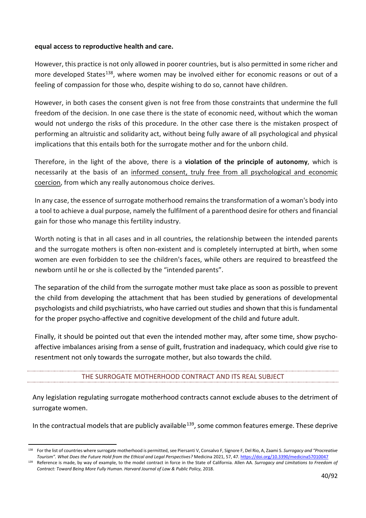#### **equal access to reproductive health and care.**

However, this practice is not only allowed in poorer countries, but is also permitted in some richer and more developed States<sup>[138](#page-39-0)</sup>, where women may be involved either for economic reasons or out of a feeling of compassion for those who, despite wishing to do so, cannot have children.

However, in both cases the consent given is not free from those constraints that undermine the full freedom of the decision. In one case there is the state of economic need, without which the woman would not undergo the risks of this procedure. In the other case there is the mistaken prospect of performing an altruistic and solidarity act, without being fully aware of all psychological and physical implications that this entails both for the surrogate mother and for the unborn child.

Therefore, in the light of the above, there is a **violation of the principle of autonomy**, which is necessarily at the basis of an informed consent, truly free from all psychological and economic coercion, from which any really autonomous choice derives.

In any case, the essence of surrogate motherhood remains the transformation of a woman's body into a tool to achieve a dual purpose, namely the fulfilment of a parenthood desire for others and financial gain for those who manage this fertility industry.

Worth noting is that in all cases and in all countries, the relationship between the intended parents and the surrogate mothers is often non-existent and is completely interrupted at birth, when some women are even forbidden to see the children's faces, while others are required to breastfeed the newborn until he or she is collected by the "intended parents".

The separation of the child from the surrogate mother must take place as soon as possible to prevent the child from developing the attachment that has been studied by generations of developmental psychologists and child psychiatrists, who have carried out studies and shown that this is fundamental for the proper psycho-affective and cognitive development of the child and future adult.

Finally, it should be pointed out that even the intended mother may, after some time, show psychoaffective imbalances arising from a sense of guilt, frustration and inadequacy, which could give rise to resentment not only towards the surrogate mother, but also towards the child.

## THE SURROGATE MOTHERHOOD CONTRACT AND ITS REAL SUBJECT

Any legislation regulating surrogate motherhood contracts cannot exclude abuses to the detriment of surrogate women.

In the contractual models that are publicly available<sup>139</sup>, some common features emerge. These deprive

<span id="page-39-0"></span><sup>138</sup> For the list of countries where surrogate motherhood is permitted, see Piersanti V, Consalvo F, Signore F, Del Rio, A, Zaami S. *Surrogacy and "Procreative Tourism". What Does the Future Hold from the Ethical and Legal Perspectives?* Medicina 2021, 57, 47[. https://doi.org/10.3390/medicina57010047](https://doi.org/10.3390/medicina57010047)

<span id="page-39-1"></span><sup>139</sup> Reference is made, by way of example, to the model contract in force in the State of California. Allen AA. *Surrogacy and Limitations to Freedom of Contract: Toward Being More Fully Human. Harvard Journal of Law & Public Policy,* 2018.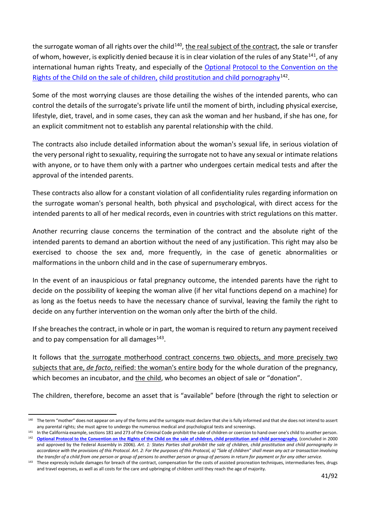the surrogate woman of all rights over the child<sup>[140](#page-40-0)</sup>, the real subject of the contract, the sale or transfer of whom, however, is explicitly denied because it is in clear violation of the rules of any State<sup>[141](#page-40-1)</sup>, of any international human rights Treaty, and especially of the [Optional](https://www.datocms-assets.com/30196/1602518565-protocollovenditaprostituzione.pdf) Protocol to the Convention on the [Rights of the Child on the sale of children,](https://www.datocms-assets.com/30196/1602518565-protocollovenditaprostituzione.pdf) [child prostitution and child pornography](https://www.datocms-assets.com/30196/1602518565-protocollovenditaprostituzione.pdf)<sup>[142](#page-40-2)</sup>.

Some of the most worrying clauses are those detailing the wishes of the intended parents, who can control the details of the surrogate's private life until the moment of birth, including physical exercise, lifestyle, diet, travel, and in some cases, they can ask the woman and her husband, if she has one, for an explicit commitment not to establish any parental relationship with the child.

The contracts also include detailed information about the woman's sexual life, in serious violation of the very personal right to sexuality, requiring the surrogate not to have any sexual or intimate relations with anyone, or to have them only with a partner who undergoes certain medical tests and after the approval of the intended parents.

These contracts also allow for a constant violation of all confidentiality rules regarding information on the surrogate woman's personal health, both physical and psychological, with direct access for the intended parents to all of her medical records, even in countries with strict regulations on this matter.

Another recurring clause concerns the termination of the contract and the absolute right of the intended parents to demand an abortion without the need of any justification. This right may also be exercised to choose the sex and, more frequently, in the case of genetic abnormalities or malformations in the unborn child and in the case of supernumerary embryos.

In the event of an inauspicious or fatal pregnancy outcome, the intended parents have the right to decide on the possibility of keeping the woman alive (if her vital functions depend on a machine) for as long as the foetus needs to have the necessary chance of survival, leaving the family the right to decide on any further intervention on the woman only after the birth of the child.

If she breaches the contract, in whole or in part, the woman is required to return any payment received and to pay compensation for all damages $143$ .

It follows that the surrogate motherhood contract concerns two objects, and more precisely two subjects that are, *de facto*, reified: the woman's entire body for the whole duration of the pregnancy, which becomes an incubator, and the child, who becomes an object of sale or "donation".

The children, therefore, become an asset that is "available" before (through the right to selection or

<span id="page-40-0"></span><sup>140</sup> The term "mother" does not appear on any of the forms and the surrogate must declare that she is fully informed and that she does not intend to assert any parental rights; she must agree to undergo the numerous medical and psychological tests and screenings.

<span id="page-40-2"></span><span id="page-40-1"></span><sup>&</sup>lt;sup>141</sup> In the California example, sections 181 and 273 of the Criminal Code prohibit the sale of children or coercion to hand over one's child to another person.

<sup>142</sup> **[Optional Protocol to the Convention on the Rights of the Child on the sale of children, child prostitution and](https://fedlex.data.admin.ch/filestore/fedlex.data.admin.ch/eli/cc/2006/824/20160331/it/pdf-a/fedlex-data-admin-ch-eli-cc-2006-824-20160331-it-pdf-a.pdf) [child pornography](https://fedlex.data.admin.ch/filestore/fedlex.data.admin.ch/eli/cc/2006/824/20160331/it/pdf-a/fedlex-data-admin-ch-eli-cc-2006-824-20160331-it-pdf-a.pdf)**, (concluded in 2000 and approved by the Federal Assembly in 2006). *Art. 1: States Parties shall prohibit the sale of children, child prostitution and child pornography in accordance with the provisions of this Protocol. Art. 2: For the purposes of this Protocol, a) "Sale of children" shall mean any act or transaction involving the transfer of a child from one person or group of persons to another person or group of persons in return for payment or for any other service.*

<span id="page-40-3"></span><sup>143</sup> These expressly include damages for breach of the contract, compensation for the costs of assisted procreation techniques, intermediaries fees, drugs and travel expenses, as well as all costs for the care and upbringing of children until they reach the age of majority.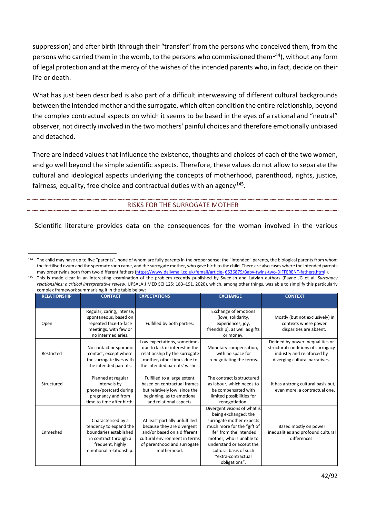suppression) and after birth (through their "transfer" from the persons who conceived them, from the persons who carried them in the womb, to the persons who commissioned them $^{144}$  $^{144}$  $^{144}$ ), without any form of legal protection and at the mercy of the wishes of the intended parents who, in fact, decide on their life or death.

What has just been described is also part of a difficult interweaving of different cultural backgrounds between the intended mother and the surrogate, which often condition the entire relationship, beyond the complex contractual aspects on which it seems to be based in the eyes of a rational and "neutral" observer, not directly involved in the two mothers' painful choices and therefore emotionally unbiased and detached.

There are indeed values that influence the existence, thoughts and choices of each of the two women, and go well beyond the simple scientific aspects. Therefore, these values do not allow to separate the cultural and ideological aspects underlying the concepts of motherhood, parenthood, rights, justice, fairness, equality, free choice and contractual duties with an agency<sup>145</sup>.

RISKS FOR THE SURROGATE MOTHER

Scientific literature provides data on the consequences for the woman involved in the various

<span id="page-41-1"></span><sup>145</sup> This is made clear in an interesting examination of the problem recently published by Swedish and Latvian authors (Payne JG et al. *Surrogacy relationships: a critical interpretative review*. UPSALA J MED SCI 125: 183–191, 2020), which, among other things, was able to simplify this particularly complex framework summarising it in the table below:

| <b>RELATIONSHIP</b> | <b>CONTACT</b>            | <b>EXPECTATIONS</b>            | <b>EXCHANGE</b>               | <b>CONTEXT</b>                      |
|---------------------|---------------------------|--------------------------------|-------------------------------|-------------------------------------|
|                     |                           |                                |                               |                                     |
|                     | Regular, caring, intense, |                                | <b>Exchange of emotions</b>   |                                     |
|                     | spontaneous, based on     |                                | (love, solidarity,            | Mostly (but not exclusively) in     |
| Open                | repeated face-to-face     | Fulfilled by both parties.     | experiences, joy,             | contexts where power                |
|                     | meetings, with few or     |                                | friendship), as well as gifts | disparities are absent.             |
|                     | no intermediaries.        |                                | or money.                     |                                     |
|                     |                           | Low expectations, sometimes    |                               | Defined by power inequalities or    |
|                     | No contact or sporadic    | due to lack of interest in the | Monetary compensation,        | structural conditions of surrogacy  |
| Restricted          | contact, except where     | relationship by the surrogate  | with no space for             | industry and reinforced by          |
|                     | the surrogate lives with  | mother, other times due to     | renegotiating the terms.      | diverging cultural narratives.      |
|                     | the intended parents.     | the intended parents' wishes.  |                               |                                     |
|                     |                           |                                |                               |                                     |
|                     | Planned at regular        | Fulfilled to a large extent,   | The contract is structured    |                                     |
| Structured          | intervals by              | based on contractual frames    | as labour, which needs to     | It has a strong cultural basis but, |
|                     | phone/postcard during     | but relatively low, since the  | be compensated with           | even more, a contractual one.       |
|                     | pregnancy and from        | beginning, as to emotional     | limited possibilities for     |                                     |
|                     | time to time after birth. | and relational aspects.        | renegotiation.                |                                     |
|                     |                           |                                | Divergent visions of what is  |                                     |
|                     |                           |                                | being exchanged: the          |                                     |
|                     | Characterised by a        | At least partially unfulfilled | surrogate mother expects      |                                     |
|                     | tendency to expand the    | because they are divergent     | much more for the "gift of    | Based mostly on power               |
| Enmeshed            | boundaries established    | and/or based on a different    | life" from the intended       | inequalities and profound cultural  |
|                     | in contract through a     | cultural environment in terms  | mother, who is unable to      | differences.                        |
|                     | frequent, highly          | of parenthood and surrogate    | understand or accept the      |                                     |
|                     | emotional relationship.   | motherhood.                    | cultural basis of such        |                                     |
|                     |                           |                                | "extra-contractual            |                                     |
|                     |                           |                                | obligations".                 |                                     |

<span id="page-41-0"></span><sup>&</sup>lt;sup>144</sup> The child may have up to five "parents", none of whom are fully parents in the proper sense: the "intended" parents, the biological parents from whom the fertilised ovum and the spermatozoon came, and the surrogate mother, who gave birth to the child. There are also cases where the intended parents may order twins born from two different father[s \(https://www.dailymail.co.uk/femail/article-](https://www.dailymail.co.uk/femail/article-6636879/Baby-twins-two-DIFFERENT-fathers.html) [6636879/Baby-twins-two-DIFFERENT-fathers.html](https://www.dailymail.co.uk/femail/article-6636879/Baby-twins-two-DIFFERENT-fathers.html) ).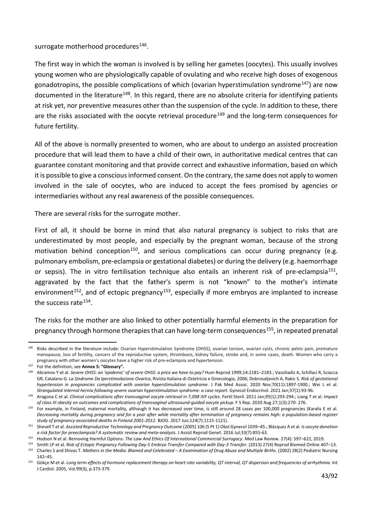#### surrogate motherhood procedures $146$ .

The first way in which the woman is involved is by selling her gametes (oocytes). This usually involves young women who are physiologically capable of ovulating and who receive high doses of exogenous gonadotropins, the possible complications of which (ovarian hyperstimulation syndrome<sup>147</sup>) are now documented in the literature<sup>[148](#page-42-2)</sup>. In this regard, there are no absolute criteria for identifying patients at risk yet, nor preventive measures other than the suspension of the cycle. In addition to these, there are the risks associated with the oocyte retrieval procedure<sup>[149](#page-42-3)</sup> and the long-term consequences for future fertility.

All of the above is normally presented to women, who are about to undergo an assisted procreation procedure that will lead them to have a child of their own, in authoritative medical centres that can guarantee constant monitoring and that provide correct and exhaustive information, based on which it is possible to give a conscious informed consent. On the contrary, the same does not apply to women involved in the sale of oocytes, who are induced to accept the fees promised by agencies or intermediaries without any real awareness of the possible consequences.

There are several risks for the surrogate mother.

First of all, it should be borne in mind that also natural pregnancy is subject to risks that are underestimated by most people, and especially by the pregnant woman, because of the strong motivation behind conception<sup>[150](#page-42-4)</sup>, and serious complications can occur during pregnancy (e.g. pulmonary embolism, pre-eclampsia or gestational diabetes) or during the delivery (e.g. haemorrhage or sepsis). The in vitro fertilisation technique also entails an inherent risk of pre-eclampsia<sup>[151](#page-42-5)</sup>, aggravated by the fact that the father's sperm is not "known" to the mother's intimate environment<sup>[152](#page-42-6)</sup>, and of ectopic pregnancy<sup>153</sup>, especially if more embryos are implanted to increase the success rate[154](#page-42-8).

The risks for the mother are also linked to other potentially harmful elements in the preparation for pregnancy through hormone therapies that can have long-term consequences<sup>155</sup>, in repeated prenatal

<span id="page-42-0"></span><sup>146</sup> Risks described in the literature include: Ovarian Hyperstimulation Syndrome (OHSS), ovarian torsion, ovarian cysts, chronic pelvic pain, premature menopause, loss of fertility, cancers of the reproductive system, thrombosis, kidney failure, stroke and, in some cases, death. Women who carry a pregnancy with other women's oocytes have a higher risk of pre-eclampsia and hypertension.

<span id="page-42-1"></span><sup>147</sup> For the definition, see **Annex 5: "Glossary".**

<span id="page-42-2"></span><sup>&</sup>lt;sup>148</sup> Abramov Y et al. Severe OHSS: an 'epidemic' of severe OHSS: a price we have to pay? Hum Reprod 1999;14:2181-2183.; Vassiliadis A, Schillaci R, Sciacca GR, Catalano G. *La Sindrome Da Iperstimolazione Ovarica*, Rivista Italiana di Ostetricia e Ginecologia, 2006; Dobrosaljevich A, Rakic S. *Risk of gestational*  hypertension in pregnancies complicated with ovarian hyperstimulation syndrome. J Pak Med Assoc. 2020 Nov;70(11):1897-1900.; Wei L et al. *Strangulated internal hernia following severe ovarian hyperstimulation syndrome: a case report.* Gynecol Endocrinol. 2021 Jan;37(1):93-96.

<span id="page-42-3"></span><sup>149</sup> Aragona C et al. *Clinical complications after transvaginal oocyte retrieval in 7,098 IVF cycles*. Fertil Steril. 2011 Jan;95(1):293-294.; Liang T et al. *Impact of class III obesity on outcomes and complications of transvaginal ultrasound-guided oocyte pickup.* F S Rep. 2020 Aug 27;1(3):270- 276.

<span id="page-42-4"></span><sup>&</sup>lt;sup>150</sup> For example, in Finland, maternal mortality, although it has decreased over time, is still around 28 cases per 100,000 pregnancies (Karalis E et al. *Decreasing mortality during pregnancy and for a year after while mortality after termination of pregnancy remains high: a population-based register study of pregnancy-associated deaths in Finland 2001-2012.* BJOG. 2017 Jun;124(7):1115-1121).

<span id="page-42-5"></span><sup>&</sup>lt;sup>151</sup> Shevell T et al. Assisted Reproductive Technology and Pregnancy Outcome (2005) 106 (5 Pt 1) Obst Gynecol 1039-45.; Blázquez A et al. *Is oocyte donation a risk factor for preeclampsia? A systematic review and meta-analysis*. J Assist Reprod Genet. 2016 Jul;33(7):855-63.

<span id="page-42-6"></span><sup>152</sup> Hodson N et al. Removing Harmful Options: *The Law And Ethics Of International Commercial Surrogacy*. Med Law Review. 27(4): 597–622, 2019.

<span id="page-42-8"></span><span id="page-42-7"></span><sup>&</sup>lt;sup>153</sup> Smith LP et al. Risk of Ectopic Pregnancy Following Day-5 Embryo Transfer Compared with Day-3 Transfer. (2013) 27(4) Reprod Biomed Online 407–13. 154 Charles S and Shivas T. Mothers in the Media: Blamed and Celebrated - A Examination of Drug Abuse and Multiple Births. (2002) 28(2) Pediatric Nursing

<sup>142–45.</sup>

<span id="page-42-9"></span><sup>&</sup>lt;sup>155</sup> Gökçe M et al. Long term effects of hormone replacement therapy on heart rate variability, QT interval, QT dispersion and frequencies of arrhythmia. Int J Cardiol. 2005, Vol.99(3), p.373-379.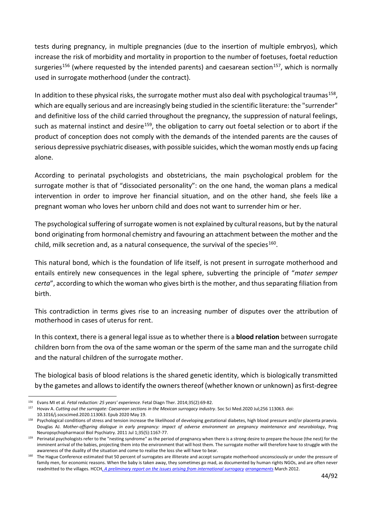tests during pregnancy, in multiple pregnancies (due to the insertion of multiple embryos), which increase the risk of morbidity and mortality in proportion to the number of foetuses, foetal reduction surgeries<sup>156</sup> (where requested by the intended parents) and caesarean section<sup>157</sup>, which is normally used in surrogate motherhood (under the contract).

In addition to these physical risks, the surrogate mother must also deal with psychological traumas<sup>158</sup>, which are equally serious and are increasingly being studied in the scientific literature: the "surrender" and definitive loss of the child carried throughout the pregnancy, the suppression of natural feelings, such as maternal instinct and desire<sup>[159](#page-43-3)</sup>, the obligation to carry out foetal selection or to abort if the product of conception does not comply with the demands of the intended parents are the causes of serious depressive psychiatric diseases, with possible suicides, which the woman mostly ends up facing alone.

According to perinatal psychologists and obstetricians, the main psychological problem for the surrogate mother is that of "dissociated personality": on the one hand, the woman plans a medical intervention in order to improve her financial situation, and on the other hand, she feels like a pregnant woman who loves her unborn child and does not want to surrender him or her.

The psychological suffering of surrogate women is not explained by cultural reasons, but by the natural bond originating from hormonal chemistry and favouring an attachment between the mother and the child, milk secretion and, as a natural consequence, the survival of the species<sup>[160](#page-43-4)</sup>.

This natural bond, which is the foundation of life itself, is not present in surrogate motherhood and entails entirely new consequences in the legal sphere, subverting the principle of "*mater semper certa*", according to which the woman who gives birth is the mother, and thus separating filiation from birth.

This contradiction in terms gives rise to an increasing number of disputes over the attribution of motherhood in cases of uterus for rent.

In this context, there is a general legal issue as to whether there is a **blood relation** between surrogate children born from the ova of the same woman or the sperm of the same man and the surrogate child and the natural children of the surrogate mother.

The biological basis of blood relations is the shared genetic identity, which is biologically transmitted by the gametes and allows to identify the owners thereof (whether known or unknown) as first-degree

<span id="page-43-0"></span><sup>156</sup> Evans MI et al. *Fetal reduction: 25 years' experience.* Fetal Diagn Ther. 2014;35(2):69-82.

<span id="page-43-1"></span><sup>157</sup> Hovav A. *Cutting out the surrogate: Caesarean sections in the Mexican surrogacy industry*. Soc Sci Med.2020 Jul;256 113063. doi: 10.1016/j.socscimed.2020.113063. Epub 2020 May 19.

<span id="page-43-2"></span><sup>&</sup>lt;sup>158</sup> Psychological conditions of stress and tension increase the likelihood of developing gestational diabetes, high blood pressure and/or placenta praevia. Douglas AJ. *Mother-offspring dialogue in early pregnancy: impact of adverse environment on pregnancy maintenance and neurobiology*, Prog Neuropsychopharmacol Biol Psychiatry. 2011 Jul 1;35(5):1167-77.

<span id="page-43-3"></span><sup>159</sup> Perinatal psychologists refer to the "nesting syndrome" as the period of pregnancy when there is a strong desire to prepare the house (the nest) for the imminent arrival of the babies, projecting them into the environment that will host them. The surrogate mother will therefore have to struggle with the awareness of the duality of the situation and come to realise the loss she will have to bear.

<span id="page-43-4"></span><sup>160</sup> The Hague Conference estimated that 50 percent of surrogates are illiterate and accept surrogate motherhood unconsciously or under the pressure of family men, for economic reasons. When the baby is taken away, they sometimes go mad, as documented by human rights NGOs, and are often never readmitted to the villages. HCCH, *[A preliminary report on the issues arising from international surrogacy](https://assets.hcch.net/docs/d4ff8ecd-f747-46da-86c3-61074e9b17fe.pdf) [arrangements](https://assets.hcch.net/docs/d4ff8ecd-f747-46da-86c3-61074e9b17fe.pdf)* March 2012.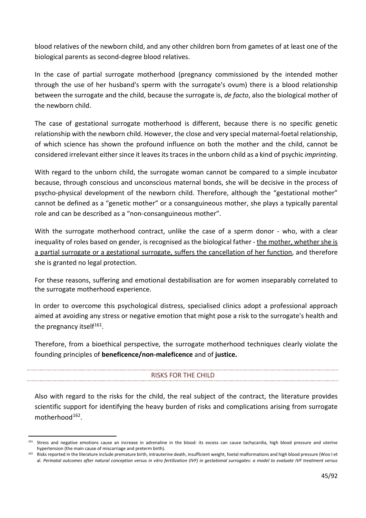blood relatives of the newborn child, and any other children born from gametes of at least one of the biological parents as second-degree blood relatives.

In the case of partial surrogate motherhood (pregnancy commissioned by the intended mother through the use of her husband's sperm with the surrogate's ovum) there is a blood relationship between the surrogate and the child, because the surrogate is, *de facto*, also the biological mother of the newborn child.

The case of gestational surrogate motherhood is different, because there is no specific genetic relationship with the newborn child. However, the close and very special maternal-foetal relationship, of which science has shown the profound influence on both the mother and the child, cannot be considered irrelevant either since it leaves its traces in the unborn child as a kind of psychic *imprinting*.

With regard to the unborn child, the surrogate woman cannot be compared to a simple incubator because, through conscious and unconscious maternal bonds, she will be decisive in the process of psycho-physical development of the newborn child. Therefore, although the "gestational mother" cannot be defined as a "genetic mother" or a consanguineous mother, she plays a typically parental role and can be described as a "non-consanguineous mother".

With the surrogate motherhood contract, unlike the case of a sperm donor - who, with a clear inequality of roles based on gender, is recognised as the biological father - the mother, whether she is a partial surrogate or a gestational surrogate, suffers the cancellation of her function, and therefore she is granted no legal protection.

For these reasons, suffering and emotional destabilisation are for women inseparably correlated to the surrogate motherhood experience.

In order to overcome this psychological distress, specialised clinics adopt a professional approach aimed at avoiding any stress or negative emotion that might pose a risk to the surrogate's health and the pregnancy itself<sup>161</sup>.

Therefore, from a bioethical perspective, the surrogate motherhood techniques clearly violate the founding principles of **beneficence/non-maleficence** and of **justice.**

## RISKS FOR THE CHILD

Also with regard to the risks for the child, the real subject of the contract, the literature provides scientific support for identifying the heavy burden of risks and complications arising from surrogate motherhood<sup>162</sup>.

<span id="page-44-0"></span><sup>161</sup> Stress and negative emotions cause an increase in adrenaline in the blood: its excess can cause tachycardia, high blood pressure and uterine hypertension (the main cause of miscarriage and preterm birth).

<span id="page-44-1"></span><sup>162</sup> Risks reported in the literature include premature birth, intrauterine death, insufficient weight, foetal malformations and high blood pressure (Woo I et al. *Perinatal outcomes after natural conception versus in vitro fertilization (IVF) in gestational surrogates: a model to evaluate IVF treatment versus*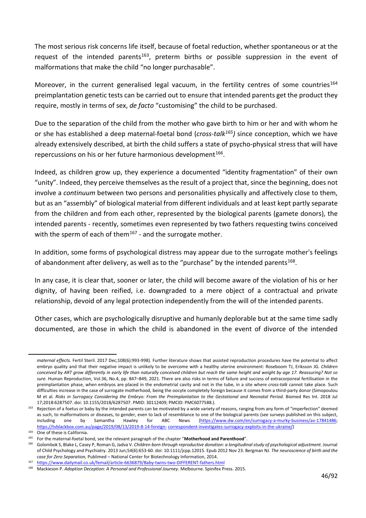The most serious risk concerns life itself, because of foetal reduction, whether spontaneous or at the request of the intended parents<sup>163</sup>, preterm births or possible suppression in the event of malformations that make the child "no longer purchasable".

Moreover, in the current generalised legal vacuum, in the fertility centres of some countries<sup>[164](#page-45-1)</sup> preimplantation genetic tests can be carried out to ensure that intended parents get the product they require, mostly in terms of sex, *de facto* "customising" the child to be purchased.

Due to the separation of the child from the mother who gave birth to him or her and with whom he or she has established a deep maternal-foetal bond (*cross-talk[165](#page-45-2))* since conception, which we have already extensively described, at birth the child suffers a state of psycho-physical stress that will have repercussions on his or her future harmonious development<sup>[166](#page-45-3)</sup>.

Indeed, as children grow up, they experience a documented "identity fragmentation" of their own "unity". Indeed, they perceive themselves as the result of a project that, since the beginning, does not involve a *continuum* between two persons and personalities physically and affectively close to them, but as an "assembly" of biological material from different individuals and at least kept partly separate from the children and from each other, represented by the biological parents (gamete donors), the intended parents - recently, sometimes even represented by two fathers requesting twins conceived with the sperm of each of them $167$  - and the surrogate mother.

In addition, some forms of psychological distress may appear due to the surrogate mother's feelings of abandonment after delivery, as well as to the "purchase" by the intended parents<sup>[168](#page-45-5)</sup>.

In any case, it is clear that, sooner or later, the child will become aware of the violation of his or her dignity, of having been reified, i.e. downgraded to a mere object of a contractual and private relationship, devoid of any legal protection independently from the will of the intended parents.

Other cases, which are psychologically disruptive and humanly deplorable but at the same time sadly documented, are those in which the child is abandoned in the event of divorce of the intended

*maternal effects.* Fertil Steril. 2017 Dec;108(6):993-998). Further literature shows that assisted reproduction procedures have the potential to affect embryo quality and that their negative impact is unlikely to be overcome with a healthy uterine environment: Roseboom TJ, Eriksson JG. *[Children](http://www.scienzaevita.org/?email_id=756&user_id=14816&urlpassed=aHR0cHM6Ly9hY2FkZW1pYy5vdXAuY29tL2h1bXJlcC9hcnRpY2xlLzM2LzQvODQ3LzYxNDQ4MjA%3D&controller=stats&action=analyse&wysija-page=1&wysijap=subscriptions-2)  [conceived by ART grow differently in early life than](http://www.scienzaevita.org/?email_id=756&user_id=14816&urlpassed=aHR0cHM6Ly9hY2FkZW1pYy5vdXAuY29tL2h1bXJlcC9hcnRpY2xlLzM2LzQvODQ3LzYxNDQ4MjA%3D&controller=stats&action=analyse&wysija-page=1&wysijap=subscriptions-2) [naturally conceived children but reach the same height and weight by age 17.](http://www.scienzaevita.org/?email_id=756&user_id=14816&urlpassed=aHR0cHM6Ly9hY2FkZW1pYy5vdXAuY29tL2h1bXJlcC9hcnRpY2xlLzM2LzQvODQ3LzYxNDQ4MjA%3D&controller=stats&action=analyse&wysija-page=1&wysijap=subscriptions-2) [Reassuring?](http://www.scienzaevita.org/?email_id=756&user_id=14816&urlpassed=aHR0cHM6Ly9hY2FkZW1pYy5vdXAuY29tL2h1bXJlcC9hcnRpY2xlLzM2LzQvODQ3LzYxNDQ4MjA%3D&controller=stats&action=analyse&wysija-page=1&wysijap=subscriptions-2) [Not so](http://www.scienzaevita.org/?email_id=756&user_id=14816&urlpassed=aHR0cHM6Ly9hY2FkZW1pYy5vdXAuY29tL2h1bXJlcC9hcnRpY2xlLzM2LzQvODQ3LzYxNDQ4MjA%3D&controller=stats&action=analyse&wysija-page=1&wysijap=subscriptions-2)  [sure.](http://www.scienzaevita.org/?email_id=756&user_id=14816&urlpassed=aHR0cHM6Ly9hY2FkZW1pYy5vdXAuY29tL2h1bXJlcC9hcnRpY2xlLzM2LzQvODQ3LzYxNDQ4MjA%3D&controller=stats&action=analyse&wysija-page=1&wysijap=subscriptions-2)* Human Reproduction, Vol.36, No.4, pp. 847–849, 2021. There are also risks in terms of failure and success of extracorporeal fertilisation in the preimplantation phase, when embryos are placed in the endometrial cavity and not in the tube, in a site where *cross-talk* cannot take place. Such difficulties increase in the case of surrogate motherhood, being the oocyte completely foreign because it comes from a third-party donor (Simopoulou M et al. *Risks in Surrogacy Considering the Embryo: From the Preimplantation to the Gestational and Neonatal Period.* Biomed Res Int. 2018 Jul 17;2018:6287507. doi: 10.1155/2018/6287507. PMID: 30112409; PMCID: PMC6077588.).

<span id="page-45-0"></span><sup>&</sup>lt;sup>163</sup> Rejection of a foetus or baby by the intended parents can be motivated by a wide variety of reasons, ranging from any form of "imperfection" deemed as such, to malformations or diseases, to gender, even to lack of resemblance to one of the biological parents (see surveys published on this subject, including one by Samantha Hawley for ABC News [\(https://www.dw.com/en/surrogacy-a-murky-business/av-17841486;](https://www.dw.com/en/surrogacy-a-murky-business/av-17841486) [https://tvblackbox.com.au/page/2019/08/13/2019-8-14-foreign-](https://tvblackbox.com.au/page/2019/08/13/2019-8-14-foreign-correspondent-investigates-surrogacy-exploits-in-the-ukraine/) [correspondent-investigates-surrogacy-exploits-in-the-ukraine/\)](https://tvblackbox.com.au/page/2019/08/13/2019-8-14-foreign-correspondent-investigates-surrogacy-exploits-in-the-ukraine/)

<span id="page-45-1"></span><sup>164</sup> One of these is California.

<span id="page-45-2"></span><sup>165</sup> For the maternal-foetal bond, see the relevant paragraph of the chapter "**Motherhood and Parenthood**".

<span id="page-45-3"></span><sup>166</sup> Golombok S, Blake L, Casey P, Roman G, Jadva V. *Children born through reproductive donation: a longitudinal study of psychological adjustment.* Journal of Child Psychology and Psychiatry. 2013 Jun;54(6):653-60. doi: 10.1111/jcpp.12015. Epub 2012 Nov 23. Bergman NJ. *The neuroscience of birth and the case for Zero Separation,* Publimed – National Center for Biotechnology Information, 2014.

<span id="page-45-4"></span><sup>167</sup> <https://www.dailymail.co.uk/femail/article-6636879/Baby-twins-two-DIFFERENT-fathers.html>

<span id="page-45-5"></span><sup>168</sup> Mackieson P. *Adoption Deception: A Personal and Professional Journey*. Melbourne. Spinifex Press. 2015.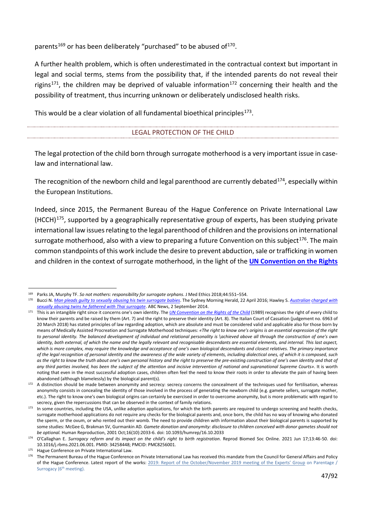parents<sup>[169](#page-46-0)</sup> or has been deliberately "purchased" to be abused of<sup>[170](#page-46-1)</sup>.

A further health problem, which is often underestimated in the contractual context but important in legal and social terms, stems from the possibility that, if the intended parents do not reveal their rigins<sup>171</sup>, the children may be deprived of valuable information<sup>[172](#page-46-3)</sup> concerning their health and the possibility of treatment, thus incurring unknown or deliberately undisclosed health risks.

This would be a clear violation of all fundamental bioethical principles<sup>173</sup>.

### LEGAL PROTECTION OF THE CHILD

The legal protection of the child born through surrogate motherhood is a very important issue in caselaw and international law.

The recognition of the newborn child and legal parenthood are currently debated<sup>174</sup>, especially within the European Institutions.

Indeed, since 2015, the Permanent Bureau of the Hague Conference on Private International Law (HCCH)[175](#page-46-6), supported by a geographically representative group of experts, has been studying private international law issues relating to the legal parenthood of children and the provisions on international surrogate motherhood, also with a view to preparing a future Convention on this subject<sup>176</sup>. The main common standpoints of this work include the desire to prevent abduction, sale or trafficking in women and children in the context of surrogate motherhood, in the light of the **[UN Convention on the Rights](https://www.datocms-assets.com/30196/1602520031-convenzione-diritti-infanzia.pdf)** 

<span id="page-46-1"></span><span id="page-46-0"></span><sup>169</sup> Parks JA, Murphy TF. *So not mothers: responsibility for surrogate orphans*. J Med Ethics 2018;44:551–554.

<sup>170</sup> Bucci N. *[Man pleads guilty to sexually abusing his twin surrogate babies](https://www.smh.com.au/national/man-pleads-guilty-to-sexually-abusing-his-twin-surrogate-babies-20160421-goc83m.html)*. The Sydney Morning Herald, 22 April 2016; Hawley S. *[Australian](https://www.abc.net.au/news/2014-09-01/australian-who-fathered-surrogate-twins-facing-abuse-charges/5710796) [charged with](https://www.abc.net.au/news/2014-09-01/australian-who-fathered-surrogate-twins-facing-abuse-charges/5710796)  [sexually abusing twins he fathered with Thai surrogate](https://www.abc.net.au/news/2014-09-01/australian-who-fathered-surrogate-twins-facing-abuse-charges/5710796)*. ABC News, 2 September 2014.

<span id="page-46-2"></span><sup>&</sup>lt;sup>171</sup> This is an intangible right since it concerns one's own identity. The *[UN Convention on the Rights of the Child](https://www.datocms-assets.com/30196/1602520031-convenzione-diritti-infanzia.pdf)* (1989) recognises the right of every child to know their parents and be raised by them (Art. 7) and the right to preserve their identity (Art. 8). The Italian Court of Cassation (judgement no. 6963 of 20 March 2018) has stated principles of law regarding adoption, which are absolute and must be considered valid and applicable also for those born by means of Medically Assisted Procreation and Surrogate Motherhood techniques: *«The right to know one's origins is an essential expression of the right to personal identity. The balanced development of individual and relational personality is \achieved above all through the construction of one's own identity, both external, of which the name and the legally relevant and recognisable descendants are essential elements, and internal. This last aspect, which is more complex, may require the knowledge and acceptance of one's own biological descendants and closest relatives. The primary importance of the legal recognition of personal identity and the awareness of the wide variety of elements, including dialectical ones, of which it is composed, such as the right to know the truth about one's own personal history and the right to preserve the pre-existing construction of one's own identity and that of any third parties involved, has been the subject of the attention and incisive intervention of national and supranational Supreme Courts»*. It is worth noting that even in the most successful adoption cases, children often feel the need to know their roots in order to alleviate the pain of having been abandoned (although blamelessly) by the biological parent(s).

<span id="page-46-3"></span><sup>172</sup> A distinction should be made between anonymity and secrecy: secrecy concerns the concealment of the techniques used for fertilisation, whereas anonymity consists in concealing the identity of those involved in the process of generating the newborn child (e.g. gamete sellers, surrogate mother, etc.). The right to know one's own biological origins can certainly be exercised in order to overcome anonymity, but is more problematic with regard to secrecy, given the repercussions that can be observed in the context of family relations.

<span id="page-46-4"></span><sup>173</sup> In some countries, including the USA, unlike adoption applications, for which the birth parents are required to undergo screening and health checks, surrogate motherhood applications do not require any checks for the biological parents and, once born, the child has no way of knowing who donated the sperm, or the ovum, or who rented out their womb. The need to provide children with information about their biological parents is supported by some studies: McGee G, Brakman SV, Gurmankin AD*. Gamete donation and anonymity: disclosure to children conceived with donor gametes should not be optional.* Human Reproduction, 2001 Oct;16(10):2033-6. doi: 10.1093/humrep/16.10.2033

<span id="page-46-5"></span><sup>174</sup> O'Callaghan E. *Surrogacy reform and its impact on the child's right to birth registration*. Reprod Biomed Soc Online. 2021 Jun 17;13:46-50. doi: 10.1016/j.rbms.2021.06.001. PMID: 34258448; PMCID: PMC8256001.

<span id="page-46-6"></span><sup>175</sup> Hague Conference on Private International Law.

<span id="page-46-7"></span><sup>176</sup> The Permanent Bureau of the Hague Conference on Private International Law has received this mandate from the Council for General Affairs and Policy of the Hague Conference. Latest report of the works: [2019:](https://assets.hcch.net/docs/d435cffc-65ce-4047-b603-ff63ed20591c.pdf) [Report of the October/November 2019 meeting of the Experts' Group](https://assets.hcch.net/docs/d435cffc-65ce-4047-b603-ff63ed20591c.pdf) [on Parentage /](https://assets.hcch.net/docs/d435cffc-65ce-4047-b603-ff63ed20591c.pdf)  Surrogacy (6<sup>th</sup> meeting).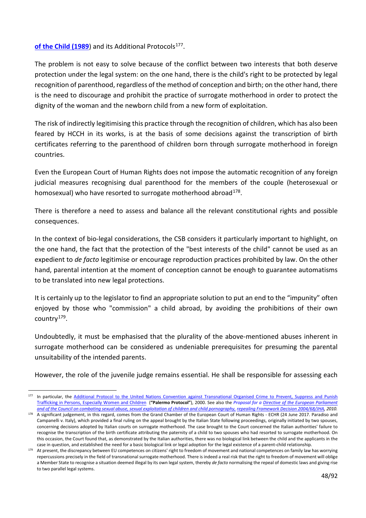#### [of the Child \(1989](https://www.datocms-assets.com/30196/1602520031-convenzione-diritti-infanzia.pdf)) and its Additional Protocols<sup>177</sup>.

The problem is not easy to solve because of the conflict between two interests that both deserve protection under the legal system: on the one hand, there is the child's right to be protected by legal recognition of parenthood, regardless of the method of conception and birth; on the other hand, there is the need to discourage and prohibit the practice of surrogate motherhood in order to protect the dignity of the woman and the newborn child from a new form of exploitation.

The risk of indirectly legitimising this practice through the recognition of children, which has also been feared by HCCH in its works, is at the basis of some decisions against the transcription of birth certificates referring to the parenthood of children born through surrogate motherhood in foreign countries.

Even the European Court of Human Rights does not impose the automatic recognition of any foreign judicial measures recognising dual parenthood for the members of the couple (heterosexual or homosexual) who have resorted to surrogate motherhood abroad $178$ .

There is therefore a need to assess and balance all the relevant constitutional rights and possible consequences.

In the context of bio-legal considerations, the CSB considers it particularly important to highlight, on the one hand, the fact that the protection of the "best interests of the child" cannot be used as an expedient to *de facto* legitimise or encourage reproduction practices prohibited by law. On the other hand, parental intention at the moment of conception cannot be enough to guarantee automatisms to be translated into new legal protections.

It is certainly up to the legislator to find an appropriate solution to put an end to the "impunity" often enjoyed by those who "commission" a child abroad, by avoiding the prohibitions of their own country<sup>179</sup>.

Undoubtedly, it must be emphasised that the plurality of the above-mentioned abuses inherent in surrogate motherhood can be considered as undeniable prerequisites for presuming the parental unsuitability of the intended parents.

However, the role of the juvenile judge remains essential. He shall be responsible for assessing each

<span id="page-47-0"></span><sup>177</sup> In particular, the Additional Protocol to the United Nations Convention against Transnational Organised Crime to Prevent, Suppress and Punish [Trafficking in Persons, Especially Women and Children](https://file.asgi.it/protocollo.addizionale.tratta.it.pdf) (**"Palermo Protocol"**), 2000. See also the *[Proposal for a](https://eur-lex.europa.eu/legal-content/IT/ALL/?uri=CELEX%3A52010PC0094) [Directive of the European Parliament](https://eur-lex.europa.eu/legal-content/IT/ALL/?uri=CELEX%3A52010PC0094)  [and of the Council on combating sexual abuse, sexual exploitation of children and child pornography,](https://eur-lex.europa.eu/legal-content/IT/ALL/?uri=CELEX%3A52010PC0094) [repealing Framework Decision 2004/68/JHA,](https://eur-lex.europa.eu/legal-content/IT/ALL/?uri=CELEX%3A52010PC0094) 2010.*

<span id="page-47-1"></span><sup>&</sup>lt;sup>178</sup> A significant judgement, in this regard, comes from the Grand Chamber of the European Court of Human Rights - ECHR (24 June 2017. Paradiso and Campanelli v. Italy), which provided a final ruling on the appeal brought by the Italian State following proceedings, originally initiated by two spouses, concerning decisions adopted by Italian courts on surrogate motherhood. The case brought to the Court concerned the Italian authorities' failure to recognise the transcription of the birth certificate attributing the paternity of a child to two spouses who had resorted to surrogate motherhood. On this occasion, the Court found that, as demonstrated by the Italian authorities, there was no biological link between the child and the applicants in the case in question, and established the need for a basic biological link or legal adoption for the legal existence of a parent-child relationship.

<span id="page-47-2"></span><sup>&</sup>lt;sup>179</sup> At present, the discrepancy between EU competences on citizens' right to freedom of movement and national competences on family law has worrying repercussions precisely in the field of transnational surrogate motherhood. There is indeed a real risk that the right to freedom of movement will oblige a Member State to recognise a situation deemed illegal by its own legal system, thereby *de facto* normalising the repeal of domestic laws and giving rise to two parallel legal systems.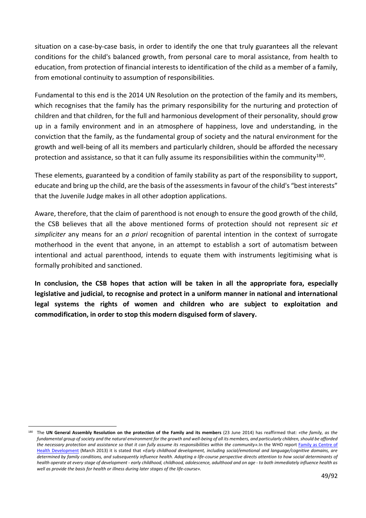situation on a case-by-case basis, in order to identify the one that truly guarantees all the relevant conditions for the child's balanced growth, from personal care to moral assistance, from health to education, from protection of financial interests to identification of the child as a member of a family, from emotional continuity to assumption of responsibilities.

Fundamental to this end is the 2014 UN Resolution on the protection of the family and its members, which recognises that the family has the primary responsibility for the nurturing and protection of children and that children, for the full and harmonious development of their personality, should grow up in a family environment and in an atmosphere of happiness, love and understanding, in the conviction that the family, as the fundamental group of society and the natural environment for the growth and well-being of all its members and particularly children, should be afforded the necessary protection and assistance, so that it can fully assume its responsibilities within the community<sup>180</sup>.

These elements, guaranteed by a condition of family stability as part of the responsibility to support, educate and bring up the child, are the basis of the assessments in favour of the child's "best interests" that the Juvenile Judge makes in all other adoption applications.

Aware, therefore, that the claim of parenthood is not enough to ensure the good growth of the child, the CSB believes that all the above mentioned forms of protection should not represent *sic et simpliciter* any means for an *a priori* recognition of parental intention in the context of surrogate motherhood in the event that anyone, in an attempt to establish a sort of automatism between intentional and actual parenthood, intends to equate them with instruments legitimising what is formally prohibited and sanctioned.

**In conclusion, the CSB hopes that action will be taken in all the appropriate fora, especially legislative and judicial, to recognise and protect in a uniform manner in national and international legal systems the rights of women and children who are subject to exploitation and commodification, in order to stop this modern disguised form of slavery.**

<span id="page-48-0"></span><sup>180</sup> The **UN General Assembly Resolution on the protection of the Family and its members** (23 June 2014) has reaffirmed that: *«the family, as the fundamental group of society and the natural environment for the growth and well-being of all its members, and particularly children, should be afforded the necessary protection and assistance so that it can fully assume its responsibilities within the community».*In the WHO report Family as [Centre of](https://apps.who.int/iris/bitstream/handle/10665/205062/B4972.pdf?sequence=1&isAllowed=y)  [Health Development](https://apps.who.int/iris/bitstream/handle/10665/205062/B4972.pdf?sequence=1&isAllowed=y) (March 2013) it is stated that *«Early childhood development, including social/emotional and language/cognitive domains, are determined by family conditions, and subsequently influence health. Adopting a life-course perspective directs attention to how social determinants of health operate at every stage of development - early childhood, childhood, adolescence, adulthood and on age - to both immediately influence health as well as provide the basis for health or illness during later stages of the life-course».*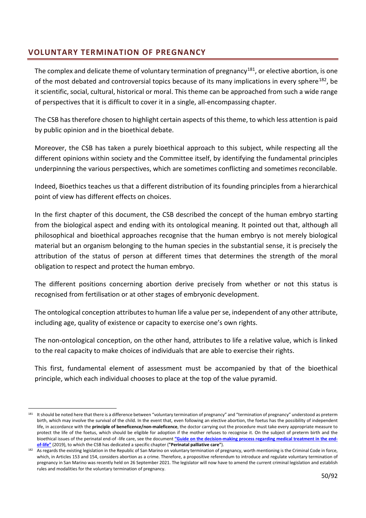# **VOLUNTARY TERMINATION OF PREGNANCY**

The complex and delicate theme of voluntary termination of pregnancy<sup>181</sup>, or elective abortion, is one of the most debated and controversial topics because of its many implications in every sphere<sup>[182](#page-49-1)</sup>, be it scientific, social, cultural, historical or moral. This theme can be approached from such a wide range of perspectives that it is difficult to cover it in a single, all-encompassing chapter.

The CSB has therefore chosen to highlight certain aspects of this theme, to which less attention is paid by public opinion and in the bioethical debate.

Moreover, the CSB has taken a purely bioethical approach to this subject, while respecting all the different opinions within society and the Committee itself, by identifying the fundamental principles underpinning the various perspectives, which are sometimes conflicting and sometimes reconcilable.

Indeed, Bioethics teaches us that a different distribution of its founding principles from a hierarchical point of view has different effects on choices.

In the first chapter of this document, the CSB described the concept of the human embryo starting from the biological aspect and ending with its ontological meaning. It pointed out that, although all philosophical and bioethical approaches recognise that the human embryo is not merely biological material but an organism belonging to the human species in the substantial sense, it is precisely the attribution of the status of person at different times that determines the strength of the moral obligation to respect and protect the human embryo.

The different positions concerning abortion derive precisely from whether or not this status is recognised from fertilisation or at other stages of embryonic development.

The ontological conception attributes to human life a value per se, independent of any other attribute, including age, quality of existence or capacity to exercise one's own rights.

The non-ontological conception, on the other hand, attributes to life a relative value, which is linked to the real capacity to make choices of individuals that are able to exercise their rights.

This first, fundamental element of assessment must be accompanied by that of the bioethical principle, which each individual chooses to place at the top of the value pyramid.

<span id="page-49-0"></span>It should be noted here that there is a difference between "voluntary termination of pregnancy" and "termination of pregnancy" understood as preterm birth, which may involve the survival of the child. In the event that, even following an elective abortion, the foetus has the possibility of independent life, in accordance with the **principle of beneficence/non-maleficence**, the doctor carrying out the procedure must take every appropriate measure to protect the life of the foetus, which should be eligible for adoption if the mother refuses to recognise it. On the subject of preterm birth and the bioethical issues of the perinatal end-of -life care, see the document **"Guide on the decision-making process regarding medical treatment in the endof-life"** (2019), to which the CSB has dedicated a specific chapter (**"Perinatal palliative care"**).

<span id="page-49-1"></span>As regards the existing legislation in the Republic of San Marino on voluntary termination of pregnancy, worth mentioning is the Criminal Code in force, which, in Articles 153 and 154, considers abortion as a crime. Therefore, a propositive referendum to introduce and regulate voluntary termination of pregnancy in San Marino was recently held on 26 September 2021. The legislator will now have to amend the current criminal legislation and establish rules and modalities for the voluntary termination of pregnancy.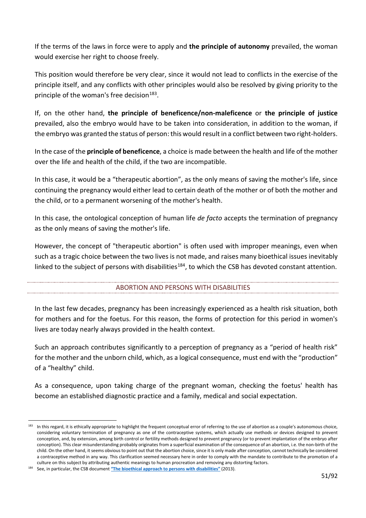If the terms of the laws in force were to apply and **the principle of autonomy** prevailed, the woman would exercise her right to choose freely.

This position would therefore be very clear, since it would not lead to conflicts in the exercise of the principle itself, and any conflicts with other principles would also be resolved by giving priority to the principle of the woman's free decision<sup>[183](#page-50-0)</sup>.

If, on the other hand, **the principle of beneficence/non-maleficence** or **the principle of justice** prevailed, also the embryo would have to be taken into consideration, in addition to the woman, if the embryo was granted the status of person: this would result in a conflict between two right-holders.

In the case of the **principle of beneficence**, a choice is made between the health and life of the mother over the life and health of the child, if the two are incompatible.

In this case, it would be a "therapeutic abortion", as the only means of saving the mother's life, since continuing the pregnancy would either lead to certain death of the mother or of both the mother and the child, or to a permanent worsening of the mother's health.

In this case, the ontological conception of human life *de facto* accepts the termination of pregnancy as the only means of saving the mother's life.

However, the concept of "therapeutic abortion" is often used with improper meanings, even when such as a tragic choice between the two lives is not made, and raises many bioethical issues inevitably linked to the subject of persons with disabilities<sup>[184](#page-50-1)</sup>, to which the CSB has devoted constant attention.

## ABORTION AND PERSONS WITH DISABILITIES

In the last few decades, pregnancy has been increasingly experienced as a health risk situation, both for mothers and for the foetus. For this reason, the forms of protection for this period in women's lives are today nearly always provided in the health context.

Such an approach contributes significantly to a perception of pregnancy as a "period of health risk" for the mother and the unborn child, which, as a logical consequence, must end with the "production" of a "healthy" child.

As a consequence, upon taking charge of the pregnant woman, checking the foetus' health has become an established diagnostic practice and a family, medical and social expectation.

<span id="page-50-0"></span><sup>183</sup> In this regard, it is ethically appropriate to highlight the frequent conceptual error of referring to the use of abortion as a couple's autonomous choice, considering voluntary termination of pregnancy as one of the contraceptive systems, which actually use methods or devices designed to prevent conception, and, by extension, among birth control or fertility methods designed to prevent pregnancy (or to prevent implantation of the embryo after conception). This clear misunderstanding probably originates from a superficial examination of the consequence of an abortion, i.e. the non-birth of the child. On the other hand, it seems obvious to point out that the abortion choice, since it is only made after conception, cannot technically be considered a contraceptive method in any way. This clarification seemed necessary here in order to comply with the mandate to contribute to the promotion of a culture on this subject by attributing authentic meanings to human procreation and removing any distorting factors.

<span id="page-50-1"></span><sup>184</sup> See, in particular, the CSB document **"The bioethical approach to persons with disabilities"** (2013).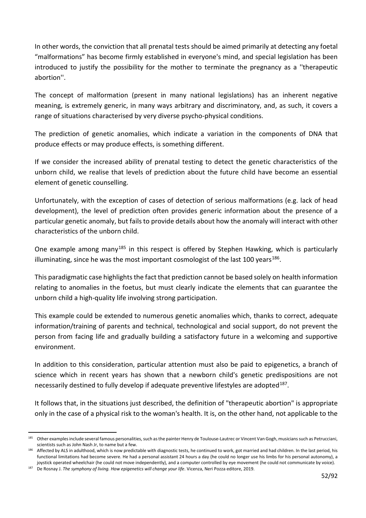In other words, the conviction that all prenatal tests should be aimed primarily at detecting any foetal "malformations" has become firmly established in everyone's mind, and special legislation has been introduced to justify the possibility for the mother to terminate the pregnancy as a ''therapeutic abortion''.

The concept of malformation (present in many national legislations) has an inherent negative meaning, is extremely generic, in many ways arbitrary and discriminatory, and, as such, it covers a range of situations characterised by very diverse psycho-physical conditions.

The prediction of genetic anomalies, which indicate a variation in the components of DNA that produce effects or may produce effects, is something different.

If we consider the increased ability of prenatal testing to detect the genetic characteristics of the unborn child, we realise that levels of prediction about the future child have become an essential element of genetic counselling.

Unfortunately, with the exception of cases of detection of serious malformations (e.g. lack of head development), the level of prediction often provides generic information about the presence of a particular genetic anomaly, but fails to provide details about how the anomaly will interact with other characteristics of the unborn child.

One example among many<sup>[185](#page-51-0)</sup> in this respect is offered by Stephen Hawking, which is particularly illuminating, since he was the most important cosmologist of the last 100 years<sup>186</sup>.

This paradigmatic case highlights the fact that prediction cannot be based solely on health information relating to anomalies in the foetus, but must clearly indicate the elements that can guarantee the unborn child a high-quality life involving strong participation.

This example could be extended to numerous genetic anomalies which, thanks to correct, adequate information/training of parents and technical, technological and social support, do not prevent the person from facing life and gradually building a satisfactory future in a welcoming and supportive environment.

In addition to this consideration, particular attention must also be paid to epigenetics, a branch of science which in recent years has shown that a newborn child's genetic predispositions are not necessarily destined to fully develop if adequate preventive lifestyles are adopted<sup>[187](#page-51-2)</sup>.

It follows that, in the situations just described, the definition of "therapeutic abortion" is appropriate only in the case of a physical risk to the woman's health. It is, on the other hand, not applicable to the

<span id="page-51-0"></span><sup>185</sup> Other examples include several famous personalities, such as the painter Henry de Toulouse-Lautrec or Vincent Van Gogh, musicians such as Petrucciani, scientists such as John Nash Jr, to name but a few.

<span id="page-51-1"></span><sup>186</sup> Affected by ALS in adulthood, which is now predictable with diagnostic tests, he continued to work, got married and had children. In the last period, his functional limitations had become severe. He had a personal assistant 24 hours a day (he could no longer use his limbs for his personal autonomy), a joystick operated wheelchair (he could not move independently), and a computer controlled by eye movement (he could not communicate by voice).

<span id="page-51-2"></span><sup>187</sup> De Rosnay J. *The symphony of living. How epigenetics will change your life*. Vicenza, Neri Pozza editore, 2019.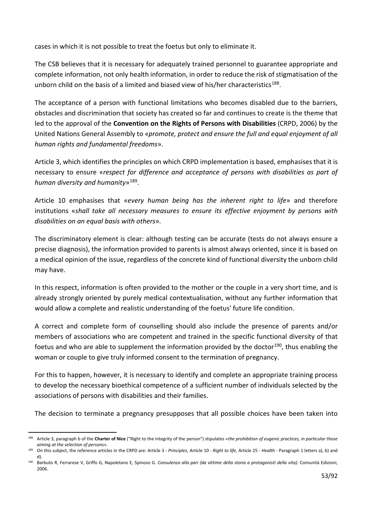cases in which it is not possible to treat the foetus but only to eliminate it.

The CSB believes that it is necessary for adequately trained personnel to guarantee appropriate and complete information, not only health information, in order to reduce the risk of stigmatisation of the unborn child on the basis of a limited and biased view of his/her characteristics<sup>[188](#page-52-0)</sup>.

The acceptance of a person with functional limitations who becomes disabled due to the barriers, obstacles and discrimination that society has created so far and continues to create is the theme that led to the approval of the **Convention on the Rights of Persons with Disabilities** (CRPD, 2006) by the United Nations General Assembly to «*promote, protect and ensure the full and equal enjoyment of all human rights and fundamental freedoms*».

Article 3, which identifies the principles on which CRPD implementation is based, emphasises that it is necessary to ensure «*respect for difference and acceptance of persons with disabilities as part of human diversity and humanity*»[189.](#page-52-1)

Article 10 emphasises that «*every human being has the inherent right to life*» and therefore institutions «*shall take all necessary measures to ensure its effective enjoyment by persons with disabilities on an equal basis with others*».

The discriminatory element is clear: although testing can be accurate (tests do not always ensure a precise diagnosis), the information provided to parents is almost always oriented, since it is based on a medical opinion of the issue, regardless of the concrete kind of functional diversity the unborn child may have.

In this respect, information is often provided to the mother or the couple in a very short time, and is already strongly oriented by purely medical contextualisation, without any further information that would allow a complete and realistic understanding of the foetus' future life condition.

A correct and complete form of counselling should also include the presence of parents and/or members of associations who are competent and trained in the specific functional diversity of that foetus and who are able to supplement the information provided by the doctor<sup>[190](#page-52-2)</sup>, thus enabling the woman or couple to give truly informed consent to the termination of pregnancy.

For this to happen, however, it is necessary to identify and complete an appropriate training process to develop the necessary bioethical competence of a sufficient number of individuals selected by the associations of persons with disabilities and their families.

The decision to terminate a pregnancy presupposes that all possible choices have been taken into

<span id="page-52-0"></span><sup>188</sup> Article 3, paragraph b of the **Charter of Nice** ("Right to the integrity of the person") stipulates «*the prohibition of eugenic practices, in particular those aiming at the selection of persons*».

<span id="page-52-1"></span><sup>189</sup> On this subject, the reference articles in the CRPD are: Article 3 - *Principles*, Article 10 - *Right to life*, Article 25 - *Health* - Paragraph 1 letters a), b) and d).

<span id="page-52-2"></span><sup>190</sup> Barbuto R, Ferrarese V, Griffo G, Napoletano E, Spinoso G. Consulenza alla pari (da vittime della storia a protagonisti della vita). Comunità Edizioni, 2006.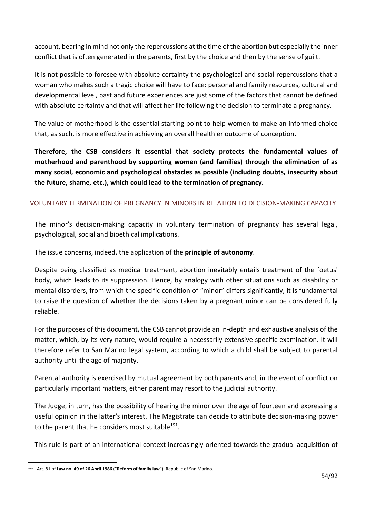account, bearing in mind not only the repercussions at the time of the abortion but especially the inner conflict that is often generated in the parents, first by the choice and then by the sense of guilt.

It is not possible to foresee with absolute certainty the psychological and social repercussions that a woman who makes such a tragic choice will have to face: personal and family resources, cultural and developmental level, past and future experiences are just some of the factors that cannot be defined with absolute certainty and that will affect her life following the decision to terminate a pregnancy.

The value of motherhood is the essential starting point to help women to make an informed choice that, as such, is more effective in achieving an overall healthier outcome of conception.

**Therefore, the CSB considers it essential that society protects the fundamental values of motherhood and parenthood by supporting women (and families) through the elimination of as many social, economic and psychological obstacles as possible (including doubts, insecurity about the future, shame, etc.), which could lead to the termination of pregnancy.**

## VOLUNTARY TERMINATION OF PREGNANCY IN MINORS IN RELATION TO DECISION-MAKING CAPACITY

The minor's decision-making capacity in voluntary termination of pregnancy has several legal, psychological, social and bioethical implications.

The issue concerns, indeed, the application of the **principle of autonomy**.

Despite being classified as medical treatment, abortion inevitably entails treatment of the foetus' body, which leads to its suppression. Hence, by analogy with other situations such as disability or mental disorders, from which the specific condition of "minor" differs significantly, it is fundamental to raise the question of whether the decisions taken by a pregnant minor can be considered fully reliable.

For the purposes of this document, the CSB cannot provide an in-depth and exhaustive analysis of the matter, which, by its very nature, would require a necessarily extensive specific examination. It will therefore refer to San Marino legal system, according to which a child shall be subject to parental authority until the age of majority.

Parental authority is exercised by mutual agreement by both parents and, in the event of conflict on particularly important matters, either parent may resort to the judicial authority.

The Judge, in turn, has the possibility of hearing the minor over the age of fourteen and expressing a useful opinion in the latter's interest. The Magistrate can decide to attribute decision-making power to the parent that he considers most suitable<sup>[191](#page-53-0)</sup>.

This rule is part of an international context increasingly oriented towards the gradual acquisition of

<span id="page-53-0"></span><sup>191</sup> Art. 81 of **Law no. 49 of 26 April 1986** (**"Reform of family law"**), Republic of San Marino.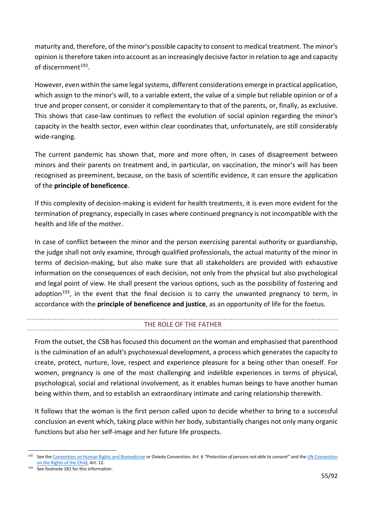maturity and, therefore, of the minor's possible capacity to consent to medical treatment. The minor's opinion is therefore taken into account as an increasingly decisive factor in relation to age and capacity of discernment<sup>[192](#page-54-0)</sup>.

However, even within the same legal systems, different considerations emerge in practical application, which assign to the minor's will, to a variable extent, the value of a simple but reliable opinion or of a true and proper consent, or consider it complementary to that of the parents, or, finally, as exclusive. This shows that case-law continues to reflect the evolution of social opinion regarding the minor's capacity in the health sector, even within clear coordinates that, unfortunately, are still considerably wide-ranging.

The current pandemic has shown that, more and more often, in cases of disagreement between minors and their parents on treatment and, in particular, on vaccination, the minor's will has been recognised as preeminent, because, on the basis of scientific evidence, it can ensure the application of the **principle of beneficence**.

If this complexity of decision-making is evident for health treatments, it is even more evident for the termination of pregnancy, especially in cases where continued pregnancy is not incompatible with the health and life of the mother.

In case of conflict between the minor and the person exercising parental authority or guardianship, the judge shall not only examine, through qualified professionals, the actual maturity of the minor in terms of decision-making, but also make sure that all stakeholders are provided with exhaustive information on the consequences of each decision, not only from the physical but also psychological and legal point of view. He shall present the various options, such as the possibility of fostering and adoption<sup>[193](#page-54-1)</sup>, in the event that the final decision is to carry the unwanted pregnancy to term, in accordance with the **principle of beneficence and justice**, as an opportunity of life for the foetus.

## THE ROLE OF THE FATHER

From the outset, the CSB has focused this document on the woman and emphasised that parenthood is the culmination of an adult's psychosexual development, a process which generates the capacity to create, protect, nurture, love, respect and experience pleasure for a being other than oneself. For women, pregnancy is one of the most challenging and indelible experiences in terms of physical, psychological, social and relational involvement, as it enables human beings to have another human being within them, and to establish an extraordinary intimate and caring relationship therewith.

It follows that the woman is the first person called upon to decide whether to bring to a successful conclusion an event which, taking place within her body, substantially changes not only many organic functions but also her self-image and her future life prospects.

<span id="page-54-0"></span><sup>192</sup> See th[e Convention on Human Rights and Biomedicine](https://rm.coe.int/168007d003) or Oviedo Convention, Art. 6 *"Protection of persons not able to consent"* and th[e UN Convention](https://www.unicef.it/convenzione-diritti-infanzia/articoli/)  [on the Rights of the Child,](https://www.unicef.it/convenzione-diritti-infanzia/articoli/) Art. 12.

<span id="page-54-1"></span><sup>193</sup> See footnote 181 for this information.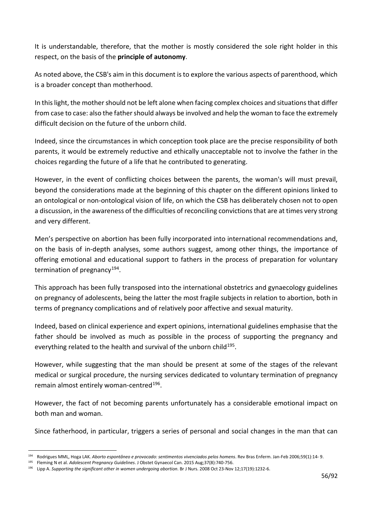It is understandable, therefore, that the mother is mostly considered the sole right holder in this respect, on the basis of the **principle of autonomy**.

As noted above, the CSB's aim in this document is to explore the various aspects of parenthood, which is a broader concept than motherhood.

In this light, the mother should not be left alone when facing complex choices and situations that differ from case to case: also the father should always be involved and help the woman to face the extremely difficult decision on the future of the unborn child.

Indeed, since the circumstances in which conception took place are the precise responsibility of both parents, it would be extremely reductive and ethically unacceptable not to involve the father in the choices regarding the future of a life that he contributed to generating.

However, in the event of conflicting choices between the parents, the woman's will must prevail, beyond the considerations made at the beginning of this chapter on the different opinions linked to an ontological or non-ontological vision of life, on which the CSB has deliberately chosen not to open a discussion, in the awareness of the difficulties of reconciling convictions that are at times very strong and very different.

Men's perspective on abortion has been fully incorporated into international recommendations and, on the basis of in-depth analyses, some authors suggest, among other things, the importance of offering emotional and educational support to fathers in the process of preparation for voluntary termination of pregnancy<sup>194</sup>.

This approach has been fully transposed into the international obstetrics and gynaecology guidelines on pregnancy of adolescents, being the latter the most fragile subjects in relation to abortion, both in terms of pregnancy complications and of relatively poor affective and sexual maturity.

Indeed, based on clinical experience and expert opinions, international guidelines emphasise that the father should be involved as much as possible in the process of supporting the pregnancy and everything related to the health and survival of the unborn child<sup>195</sup>.

However, while suggesting that the man should be present at some of the stages of the relevant medical or surgical procedure, the nursing services dedicated to voluntary termination of pregnancy remain almost entirely woman-centred<sup>196</sup>.

However, the fact of not becoming parents unfortunately has a considerable emotional impact on both man and woman.

Since fatherhood, in particular, triggers a series of personal and social changes in the man that can

<span id="page-55-0"></span><sup>194</sup> Rodrigues MML, Hoga LAK*. Aborto espontâneo e provocado: sentimentos vivenciados pelos homens*. Rev Bras Enferm. Jan-Feb 2006;59(1):14- 9.

<span id="page-55-1"></span><sup>195</sup> Fleming N et al. *Adolescent Pregnancy Guidelines*. J Obstet Gynaecol Can. 2015 Aug;37(8):740-756.

<span id="page-55-2"></span><sup>196</sup> Lipp A. *Supporting the significant other in women undergoing abortion*. Br J Nurs. 2008 Oct 23-Nov 12;17(19):1232-6.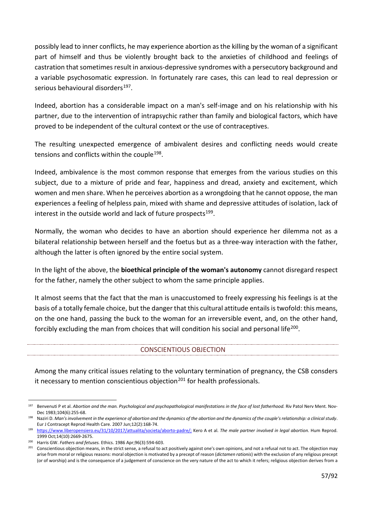possibly lead to inner conflicts, he may experience abortion as the killing by the woman of a significant part of himself and thus be violently brought back to the anxieties of childhood and feelings of castration that sometimes result in anxious-depressive syndromes with a persecutory background and a variable psychosomatic expression. In fortunately rare cases, this can lead to real depression or serious behavioural disorders<sup>197</sup>.

Indeed, abortion has a considerable impact on a man's self-image and on his relationship with his partner, due to the intervention of intrapsychic rather than family and biological factors, which have proved to be independent of the cultural context or the use of contraceptives.

The resulting unexpected emergence of ambivalent desires and conflicting needs would create tensions and conflicts within the couple<sup>198</sup>.

Indeed, ambivalence is the most common response that emerges from the various studies on this subject, due to a mixture of pride and fear, happiness and dread, anxiety and excitement, which women and men share. When he perceives abortion as a wrongdoing that he cannot oppose, the man experiences a feeling of helpless pain, mixed with shame and depressive attitudes of isolation, lack of interest in the outside world and lack of future prospects $199$ .

Normally, the woman who decides to have an abortion should experience her dilemma not as a bilateral relationship between herself and the foetus but as a three-way interaction with the father, although the latter is often ignored by the entire social system.

In the light of the above, the **bioethical principle of the woman's autonomy** cannot disregard respect for the father, namely the other subject to whom the same principle applies.

It almost seems that the fact that the man is unaccustomed to freely expressing his feelings is at the basis of a totally female choice, but the danger that this cultural attitude entails is twofold: this means, on the one hand, passing the buck to the woman for an irreversible event, and, on the other hand, forcibly excluding the man from choices that will condition his social and personal life<sup>[200](#page-56-3)</sup>.

## CONSCIENTIOUS OBJECTION

Among the many critical issues relating to the voluntary termination of pregnancy, the CSB consders it necessary to mention conscientious objection<sup>[201](#page-56-4)</sup> for health professionals.

<span id="page-56-0"></span><sup>&</sup>lt;sup>197</sup> Benvenuti P et al. Abortion and the man. Psychological and psychopathological manifestations in the face of lost fatherhood. Riv Patol Nerv Ment. Nov-Dec 1983;104(6):255-68.

<span id="page-56-1"></span><sup>198</sup> Naziri D. *Man's involvement in the experience of abortion and the dynamics of the abortion and the dynamics of the couple's relationship: a clinical study*. Eur J Contracept Reprod Health Care. 2007 Jun;12(2):168-74.

<span id="page-56-2"></span><sup>199</sup> <https://www.liberopensiero.eu/31/10/2017/attualita/societa/aborto-padre/;> Kero A et al. The male partner involved in legal abortion. Hum Reprod. 1999 Oct;14(10):2669-2675.

<span id="page-56-3"></span><sup>200</sup> Harris GW. *Fathers and fetuses.* Ethics. 1986 Apr;96(3):594-603.

<span id="page-56-4"></span><sup>&</sup>lt;sup>201</sup> Conscientious objection means, in the strict sense, a refusal to act positively against one's own opinions, and not a refusal not to act. The objection may arise from moral or religious reasons: moral objection is motivated by a precept of reason (*dictamen rationis*) with the exclusion of any religious precept (or of worship) and is the consequence of a judgement of conscience on the very nature of the act to which it refers; religious objection derives from a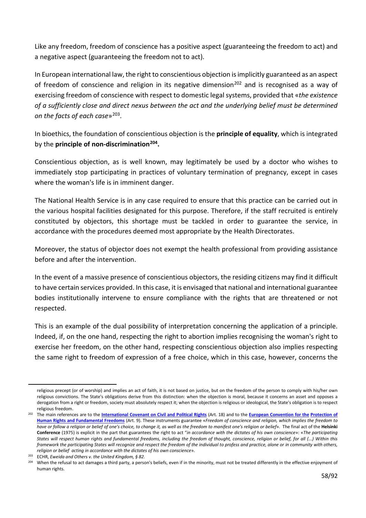Like any freedom, freedom of conscience has a positive aspect (guaranteeing the freedom to act) and a negative aspect (guaranteeing the freedom not to act).

In European international law, the right to conscientious objection is implicitly guaranteed as an aspect of freedom of conscience and religion in its negative dimension<sup>[202](#page-57-0)</sup> and is recognised as a way of exercising freedom of conscience with respect to domestic legal systems, provided that «*the existence of a sufficiently close and direct nexus between the act and the underlying belief must be determined on the facts of each case*»[203](#page-57-1).

In bioethics, the foundation of conscientious objection is the **principle of equality**, which is integrated by the **principle of non-discrimination[204](#page-57-2).**

Conscientious objection, as is well known, may legitimately be used by a doctor who wishes to immediately stop participating in practices of voluntary termination of pregnancy, except in cases where the woman's life is in imminent danger.

The National Health Service is in any case required to ensure that this practice can be carried out in the various hospital facilities designated for this purpose. Therefore, if the staff recruited is entirely constituted by objectors, this shortage must be tackled in order to guarantee the service, in accordance with the procedures deemed most appropriate by the Health Directorates.

Moreover, the status of objector does not exempt the health professional from providing assistance before and after the intervention.

In the event of a massive presence of conscientious objectors, the residing citizens may find it difficult to have certain services provided. In this case, it is envisaged that national and international guarantee bodies institutionally intervene to ensure compliance with the rights that are threatened or not respected.

This is an example of the dual possibility of interpretation concerning the application of a principle. Indeed, if, on the one hand, respecting the right to abortion implies recognising the woman's right to exercise her freedom, on the other hand, respecting conscientious objection also implies respecting the same right to freedom of expression of a free choice, which in this case, however, concerns the

religious precept (or of worship) and implies an act of faith, it is not based on justice, but on the freedom of the person to comply with his/her own religious convictions. The State's obligations derive from this distinction: when the objection is moral, because it concerns an asset and opposes a derogation from a right or freedom, society must absolutely respect it; when the objection is religious or ideological, the State's obligation is to respect religious freedom.

<span id="page-57-0"></span><sup>202</sup> The main references are to the **[International Covenant on Civil and Political Rights](http://www.difesa.it/SMD_/CASD/IM/ISSMI/Corsi/Corso_Consigliere_Giuridico/Documents/31356_patto_NY19661.pdf)** (Art. 18) and to the **[European Convention for the](https://www.echr.coe.int/documents/convention_ita.pdf) [Protection of](https://www.echr.coe.int/documents/convention_ita.pdf)  [Human Rights and Fundamental Freedoms](https://www.echr.coe.int/documents/convention_ita.pdf)** (Art. 9). These instruments guarantee «*Freedom of conscience and religion, which implies the freedom to have or follow a religion or belief of one's choice, to change it, as well as the freedom to manifest one's religion or belief*». The final act of the **Helsinki Conference** (1975) is explicit in the part that guarantees the right to act "*in accordance with the dictates of his own conscience*»: «*The participating States will respect human rights and fundamental freedoms, including the freedom of thought, conscience, religion or belief, for all (...) Within this framework the participating States will recognize and respect the freedom of the individual to profess and practice, alone or in community with others, religion or belief acting in accordance with the dictates of his own conscience*». 203 ECHR, *Eweida and Others v. the United Kingdom, § 82.*

<span id="page-57-2"></span><span id="page-57-1"></span>

When the refusal to act damages a third party, a person's beliefs, even if in the minority, must not be treated differently in the effective enjoyment of human rights.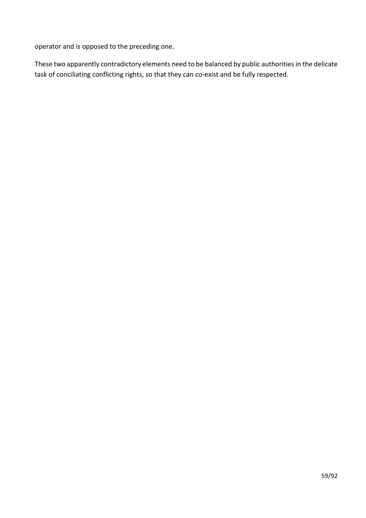operator and is opposed to the preceding one.

These two apparently contradictory elements need to be balanced by public authorities in the delicate task of conciliating conflicting rights, so that they can co-exist and be fully respected.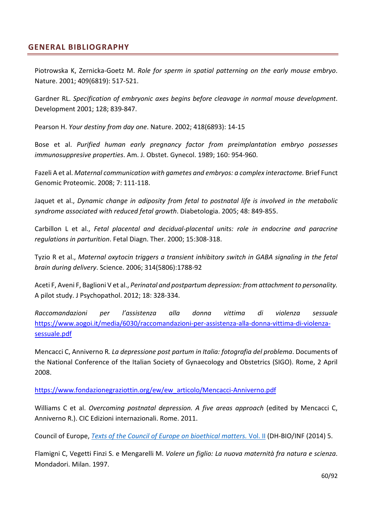# **GENERAL BIBLIOGRAPHY**

Piotrowska K, Zernicka-Goetz M. *Role for sperm in spatial patterning on the early mouse embryo*. Nature. 2001; 409(6819): 517-521.

Gardner RL. *Specification of embryonic axes begins before cleavage in normal mouse development*. Development 2001; 128; 839-847.

Pearson H. *Your destiny from day one*. Nature. 2002; 418(6893): 14-15

Bose et al. *Purified human early pregnancy factor from preimplantation embryo possesses immunosuppresive properties*. Am. J. Obstet. Gynecol. 1989; 160: 954-960.

Fazeli A et al. *Maternal communication with gametes and embryos: a complex interactome.* Brief Funct Genomic Proteomic. 2008; 7: 111-118.

Jaquet et al., *Dynamic change in adiposity from fetal to postnatal life is involved in the metabolic syndrome associated with reduced fetal growth*. Diabetologia. 2005; 48: 849-855.

Carbillon L et al., *Fetal placental and decidual-placental units: role in endocrine and paracrine regulations in parturition*. Fetal Diagn. Ther. 2000; 15:308-318.

Tyzio R et al., *Maternal oxytocin triggers a transient inhibitory switch in GABA signaling in the fetal brain during delivery*. Science. 2006; 314(5806):1788-92

Aceti F, Aveni F, Baglioni V et al., *Perinatal and postpartum depression: from attachment to personality.*  A pilot study. J Psychopathol. 2012; 18: 328-334.

*Raccomandazioni per l'assistenza alla donna vittima di violenza sessuale*  [https://www.aogoi.it/media/6030/raccomandazioni-per-assistenza-alla-donna-vittima-di-violenza](https://www.aogoi.it/media/6030/raccomandazioni-per-assistenza-alla-donna-vittima-di-violenza-sessuale.pdf)[sessuale.pdf](https://www.aogoi.it/media/6030/raccomandazioni-per-assistenza-alla-donna-vittima-di-violenza-sessuale.pdf)

Mencacci C, Anniverno R*. La depressione post partum in Italia: fotografia del problema*. Documents of the National Conference of the Italian Society of Gynaecology and Obstetrics (SIGO). Rome, 2 April 2008.

[https://www.fondazionegraziottin.org/ew/ew\\_articolo/Mencacci-Anniverno.pdf](https://www.fondazionegraziottin.org/ew/ew_articolo/Mencacci-Anniverno.pdf)

Williams C et al. *Overcoming postnatal depression. A five areas approach* (edited by Mencacci C, Anniverno R.). CIC Edizioni internazionali. Rome. 2011.

Council of Europe, *[Texts of the Council of Europe on bioethical matters.](https://www.coe.int/t/dg3/healthbioethic/Texts_and_documents/INF_2014_5_vol_II_textes_%20CoE_%20bio%C3%83%C2%A9thique_E%20(2).pdf)* [Vol.](https://www.coe.int/t/dg3/healthbioethic/Texts_and_documents/INF_2014_5_vol_II_textes_%20CoE_%20bio%C3%83%C2%A9thique_E%20(2).pdf) [II](https://www.coe.int/t/dg3/healthbioethic/Texts_and_documents/INF_2014_5_vol_II_textes_%20CoE_%20bio%C3%83%C2%A9thique_E%20(2).pdf) (DH-BIO/INF (2014) 5.

Flamigni C, Vegetti Finzi S. e Mengarelli M. *Volere un figlio: La nuova maternità fra natura e scienza*. Mondadori. Milan. 1997.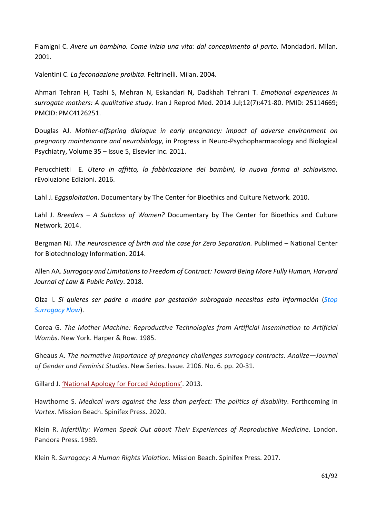Flamigni C. *Avere un bambino. Come inizia una vita: dal concepimento al parto.* Mondadori. Milan. 2001.

Valentini C. *La fecondazione proibita*. Feltrinelli. Milan. 2004.

Ahmari Tehran H, Tashi S, Mehran N, Eskandari N, Dadkhah Tehrani T. *[Emotional experiences in](https://pubmed.ncbi.nlm.nih.gov/25114669/) [surrogate mothers:](https://pubmed.ncbi.nlm.nih.gov/25114669/) [A qualitative study.](https://pubmed.ncbi.nlm.nih.gov/25114669/)* Iran J Reprod Med. 2014 Jul;12(7):471-80. PMID: 25114669; PMCID: PMC4126251.

Douglas AJ. *Mother-offspring dialogue in early pregnancy: impact of adverse environment on pregnancy maintenance and neurobiology*, in Progress in Neuro-Psychopharmacology and Biological Psychiatry, Volume 35 – Issue 5, Elsevier Inc. 2011.

Perucchietti E. *Utero in affitto, la fabbricazione dei bambini, la nuova forma di schiavismo.*  rEvoluzione Edizioni. 2016.

Lahl J. *Eggsploitation*. Documentary by The Center for Bioethics and Culture Network. 2010.

Lahl J. *Breeders – A Subclass of Women?* Documentary by The Center for Bioethics and Culture Network. 2014.

Bergman NJ. *The neuroscience of birth and the case for Zero Separation*. Publimed – National Center for Biotechnology Information. 2014.

Allen AA. *Surrogacy and Limitations to Freedom of Contract: Toward Being More Fully Human, Harvard Journal of Law & Public Policy*. 2018.

Olza I**.** *Si quieres ser padre o madre por gestación subrogada necesitas esta información* (*[Stop](http://www.stopsurrogacynow.com/si-quieres-ser-padre-o-madre-por-gestacion-subrogada-necesitas-esta-informacion/%23sthash.Kz4gthHb.pEkHe4Hw.dpbs) [Surrogacy Now](http://www.stopsurrogacynow.com/si-quieres-ser-padre-o-madre-por-gestacion-subrogada-necesitas-esta-informacion/%23sthash.Kz4gthHb.pEkHe4Hw.dpbs)*).

Corea G. *The Mother Machine: Reproductive Technologies from Artificial Insemination to Artificial Wombs*. New York. Harper & Row. 1985.

Gheaus A. *The normative importance of pregnancy challenges surrogacy contracts*. *Analize—Journal of Gender and Feminist Studies*. New Series. Issue. 2106. No. 6. pp. 20-31.

Gillard J. ['National Apology for Forced Adoptions'.](https://www.ag.gov.au/About/ForcedAdoptionsApology/Documents/Nationalapologyforforcedadoptions.PDF) 2013.

Hawthorne S. *Medical wars against the less than perfect: The politics of disability*. Forthcoming in *Vortex*. Mission Beach. Spinifex Press. 2020.

Klein R. *Infertility: Women Speak Out about Their Experiences of Reproductive Medicine*. London. Pandora Press. 1989.

Klein R. *Surrogacy: A Human Rights Violation*. Mission Beach. Spinifex Press. 2017.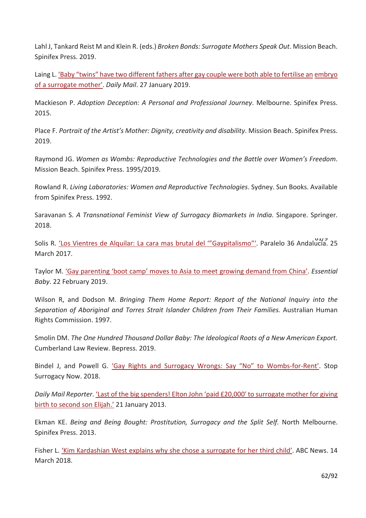Lahl J, Tankard Reist M and Klein R. (eds.) *Broken Bonds: Surrogate Mothers Speak Out*. Mission Beach. Spinifex Press. 2019.

Laing L[. 'Baby "twins" have two different fathers after gay couple were both able to fertilise an](https://www.msn.com/en-au/lifestyle/lifestylefamilyrelationships/baby-twins-have-two-different-fathers-after-gay-couple-were-both-able-to-fertilise-an-embryo-of-a-surrogate-mother/ar-BBSNeDA) [embryo](https://www.msn.com/en-au/lifestyle/lifestylefamilyrelationships/baby-twins-have-two-different-fathers-after-gay-couple-were-both-able-to-fertilise-an-embryo-of-a-surrogate-mother/ar-BBSNeDA)  [of a surrogate mother'.](https://www.msn.com/en-au/lifestyle/lifestylefamilyrelationships/baby-twins-have-two-different-fathers-after-gay-couple-were-both-able-to-fertilise-an-embryo-of-a-surrogate-mother/ar-BBSNeDA) *Daily Mail*. 27 January 2019.

Mackieson P. *Adoption Deception: A Personal and Professional Journey*. Melbourne. Spinifex Press. 2015.

Place F. *Portrait of the Artist's Mother: Dignity, creativity and disability*. Mission Beach. Spinifex Press. 2019.

Raymond JG. *Women as Wombs: Reproductive Technologies and the Battle over Women's Freedom*. Mission Beach. Spinifex Press. 1995/2019.

Rowland R. *Living Laboratories: Women and Reproductive Technologies*. Sydney. Sun Books. Available from Spinifex Press. 1992.

Saravanan S. *A Transnational Feminist View of Surrogacy Biomarkets in India*. Singapore. Springer. 2018.

61/9 Solis R. ['Los Vientres de Alquilar:](https://www.paralelo36andalucia.com/los-vientres-de-alquilar-la-cara-mas-brutal-del-gaypitalismo/) [La cara mas brutal del '"Gaypitalismo"'.](https://www.paralelo36andalucia.com/los-vientres-de-alquilar-la-cara-mas-brutal-del-gaypitalismo/) Paralelo 36 Andalucia. 25 March 2017.

Taylor M. ['Gay parenting 'boot camp' moves to Asia to meet growing demand from China'.](http://www.essentialbaby.com.au/news/current-affairs/gay-parenting-boot-camp-moves-to-asia-to-meet-growing-demand-from-china-20190221-h1bkz2?btis&ixzz5hoc28NYl) *Essential Baby*. 22 February 2019.

Wilson R, and Dodson M. *Bringing Them Home Report: Report of the National Inquiry into the Separation of Aboriginal and Torres Strait Islander Children from Their Families.* Australian Human Rights Commission. 1997.

Smolin DM. *The One Hundred Thousand Dollar Baby: The Ideological Roots of a New American Export.*  Cumberland Law Review. Bepress. 2019.

Bindel J, and Powell G. ['Gay Rights and Surrogacy Wrongs:](http://www.stopsurrogacynow.com/gay-rights-and-surrogacy-wrongs-say-no-to-wombs-for-rent/%23sthash.bHZ7o5ve.dpbs) [Say "No" to Wombs-for-Rent'.](http://www.stopsurrogacynow.com/gay-rights-and-surrogacy-wrongs-say-no-to-wombs-for-rent/%23sthash.bHZ7o5ve.dpbs) Stop Surrogacy Now. 2018.

*Daily Mail Reporter*[. 'Last of the big spenders!](https://www.dailymail.co.uk/tvshowbiz/article-2265463/Elton-John-paid-20-000-surrogate-mother-giving-birth-second-son-Elijah.html) [Elton John 'paid £20,000′ to surrogate mother for](https://www.dailymail.co.uk/tvshowbiz/article-2265463/Elton-John-paid-20-000-surrogate-mother-giving-birth-second-son-Elijah.html) [giving](https://www.dailymail.co.uk/tvshowbiz/article-2265463/Elton-John-paid-20-000-surrogate-mother-giving-birth-second-son-Elijah.html)  [birth to second son Elijah.'](https://www.dailymail.co.uk/tvshowbiz/article-2265463/Elton-John-paid-20-000-surrogate-mother-giving-birth-second-son-Elijah.html) 21 January 2013.

Ekman KE. *Being and Being Bought: Prostitution, Surrogacy and the Split Self.* North Melbourne. Spinifex Press. 2013.

Fisher L. ['Kim Kardashian West explains why she chose a surrogate for her third child'.](https://abcnews.go.com/GMA/Culture/kim-kardashian-west-explains-chose-surrogate-child/story?id=53715998) ABC News. 14 March 2018.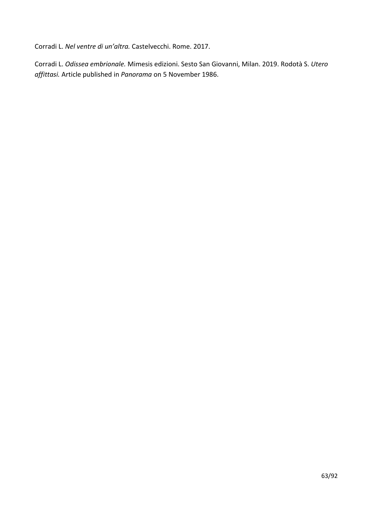Corradi L. *Nel ventre di un'altra.* Castelvecchi. Rome. 2017.

Corradi L. *Odissea embrionale.* Mimesis edizioni. Sesto San Giovanni, Milan. 2019. Rodotà S. *Utero affittasi.* Article published in *Panorama* on 5 November 1986.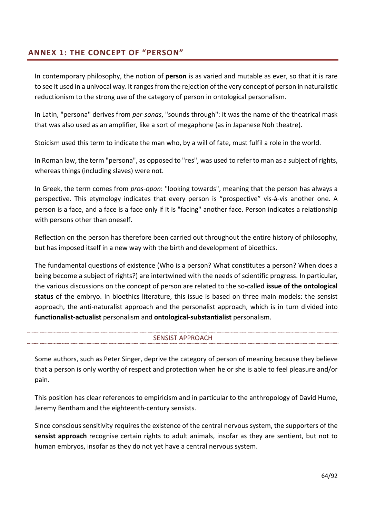# **ANNEX 1: THE CONCEPT OF "PERSON"**

In contemporary philosophy, the notion of **person** is as varied and mutable as ever, so that it is rare to see it used in a univocal way. It ranges from the rejection of the very concept of person in naturalistic reductionism to the strong use of the category of person in ontological personalism.

In Latin, "persona" derives from *per-sonas*, "sounds through": it was the name of the theatrical mask that was also used as an amplifier, like a sort of megaphone (as in Japanese Noh theatre).

Stoicism used this term to indicate the man who, by a will of fate, must fulfil a role in the world.

In Roman law, the term "persona", as opposed to "res", was used to refer to man as a subject of rights, whereas things (including slaves) were not.

In Greek, the term comes from *pros-opon*: "looking towards", meaning that the person has always a perspective. This etymology indicates that every person is "prospective" vis-à-vis another one. A person is a face, and a face is a face only if it is "facing" another face. Person indicates a relationship with persons other than oneself.

Reflection on the person has therefore been carried out throughout the entire history of philosophy, but has imposed itself in a new way with the birth and development of bioethics.

The fundamental questions of existence (Who is a person? What constitutes a person? When does a being become a subject of rights?) are intertwined with the needs of scientific progress. In particular, the various discussions on the concept of person are related to the so-called **issue of the ontological status** of the embryo. In bioethics literature, this issue is based on three main models: the sensist approach, the anti-naturalist approach and the personalist approach, which is in turn divided into **functionalist-actualist** personalism and **ontological-substantialist** personalism.

## SENSIST APPROACH

Some authors, such as Peter Singer, deprive the category of person of meaning because they believe that a person is only worthy of respect and protection when he or she is able to feel pleasure and/or pain.

This position has clear references to empiricism and in particular to the anthropology of David Hume, Jeremy Bentham and the eighteenth-century sensists.

Since conscious sensitivity requires the existence of the central nervous system, the supporters of the **sensist approach** recognise certain rights to adult animals, insofar as they are sentient, but not to human embryos, insofar as they do not yet have a central nervous system.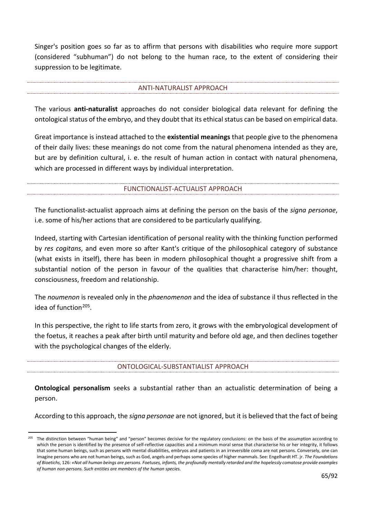Singer's position goes so far as to affirm that persons with disabilities who require more support (considered "subhuman") do not belong to the human race, to the extent of considering their suppression to be legitimate.

#### ANTI-NATURALIST APPROACH

The various **anti-naturalist** approaches do not consider biological data relevant for defining the ontological status of the embryo, and they doubt that its ethical status can be based on empirical data.

Great importance is instead attached to the **existential meanings** that people give to the phenomena of their daily lives: these meanings do not come from the natural phenomena intended as they are, but are by definition cultural, i. e. the result of human action in contact with natural phenomena, which are processed in different ways by individual interpretation.

### FUNCTIONALIST-ACTUALIST APPROACH

The functionalist-actualist approach aims at defining the person on the basis of the *signa personae*, i.e. some of his/her actions that are considered to be particularly qualifying.

Indeed, starting with Cartesian identification of personal reality with the thinking function performed by *res cogitans*, and even more so after Kant's critique of the philosophical category of substance (what exists in itself), there has been in modern philosophical thought a progressive shift from a substantial notion of the person in favour of the qualities that characterise him/her: thought, consciousness, freedom and relationship.

The *noumenon* is revealed only in the *phaenomenon* and the idea of substance il thus reflected in the idea of function[205](#page-64-0).

In this perspective, the right to life starts from zero, it grows with the embryological development of the foetus, it reaches a peak after birth until maturity and before old age, and then declines together with the psychological changes of the elderly.

ONTOLOGICAL-SUBSTANTIALIST APPROACH

**Ontological personalism** seeks a substantial rather than an actualistic determination of being a person.

According to this approach, the *signa personae* are not ignored, but it is believed that the fact of being

<span id="page-64-0"></span><sup>&</sup>lt;sup>205</sup> The distinction between "human being" and "person" becomes decisive for the regulatory conclusions: on the basis of the assumption according to which the person is identified by the presence of self-reflective capacities and a minimum moral sense that characterise his or her integrity, it follows that some human beings, such as persons with mental disabilities, embryos and patients in an irreversible coma are not persons. Conversely, one can imagine persons who are not human beings, such as God, angels and perhaps some species of higher mammals. See: Engelhardt HT. jr. *The Foundations of Bioetichs*, 126: *«Not all human beings are persons. Foetuses, infants, the profoundly mentally retarded and the hopelessly comatose provide examples of human non-persons. Such entities are members of the human species.*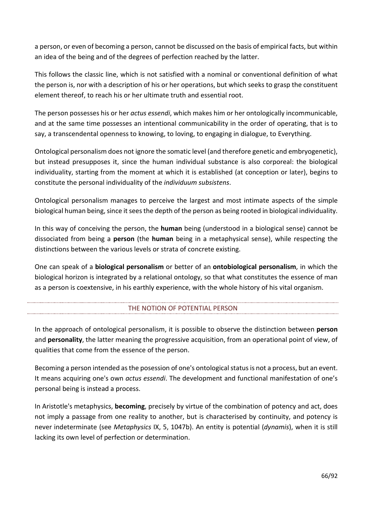a person, or even of becoming a person, cannot be discussed on the basis of empirical facts, but within an idea of the being and of the degrees of perfection reached by the latter.

This follows the classic line, which is not satisfied with a nominal or conventional definition of what the person is, nor with a description of his or her operations, but which seeks to grasp the constituent element thereof, to reach his or her ultimate truth and essential root.

The person possesses his or her *actus essendi*, which makes him or her ontologically incommunicable, and at the same time possesses an intentional communicability in the order of operating, that is to say, a transcendental openness to knowing, to loving, to engaging in dialogue, to Everything.

Ontological personalism does not ignore the somatic level (and therefore genetic and embryogenetic), but instead presupposes it, since the human individual substance is also corporeal: the biological individuality, starting from the moment at which it is established (at conception or later), begins to constitute the personal individuality of the *individuum subsistens*.

Ontological personalism manages to perceive the largest and most intimate aspects of the simple biological human being, since it sees the depth of the person as being rooted in biological individuality.

In this way of conceiving the person, the **human** being (understood in a biological sense) cannot be dissociated from being a **person** (the **human** being in a metaphysical sense), while respecting the distinctions between the various levels or strata of concrete existing.

One can speak of a **biological personalism** or better of an **ontobiological personalism**, in which the biological horizon is integrated by a relational ontology, so that what constitutes the essence of man as a person is coextensive, in his earthly experience, with the whole history of his vital organism.

## THE NOTION OF POTENTIAL PERSON

In the approach of ontological personalism, it is possible to observe the distinction between **person** and **personality**, the latter meaning the progressive acquisition, from an operational point of view, of qualities that come from the essence of the person.

Becoming a person intended as the posession of one's ontological status is not a process, but an event. It means acquiring one's own *actus essendi*. The development and functional manifestation of one's personal being is instead a process.

In Aristotle's metaphysics, **becoming**, precisely by virtue of the combination of potency and act, does not imply a passage from one reality to another, but is characterised by continuity, and potency is never indeterminate (see *Metaphysics* IX, 5, 1047b). An entity is potential (*dynamis*), when it is still lacking its own level of perfection or determination.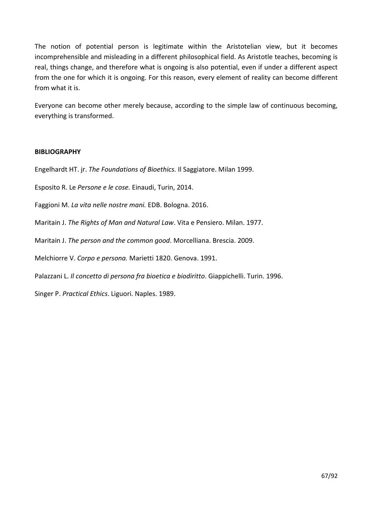The notion of potential person is legitimate within the Aristotelian view, but it becomes incomprehensible and misleading in a different philosophical field. As Aristotle teaches, becoming is real, things change, and therefore what is ongoing is also potential, even if under a different aspect from the one for which it is ongoing. For this reason, every element of reality can become different from what it is.

Everyone can become other merely because, according to the simple law of continuous becoming, everything is transformed.

### **BIBLIOGRAPHY**

Engelhardt HT. jr. *The Foundations of Bioethics.* Il Saggiatore. Milan 1999.

Esposito R. Le *Persone e le cose.* Einaudi, Turin, 2014.

Faggioni M. *La vita nelle nostre mani.* EDB. Bologna. 2016.

Maritain J. *The Rights of Man and Natural Law*. Vita e Pensiero. Milan. 1977.

Maritain J. *The person and the common good*. Morcelliana. Brescia. 2009.

Melchiorre V. *Corpo e persona.* Marietti 1820. Genova. 1991.

Palazzani L. *Il concetto di persona fra bioetica e biodiritto*. Giappichelli. Turin. 1996.

Singer P. *Practical Ethics*. Liguori. Naples. 1989.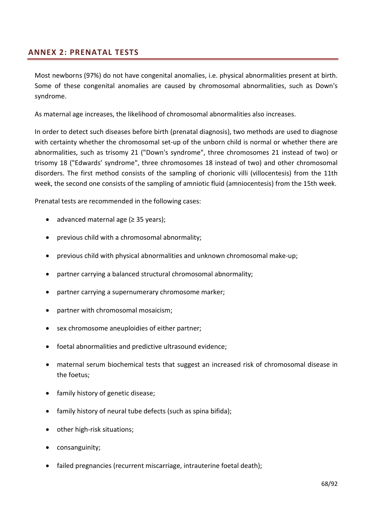# **ANNEX 2: PRENATAL TESTS**

Most newborns (97%) do not have congenital anomalies, i.e. physical abnormalities present at birth. Some of these congenital anomalies are caused by chromosomal abnormalities, such as Down's syndrome.

As maternal age increases, the likelihood of chromosomal abnormalities also increases.

In order to detect such diseases before birth (prenatal diagnosis), two methods are used to diagnose with certainty whether the chromosomal set-up of the unborn child is normal or whether there are abnormalities, such as trisomy 21 ("Down's syndrome", three chromosomes 21 instead of two) or trisomy 18 ("Edwards' syndrome", three chromosomes 18 instead of two) and other chromosomal disorders. The first method consists of the sampling of chorionic villi (villocentesis) from the 11th week, the second one consists of the sampling of amniotic fluid (amniocentesis) from the 15th week.

Prenatal tests are recommended in the following cases:

- advanced maternal age (≥ 35 years);
- previous child with a chromosomal abnormality;
- previous child with physical abnormalities and unknown chromosomal make-up;
- partner carrying a balanced structural chromosomal abnormality;
- partner carrying a supernumerary chromosome marker;
- partner with chromosomal mosaicism;
- sex chromosome aneuploidies of either partner;
- foetal abnormalities and predictive ultrasound evidence;
- maternal serum biochemical tests that suggest an increased risk of chromosomal disease in the foetus;
- family history of genetic disease;
- family history of neural tube defects (such as spina bifida);
- other high-risk situations;
- consanguinity;
- failed pregnancies (recurrent miscarriage, intrauterine foetal death);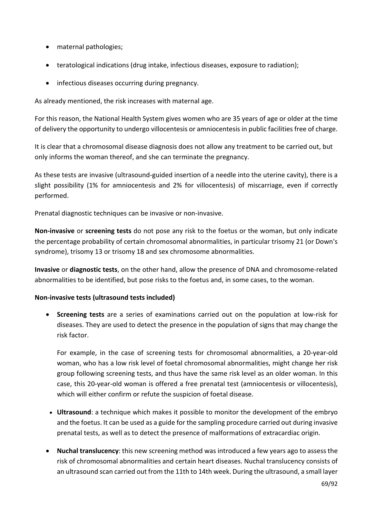- maternal pathologies;
- teratological indications (drug intake, infectious diseases, exposure to radiation);
- infectious diseases occurring during pregnancy.

As already mentioned, the risk increases with maternal age.

For this reason, the National Health System gives women who are 35 years of age or older at the time of delivery the opportunity to undergo villocentesis or amniocentesis in public facilities free of charge.

It is clear that a chromosomal disease diagnosis does not allow any treatment to be carried out, but only informs the woman thereof, and she can terminate the pregnancy.

As these tests are invasive (ultrasound-guided insertion of a needle into the uterine cavity), there is a slight possibility (1% for amniocentesis and 2% for villocentesis) of miscarriage, even if correctly performed.

Prenatal diagnostic techniques can be invasive or non-invasive.

**Non-invasive** or **screening tests** do not pose any risk to the foetus or the woman, but only indicate the percentage probability of certain chromosomal abnormalities, in particular trisomy 21 (or Down's syndrome), trisomy 13 or trisomy 18 and sex chromosome abnormalities.

**Invasive** or **diagnostic tests**, on the other hand, allow the presence of DNA and chromosome-related abnormalities to be identified, but pose risks to the foetus and, in some cases, to the woman.

## **Non-invasive tests (ultrasound tests included)**

• **Screening tests** are a series of examinations carried out on the population at low-risk for diseases. They are used to detect the presence in the population of signs that may change the risk factor.

For example, in the case of screening tests for chromosomal abnormalities, a 20-year-old woman, who has a low risk level of foetal chromosomal abnormalities, might change her risk group following screening tests, and thus have the same risk level as an older woman. In this case, this 20-year-old woman is offered a free prenatal test (amniocentesis or villocentesis), which will either confirm or refute the suspicion of foetal disease.

- **Ultrasound**: a technique which makes it possible to monitor the development of the embryo and the foetus. It can be used as a guide for the sampling procedure carried out during invasive prenatal tests, as well as to detect the presence of malformations of extracardiac origin.
- **Nuchal translucency**: this new screening method was introduced a few years ago to assess the risk of chromosomal abnormalities and certain heart diseases. Nuchal translucency consists of an ultrasound scan carried out from the 11th to 14th week. During the ultrasound, a small layer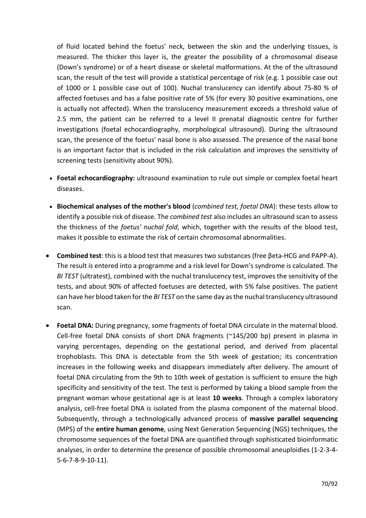of fluid located behind the foetus' neck, between the skin and the underlying tissues, is measured. The thicker this layer is, the greater the possibility of a chromosomal disease (Down's syndrome) or of a heart disease or skeletal malformations. At the of the ultrasound scan, the result of the test will provide a statistical percentage of risk (e.g. 1 possible case out of 1000 or 1 possible case out of 100). Nuchal translucency can identify about 75-80 % of affected foetuses and has a false positive rate of 5% (for every 30 positive examinations, one is actually not affected). When the translucency measurement exceeds a threshold value of 2.5 mm, the patient can be referred to a level II prenatal diagnostic centre for further investigations (foetal echocardiography, morphological ultrasound). During the ultrasound scan, the presence of the foetus' nasal bone is also assessed. The presence of the nasal bone is an important factor that is included in the risk calculation and improves the sensitivity of screening tests (sensitivity about 90%).

- [Foetal echocardiography:](https://www.issalute.it/index.php/la-salute-dalla-a-alla-z-menu/e/ecocardiografia-fetale-esami-di-accertamento) ultrasound examination to rule out simple or complex foetal heart diseases.
- **Biochemical analyses of the mother's blood** (*combined test, foetal DNA*): these tests allow to identify a possible risk of disease. The *combined test* also includes an ultrasound scan to assess the thickness of the *foetus' nuchal fold*, which, together with the results of the blood test, makes it possible to estimate the risk of certain chromosomal abnormalities.
- **Combined test**: this is a blood test that measures two substances (free βeta-HCG and PAPP-A). The result is entered into a programme and a risk level for Down's syndrome is calculated. The *BI TEST* (ultratest), combined with the nuchal translucency test, improves the sensitivity of the tests, and about 90% of affected foetuses are detected, with 5% false positives. The patient can have her blood taken for the *BI TEST* on the same day as the nuchal translucency ultrasound scan.
- **Foetal DNA:** During pregnancy, some fragments of foetal DNA circulate in the maternal blood. Cell-free foetal DNA consists of short DNA fragments (~145/200 bp) present in plasma in varying percentages, depending on the gestational period, and derived from placental trophoblasts. This DNA is detectable from the 5th week of gestation; its concentration increases in the following weeks and disappears immediately after delivery. The amount of foetal DNA circulating from the 9th to 10th week of gestation is sufficient to ensure the high specificity and sensitivity of the test. The test is performed by taking a blood sample from the pregnant woman whose gestational age is at least **10 weeks**. Through a complex laboratory analysis, cell-free foetal DNA is isolated from the plasma component of the maternal blood. Subsequently, through a technologically advanced process of **massive parallel sequencing** (MPS) of the **entire human genome**, using Next Generation Sequencing (NGS) techniques, the chromosome sequences of the foetal DNA are quantified through sophisticated bioinformatic analyses, in order to determine the presence of possible chromosomal aneuploidies (1-2-3-4- 5-6-7-8-9-10-11).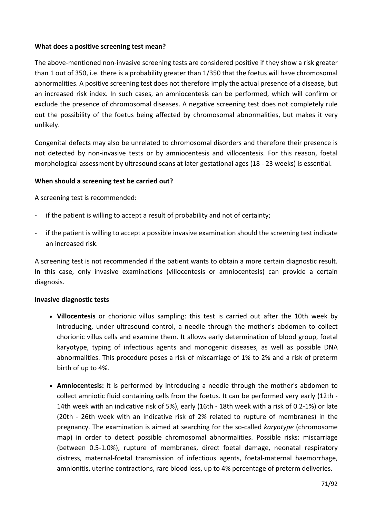#### **What does a positive screening test mean?**

The above-mentioned non-invasive screening tests are considered positive if they show a risk greater than 1 out of 350, i.e. there is a probability greater than 1/350 that the foetus will have chromosomal abnormalities. A positive screening test does not therefore imply the actual presence of a disease, but an increased risk index. In such cases, an amniocentesis can be performed, which will confirm or exclude the presence of chromosomal diseases. A negative screening test does not completely rule out the possibility of the foetus being affected by chromosomal abnormalities, but makes it very unlikely.

Congenital defects may also be unrelated to chromosomal disorders and therefore their presence is not detected by non-invasive tests or by amniocentesis and villocentesis. For this reason, foetal morphological assessment by ultrasound scans at later gestational ages (18 - 23 weeks) is essential.

### **When should a screening test be carried out?**

### A screening test is recommended:

- if the patient is willing to accept a result of probability and not of certainty;
- if the patient is willing to accept a possible invasive examination should the screening test indicate an increased risk.

A screening test is not recommended if the patient wants to obtain a more certain diagnostic result. In this case, only invasive examinations (villocentesis or amniocentesis) can provide a certain diagnosis.

#### **Invasive diagnostic tests**

- **[Villocentesis](https://www.issalute.it/index.php/saluteaz-saz/v/302-villocentesi)** or chorionic villus sampling: this test is carried out after the 10th week by introducing, under ultrasound control, a needle through the mother's abdomen to collect chorionic villus cells and examine them. It allows early determination of blood group, foetal karyotype, typing of infectious agents and monogenic diseases, as well as possible DNA abnormalities. This procedure poses a risk of miscarriage of 1% to 2% and a risk of preterm birth of up to 4%.
- **[Amniocentesis:](https://www.issalute.it/index.php/saluteaz-saz/a/492-amniocentesi)** it is performed by introducing a needle through the mother's abdomen to collect amniotic fluid containing cells from the foetus. It can be performed very early (12th - 14th week with an indicative risk of 5%), early (16th - 18th week with a risk of 0.2-1%) or late (20th - 26th week with an indicative risk of 2% related to rupture of membranes) in the pregnancy. The examination is aimed at searching for the so-called *karyotype* (chromosome map) in order to detect possible chromosomal abnormalities. Possible risks: miscarriage (between 0.5-1.0%), rupture of membranes, direct foetal damage, neonatal respiratory distress, maternal-foetal transmission of infectious agents, foetal-maternal haemorrhage, amnionitis, uterine contractions, rare blood loss, up to 4% percentage of preterm deliveries.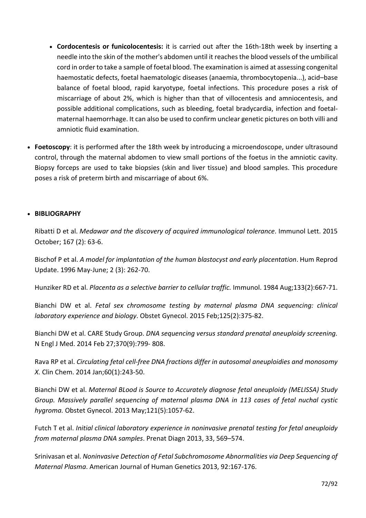- **[Cordocentesis](https://www.issalute.it/index.php/saluteaz-saz/c/283-cordocentesi-o-funicolocentesi) or funicolocentesis:** it is carried out after the 16th-18th week by inserting a needle into the skin of the mother's abdomen until it reaches the blood vessels of the umbilical cord in order to take a sample of foetal blood. The examination is aimed at assessing congenital haemostatic defects, foetal haematologic diseases (anaemia, thrombocytopenia...), acid–base balance of foetal blood, rapid karyotype, foetal infections. This procedure poses a risk of miscarriage of about 2%, which is higher than that of villocentesis and amniocentesis, and possible additional complications, such as bleeding, foetal bradycardia, infection and foetalmaternal haemorrhage. It can also be used to confirm unclear genetic pictures on both villi and amniotic fluid examination.
- **Foetoscopy**: it is performed after the 18th week by introducing a microendoscope, under ultrasound control, through the maternal abdomen to view small portions of the foetus in the amniotic cavity. Biopsy forceps are used to take biopsies (skin and liver tissue) and blood samples. This procedure poses a risk of preterm birth and miscarriage of about 6%.

## • **BIBLIOGRAPHY**

Ribatti D et al. *Medawar and the discovery of acquired immunological tolerance*. Immunol Lett. 2015 October; 167 (2): 63-6.

Bischof P et al. *A model for implantation of the human blastocyst and early placentation*. Hum Reprod Update. 1996 May-June; 2 (3): 262-70.

Hunziker RD et al. *Placenta as a selective barrier to cellular traffic.* Immunol. 1984 Aug;133(2):667-71.

Bianchi DW et al. *Fetal sex chromosome testing by maternal plasma DNA sequencing: clinical laboratory experience and biology*. Obstet Gynecol. 2015 Feb;125(2):375-82.

Bianchi DW et al. CARE Study Group. *DNA sequencing versus standard prenatal aneuploidy screening.*  N Engl J Med. 2014 Feb 27;370(9):799- 808.

Rava RP et al. *Circulating fetal cell-free DNA fractions differ in autosomal aneuploidies and monosomy X.* Clin Chem. 2014 Jan;60(1):243-50.

Bianchi DW et al. *Maternal BLood is Source to Accurately diagnose fetal aneuploidy (MELISSA) Study Group. Massively parallel sequencing of maternal plasma DNA in 113 cases of fetal nuchal cystic hygroma.* Obstet Gynecol. 2013 May;121(5):1057-62.

Futch T et al. *Initial clinical laboratory experience in noninvasive prenatal testing for fetal aneuploidy from maternal plasma DNA samples*. Prenat Diagn 2013, 33, 569–574.

Srinivasan et al. *Noninvasive Detection of Fetal Subchromosome Abnormalities via Deep Sequencing of Maternal Plasma*. American Journal of Human Genetics 2013, 92:167-176.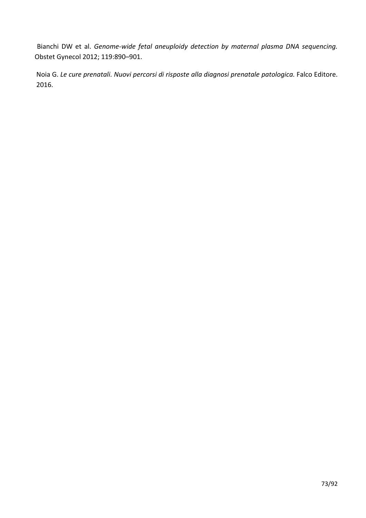Bianchi DW et al. *Genome-wide fetal aneuploidy detection by maternal plasma DNA sequencing.*  Obstet Gynecol 2012; 119:890–901.

Noia G. Le cure prenatali. Nuovi percorsi di risposte alla diagnosi prenatale patologica. Falco Editore. 2016.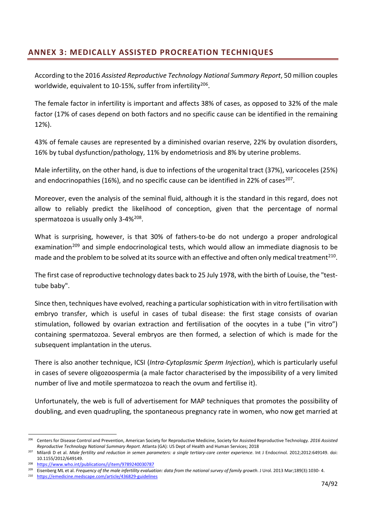# **ANNEX 3: MEDICALLY ASSISTED PROCREATION TECHNIQUES**

According to the 2016 *Assisted Reproductive Technology National Summary Report*, 50 million couples worldwide, equivalent to 10-15%, suffer from infertility<sup>206</sup>.

The female factor in infertility is important and affects 38% of cases, as opposed to 32% of the male factor (17% of cases depend on both factors and no specific cause can be identified in the remaining 12%).

43% of female causes are represented by a diminished ovarian reserve, 22% by ovulation disorders, 16% by tubal dysfunction/pathology, 11% by endometriosis and 8% by uterine problems.

Male infertility, on the other hand, is due to infections of the urogenital tract (37%), varicoceles (25%) and endocrinopathies (16%), and no specific cause can be identified in 22% of cases<sup>207</sup>.

Moreover, even the analysis of the seminal fluid, although it is the standard in this regard, does not allow to reliably predict the likelihood of conception, given that the percentage of normal spermatozoa is usually only 3-4%<sup>[208](#page-73-2)</sup>.

What is surprising, however, is that 30% of fathers-to-be do not undergo a proper andrological examination<sup>[209](#page-73-3)</sup> and simple endocrinological tests, which would allow an immediate diagnosis to be made and the problem to be solved at its source with an effective and often only medical treatment<sup>[210](#page-73-4)</sup>.

The first case of reproductive technology dates back to 25 July 1978, with the birth of Louise, the "testtube baby".

Since then, techniques have evolved, reaching a particular sophistication with in vitro fertilisation with embryo transfer, which is useful in cases of tubal disease: the first stage consists of ovarian stimulation, followed by ovarian extraction and fertilisation of the oocytes in a tube ("in vitro") containing spermatozoa. Several embryos are then formed, a selection of which is made for the subsequent implantation in the uterus.

There is also another technique, ICSI (*Intra-Cytoplasmic Sperm Injection*), which is particularly useful in cases of severe oligozoospermia (a male factor characterised by the impossibility of a very limited number of live and motile spermatozoa to reach the ovum and fertilise it).

Unfortunately, the web is full of advertisement for MAP techniques that promotes the possibility of doubling, and even quadrupling, the spontaneous pregnancy rate in women, who now get married at

<span id="page-73-0"></span><sup>206</sup> Centers for Disease Control and Prevention, American Society for Reproductive Medicine, Society for Assisted Reproductive Technology. *2016 Assisted Reproductive Technology National Summary Report*. Atlanta (GA): US Dept of Health and Human Services; 2018

<span id="page-73-1"></span><sup>207</sup> Milardi D et al. *Male fertility and reduction in semen parameters: a single tertiary-care center experience*. Int J Endocrinol. 2012;2012:649149. doi: 10.1155/2012/649149.

<span id="page-73-2"></span><sup>208</sup> <https://www.who.int/publications/i/item/9789240030787>

<span id="page-73-4"></span><span id="page-73-3"></span><sup>&</sup>lt;sup>209</sup> Eisenberg ML et al. *Frequency of the male infertility evaluation: data from the national survey of family growth*. J Urol. 2013 Mar;189(3):1030-4.

<https://emedicine.medscape.com/article/436829-guidelines>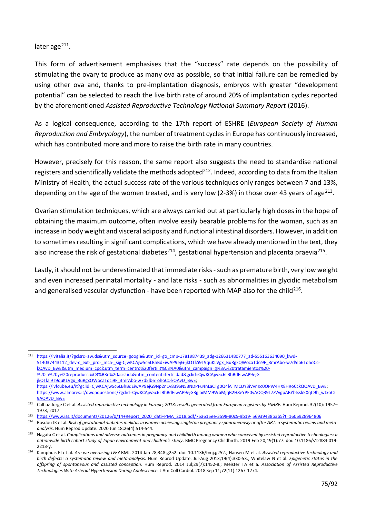later age $^{211}$  $^{211}$  $^{211}$ .

This form of advertisement emphasises that the "success" rate depends on the possibility of stimulating the ovary to produce as many ova as possible, so that initial failure can be remedied by using other ova and, thanks to pre-implantation diagnosis, embryos with greater "development potential" can be selected to reach the live birth rate of around 20% of implantation cycles reported by the aforementioned *Assisted Reproductive Technology National Summary Report* (2016).

As a logical consequence, according to the 17th report of ESHRE (*European Society of Human Reproduction and Embryology*), the number of treatment cycles in Europe has continuously increased, which has contributed more and more to raise the birth rate in many countries.

However, precisely for this reason, the same report also suggests the need to standardise national registers and scientifically validate the methods adopted<sup>212</sup>. Indeed, according to data from the Italian Ministry of Health, the actual success rate of the various techniques only ranges between 7 and 13%, depending on the age of the women treated, and is very low (2-3%) in those over 43 years of age<sup>[213](#page-74-2)</sup>.

Ovarian stimulation techniques, which are always carried out at particularly high doses in the hope of obtaining the maximum outcome, often involve easily bearable problems for the woman, such as an increase in body weight and visceral adiposity and functional intestinal disorders. However, in addition to sometimes resulting in significant complications, which we have already mentioned in the text, they also increase the risk of gestational diabetes<sup>214</sup>, gestational hypertension and placenta praevia<sup>[215](#page-74-4)</sup>.

Lastly, it should not be underestimated that immediate risks - such as premature birth, very low weight and even increased perinatal mortality - and late risks - such as abnormalities in glycidic metabolism and generalised vascular dysfunction - have been reported with MAP also for the child<sup>216</sup>.

<span id="page-74-0"></span>[https://ivitalia.it/?gclsrc=aw.ds&utm\\_source=google&utm\\_id=go\\_cmp-1781987439\\_adg-126631480777\\_ad-555163634090\\_kwd-](https://ivitalia.it/?gclsrc=aw.ds&utm_source=google&utm_id=go_cmp-1781987439_adg-126631480777_ad-555163634090_kwd-)[514037443112\\_dev-c\\_ext-\\_prd-\\_mca-\\_sig-CjwKCAjw5c6LBhBdEiwAP9ejG-jkOTlZi9T9quKLVgx\\_BuRgxQWocaTdci9F\\_3mrAbo-w7d5lb6TohoCc](https://ivitalia.it/?gclsrc=aw.ds&utm_source=google&utm_id=go_cmp-1781987439_adg-126631480777_ad-555163634090_kwd-514037443112_dev-c_ext-_prd-_mca-_sig-CjwKCAjw5c6LBhBdEiwAP9ejG-jkOTlZi9T9quKLVgx_BuRgxQWocaTdci9F_3mrAbo-w7d5lb6TohoCc-kQAvD_BwE&utm_medium=cpc&utm_term=centro%20fertilit%C3%A0&utm_campaign=g%3A%20tratamientos%20-%20ia%20y%20reproducci%C3%B3n%20asistida&utm_content=fertilidad&gclid=CjwKCAjw5c6LBhBdEiwAP9ejG-jkOTlZi9T9quKLVgx_BuRgxQWocaTdci9F_3mrAbo-w7d5lb6TohoCc-kQAvD_BwE)[kQAvD\\_BwE&utm\\_medium=cpc&utm\\_term=centro%20fertilit%C3%A0&utm\\_campaign=g%3A%20tratamientos%20-](https://ivitalia.it/?gclsrc=aw.ds&utm_source=google&utm_id=go_cmp-1781987439_adg-126631480777_ad-555163634090_kwd-514037443112_dev-c_ext-_prd-_mca-_sig-CjwKCAjw5c6LBhBdEiwAP9ejG-jkOTlZi9T9quKLVgx_BuRgxQWocaTdci9F_3mrAbo-w7d5lb6TohoCc-kQAvD_BwE&utm_medium=cpc&utm_term=centro%20fertilit%C3%A0&utm_campaign=g%3A%20tratamientos%20-%20ia%20y%20reproducci%C3%B3n%20asistida&utm_content=fertilidad&gclid=CjwKCAjw5c6LBhBdEiwAP9ejG-jkOTlZi9T9quKLVgx_BuRgxQWocaTdci9F_3mrAbo-w7d5lb6TohoCc-kQAvD_BwE) [%20ia%20y%20reproducci%C3%B3n%20asistida&utm\\_content=fertilidad&gclid=CjwKCAjw5c6LBhBdEiwAP9ejG](https://ivitalia.it/?gclsrc=aw.ds&utm_source=google&utm_id=go_cmp-1781987439_adg-126631480777_ad-555163634090_kwd-514037443112_dev-c_ext-_prd-_mca-_sig-CjwKCAjw5c6LBhBdEiwAP9ejG-jkOTlZi9T9quKLVgx_BuRgxQWocaTdci9F_3mrAbo-w7d5lb6TohoCc-kQAvD_BwE&utm_medium=cpc&utm_term=centro%20fertilit%C3%A0&utm_campaign=g%3A%20tratamientos%20-%20ia%20y%20reproducci%C3%B3n%20asistida&utm_content=fertilidad&gclid=CjwKCAjw5c6LBhBdEiwAP9ejG-jkOTlZi9T9quKLVgx_BuRgxQWocaTdci9F_3mrAbo-w7d5lb6TohoCc-kQAvD_BwE)[jkOTlZi9T9quKLVgx\\_BuRgxQWocaTdci9F\\_3mrAbo-w7d5lb6TohoCc-kQAvD\\_BwE;](https://ivitalia.it/?gclsrc=aw.ds&utm_source=google&utm_id=go_cmp-1781987439_adg-126631480777_ad-555163634090_kwd-514037443112_dev-c_ext-_prd-_mca-_sig-CjwKCAjw5c6LBhBdEiwAP9ejG-jkOTlZi9T9quKLVgx_BuRgxQWocaTdci9F_3mrAbo-w7d5lb6TohoCc-kQAvD_BwE&utm_medium=cpc&utm_term=centro%20fertilit%C3%A0&utm_campaign=g%3A%20tratamientos%20-%20ia%20y%20reproducci%C3%B3n%20asistida&utm_content=fertilidad&gclid=CjwKCAjw5c6LBhBdEiwAP9ejG-jkOTlZi9T9quKLVgx_BuRgxQWocaTdci9F_3mrAbo-w7d5lb6TohoCc-kQAvD_BwE) https://iv[fcube.eu/it?gclid=CjwKCAjw5c6LBhBdEiwAP9ejG9Np2n1v839SN53NDPFu4nLaCTg0Q4lATMCDY3iVvnKc0OPW4HX8HRoCckQQAvD\\_BwE;](https://ivf-cube.eu/it?gclid=CjwKCAjw5c6LBhBdEiwAP9ejG9Np2n1v839SN53NDPFu4nLaCTg0Q4lATMCDY3iVvnKc0OPW4HX8HRoCckQQAvD_BwE) https://www.almares.it/dwq[aquestions/?gclid=CjwKCAjw5c6LBhBdEiwAP9ejG3gloiMM9WbMjqB2H8eYPE0yAOQ39L7zVvgpABYbtssk5XqC9h\\_wtxoCz](https://www.almares.it/dwqa-questions/?gclid=CjwKCAjw5c6LBhBdEiwAP9ejG3gloiMM9WbMjqB2H8eYPE0yAOQ39L7zVvgpABYbtssk5XqC9h_wtxoCz9AQAvD_BwE) [9AQAvD\\_BwE](https://www.almares.it/dwqa-questions/?gclid=CjwKCAjw5c6LBhBdEiwAP9ejG3gloiMM9WbMjqB2H8eYPE0yAOQ39L7zVvgpABYbtssk5XqC9h_wtxoCz9AQAvD_BwE)

<span id="page-74-1"></span><sup>&</sup>lt;sup>212</sup> Calhaz-Jorge C et al. Assisted reproductive technology in Europe, 2013: results generated from European registers by ESHRE. Hum Reprod. 32(10): 1957– 1973, 2017

<span id="page-74-2"></span><sup>213</sup> [https://www.iss.it/documents/20126/0/14+Report\\_2020\\_dati+PMA\\_2018.pdf/75a615ee-3598-80c5-9b19-](https://www.iss.it/documents/20126/0/14+Report_2020_dati+PMA_2018.pdf/75a615ee-3598-80c5-9b19-) [56939438b3b5?t=1606928964806](https://www.iss.it/documents/20126/0/14%2BReport_2020_dati%2BPMA_2018.pdf/75a615ee-3598-80c5-9b19-56939438b3b5?t=1606928964806)

<span id="page-74-3"></span><sup>&</sup>lt;sup>214</sup> Bosdou JK et al. Risk of gestational diabetes mellitus in women achieving singleton pregnancy spontaneously or after ART: a systematic review and meta*analysis*. Hum Reprod Update. 2020 Jun 18;26(4):514-544.

<span id="page-74-4"></span><sup>&</sup>lt;sup>215</sup> Nagata C et al. *Complications and adverse outcomes in pregnancy and childbirth among women who conceived by assisted reproductive technologies: a nationwide birth cohort study of Japan environment and children's study*. BMC Pregnancy Childbirth. 2019 Feb 20;19(1):77. doi: 10.1186/s12884-019- 2213-y.

<span id="page-74-5"></span><sup>216</sup> Kamphuis EI et al. *Are we overusing IVF?* BMJ. 2014 Jan 28;348:g252. doi: 10.1136/bmj.g252.; Hansen M et al. *Assisted reproductive technology and birth defects: a systematic review and meta-analysis.* Hum Reprod Update. Jul-Aug 2013;19(4):330-53.; Whitelaw N et al. *Epigenetic status in the offspring of spontaneous and assisted conception.* Hum Reprod. 2014 Jul;29(7):1452-8.; Meister TA et a. *Association of Assisted Reproductive Technologies With Arterial Hypertension During Adolescence.* J Am Coll Cardiol. 2018 Sep 11;72(11):1267-1274.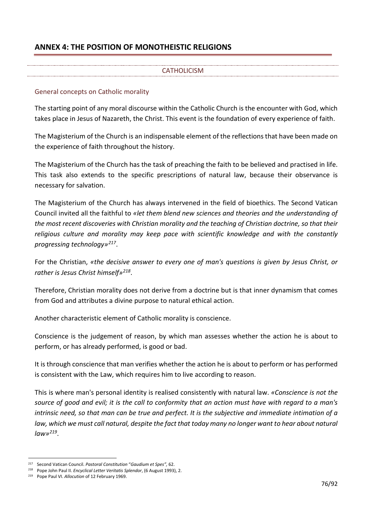## **ANNEX 4: THE POSITION OF MONOTHEISTIC RELIGIONS**

### **CATHOLICISM**

#### General concepts on Catholic morality

The starting point of any moral discourse within the Catholic Church is the encounter with God, which takes place in Jesus of Nazareth, the Christ. This event is the foundation of every experience of faith.

The Magisterium of the Church is an indispensable element of the reflections that have been made on the experience of faith throughout the history.

The Magisterium of the Church has the task of preaching the faith to be believed and practised in life. This task also extends to the specific prescriptions of natural law, because their observance is necessary for salvation.

The Magisterium of the Church has always intervened in the field of bioethics. The Second Vatican Council invited all the faithful to *«let them blend new sciences and theories and the understanding of the most recent discoveries with Christian morality and the teaching of Christian doctrine, so that their religious culture and morality may keep pace with scientific knowledge and with the constantly progressing technology»[217](#page-75-0)*.

For the Christian, *«the decisive answer to every one of man's questions is given by Jesus Christ, or rather is Jesus Christ himself»[218](#page-75-1)*.

Therefore, Christian morality does not derive from a doctrine but is that inner dynamism that comes from God and attributes a divine purpose to natural ethical action.

Another characteristic element of Catholic morality is conscience.

Conscience is the judgement of reason, by which man assesses whether the action he is about to perform, or has already performed, is good or bad.

It is through conscience that man verifies whether the action he is about to perform or has performed is consistent with the Law, which requires him to live according to reason.

This is where man's personal identity is realised consistently with natural law. *«Conscience is not the source of good and evil; it is the call to conformity that an action must have with regard to a man's intrinsic need, so that man can be true and perfect. It is the subjective and immediate intimation of a law, which we must call natural, despite the fact that today many no longer want to hear about natural law»[219](#page-75-2)*.

<span id="page-75-0"></span><sup>217</sup> Second Vatican Council. *Pastoral Constitution* "*Gaudium et Spes",* 62.

<span id="page-75-1"></span><sup>218</sup> Pope John Paul II. *Encyclical Letter Veritatis Splendor*, (6 August 1993), 2.

<span id="page-75-2"></span><sup>219</sup> Pope Paul VI. *Allocution* of 12 February 1969.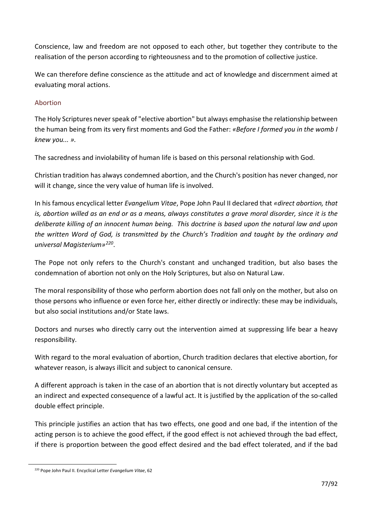Conscience, law and freedom are not opposed to each other, but together they contribute to the realisation of the person according to righteousness and to the promotion of collective justice.

We can therefore define conscience as the attitude and act of knowledge and discernment aimed at evaluating moral actions.

### Abortion

The Holy Scriptures never speak of "elective abortion" but always emphasise the relationship between the human being from its very first moments and God the Father: *«Before I formed you in the womb I knew you... ».*

The sacredness and inviolability of human life is based on this personal relationship with God.

Christian tradition has always condemned abortion, and the Church's position has never changed, nor will it change, since the very value of human life is involved.

In his famous encyclical letter *Evangelium Vitae*, Pope John Paul II declared that *«direct abortion, that is, abortion willed as an end or as a means, always constitutes a grave moral disorder, since it is the deliberate killing of an innocent human being. This doctrine is based upon the natural law and upon the written Word of God, is transmitted by the Church's Tradition and taught by the ordinary and universal Magisterium»[220](#page-76-0)*.

The Pope not only refers to the Church's constant and unchanged tradition, but also bases the condemnation of abortion not only on the Holy Scriptures, but also on Natural Law.

The moral responsibility of those who perform abortion does not fall only on the mother, but also on those persons who influence or even force her, either directly or indirectly: these may be individuals, but also social institutions and/or State laws.

Doctors and nurses who directly carry out the intervention aimed at suppressing life bear a heavy responsibility.

With regard to the moral evaluation of abortion, Church tradition declares that elective abortion, for whatever reason, is always illicit and subject to canonical censure.

A different approach is taken in the case of an abortion that is not directly voluntary but accepted as an indirect and expected consequence of a lawful act. It is justified by the application of the so-called double effect principle.

This principle justifies an action that has two effects, one good and one bad, if the intention of the acting person is to achieve the good effect, if the good effect is not achieved through the bad effect, if there is proportion between the good effect desired and the bad effect tolerated, and if the bad

<span id="page-76-0"></span><sup>220</sup> Pope John Paul II. Encyclical Letter *Evangelium Vitae*, 62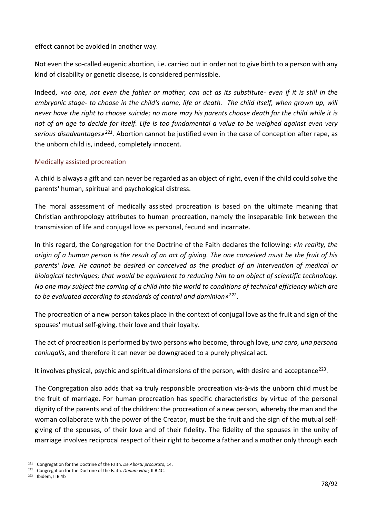effect cannot be avoided in another way.

Not even the so-called eugenic abortion, i.e. carried out in order not to give birth to a person with any kind of disability or genetic disease, is considered permissible.

Indeed, *«no one, not even the father or mother, can act as its substitute- even if it is still in the embryonic stage- to choose in the child's name, life or death. The child itself, when grown up, will never have the right to choose suicide; no more may his parents choose death for the child while it is not of an age to decide for itself. Life is too fundamental a value to be weighed against even very serious disadvantages»[221](#page-77-0).* Abortion cannot be justified even in the case of conception after rape, as the unborn child is, indeed, completely innocent.

### Medically assisted procreation

A child is always a gift and can never be regarded as an object of right, even if the child could solve the parents' human, spiritual and psychological distress.

The moral assessment of medically assisted procreation is based on the ultimate meaning that Christian anthropology attributes to human procreation, namely the inseparable link between the transmission of life and conjugal love as personal, fecund and incarnate.

In this regard, the Congregation for the Doctrine of the Faith declares the following: *«In reality, the origin of a human person is the result of an act of giving. The one conceived must be the fruit of his parents' love. He cannot be desired or conceived as the product of an intervention of medical or biological techniques; that would be equivalent to reducing him to an object of scientific technology. No one may subject the coming of a child into the world to conditions of technical efficiency which are to be evaluated according to standards of control and dominion»[222](#page-77-1)*.

The procreation of a new person takes place in the context of conjugal love as the fruit and sign of the spouses' mutual self-giving, their love and their loyalty.

The act of procreation is performed by two persons who become, through love, *una caro, una persona coniugalis*, and therefore it can never be downgraded to a purely physical act.

It involves physical, psychic and spiritual dimensions of the person, with desire and acceptance<sup>223</sup>.

The Congregation also adds that «a truly responsible procreation vis-à-vis the unborn child must be the fruit of marriage. For human procreation has specific characteristics by virtue of the personal dignity of the parents and of the children: the procreation of a new person, whereby the man and the woman collaborate with the power of the Creator, must be the fruit and the sign of the mutual selfgiving of the spouses, of their love and of their fidelity. The fidelity of the spouses in the unity of marriage involves reciprocal respect of their right to become a father and a mother only through each

<span id="page-77-0"></span><sup>221</sup> Congregation for the Doctrine of the Faith. *De Abortu procurato,* 14.

<span id="page-77-1"></span><sup>222</sup> Congregation for the Doctrine of the Faith. *Donum vitae,* II B 4C.

<span id="page-77-2"></span><sup>223</sup> Ibidem, II B 4b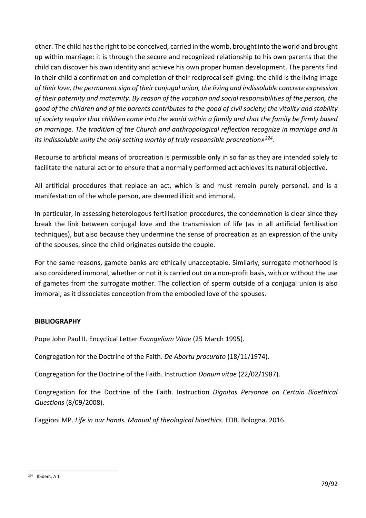other. The child has the right to be conceived, carried in the womb, brought into the world and brought up within marriage: it is through the secure and recognized relationship to his own parents that the child can discover his own identity and achieve his own proper human development. The parents find in their child a confirmation and completion of their reciprocal self-giving: the child is the living image *of their love, the permanent sign of their conjugal union, the living and indissoluble concrete expression of their paternity and maternity. By reason of the vocation and social responsibilities of the person, the good of the children and of the parents contributes to the good of civil society; the vitality and stability of society require that children come into the world within a family and that the family be firmly based on marriage. The tradition of the Church and anthropological reflection recognize in marriage and in its indissoluble unity the only setting worthy of truly responsible procreation»[224.](#page-78-0)*

Recourse to artificial means of procreation is permissible only in so far as they are intended solely to facilitate the natural act or to ensure that a normally performed act achieves its natural objective.

All artificial procedures that replace an act, which is and must remain purely personal, and is a manifestation of the whole person, are deemed illicit and immoral.

In particular, in assessing heterologous fertilisation procedures, the condemnation is clear since they break the link between conjugal love and the transmission of life (as in all artificial fertilisation techniques), but also because they undermine the sense of procreation as an expression of the unity of the spouses, since the child originates outside the couple.

For the same reasons, gamete banks are ethically unacceptable. Similarly, surrogate motherhood is also considered immoral, whether or not it is carried out on a non-profit basis, with or without the use of gametes from the surrogate mother. The collection of sperm outside of a conjugal union is also immoral, as it dissociates conception from the embodied love of the spouses.

### **BIBLIOGRAPHY**

Pope John Paul II. Encyclical Letter *Evangelium Vitae* (25 March 1995).

Congregation for the Doctrine of the Faith. *De Abortu procurato* (18/11/1974).

Congregation for the Doctrine of the Faith. Instruction *Donum vitae* (22/02/1987).

Congregation for the Doctrine of the Faith. Instruction *Dignitas Personae on Certain Bioethical Questions* (8/09/2008).

Faggioni MP. *Life in our hands. Manual of theological bioethics*. EDB. Bologna. 2016.

<span id="page-78-0"></span><sup>224</sup> Ibidem, A 1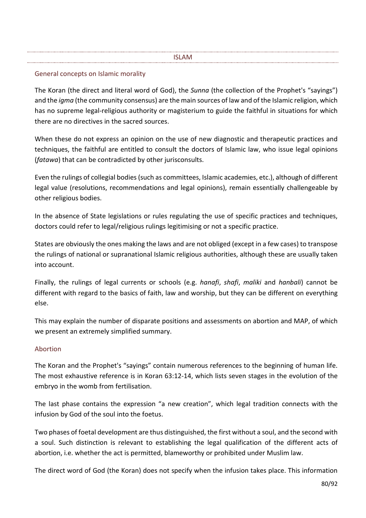#### ISLAM

### General concepts on Islamic morality

The Koran (the direct and literal word of God), the *Sunna* (the collection of the Prophet's "sayings") and the *igma* (the community consensus) are the main sources of law and of the Islamic religion, which has no supreme legal-religious authority or magisterium to guide the faithful in situations for which there are no directives in the sacred sources.

When these do not express an opinion on the use of new diagnostic and therapeutic practices and techniques, the faithful are entitled to consult the doctors of Islamic law, who issue legal opinions (*fatawa*) that can be contradicted by other jurisconsults.

Even the rulings of collegial bodies (such as committees, Islamic academies, etc.), although of different legal value (resolutions, recommendations and legal opinions), remain essentially challengeable by other religious bodies.

In the absence of State legislations or rules regulating the use of specific practices and techniques, doctors could refer to legal/religious rulings legitimising or not a specific practice.

States are obviously the ones making the laws and are not obliged (except in a few cases) to transpose the rulings of national or supranational Islamic religious authorities, although these are usually taken into account.

Finally, the rulings of legal currents or schools (e.g. *hanafi*, *shafi*, *maliki* and *hanbali*) cannot be different with regard to the basics of faith, law and worship, but they can be different on everything else.

This may explain the number of disparate positions and assessments on abortion and MAP, of which we present an extremely simplified summary.

### Abortion

The Koran and the Prophet's "sayings" contain numerous references to the beginning of human life. The most exhaustive reference is in Koran 63:12-14, which lists seven stages in the evolution of the embryo in the womb from fertilisation.

The last phase contains the expression "a new creation", which legal tradition connects with the infusion by God of the soul into the foetus.

Two phases of foetal development are thus distinguished, the first without a soul, and the second with a soul. Such distinction is relevant to establishing the legal qualification of the different acts of abortion, i.e. whether the act is permitted, blameworthy or prohibited under Muslim law.

The direct word of God (the Koran) does not specify when the infusion takes place. This information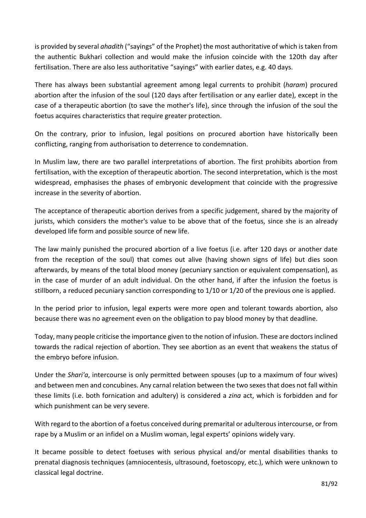is provided by several *ahadith* ("sayings" of the Prophet) the most authoritative of which is taken from the authentic Bukhari collection and would make the infusion coincide with the 120th day after fertilisation. There are also less authoritative "sayings" with earlier dates, e.g. 40 days.

There has always been substantial agreement among legal currents to prohibit (*haram*) procured abortion after the infusion of the soul (120 days after fertilisation or any earlier date), except in the case of a therapeutic abortion (to save the mother's life), since through the infusion of the soul the foetus acquires characteristics that require greater protection.

On the contrary, prior to infusion, legal positions on procured abortion have historically been conflicting, ranging from authorisation to deterrence to condemnation.

In Muslim law, there are two parallel interpretations of abortion. The first prohibits abortion from fertilisation, with the exception of therapeutic abortion. The second interpretation, which is the most widespread, emphasises the phases of embryonic development that coincide with the progressive increase in the severity of abortion.

The acceptance of therapeutic abortion derives from a specific judgement, shared by the majority of jurists, which considers the mother's value to be above that of the foetus, since she is an already developed life form and possible source of new life.

The law mainly punished the procured abortion of a live foetus (i.e. after 120 days or another date from the reception of the soul) that comes out alive (having shown signs of life) but dies soon afterwards, by means of the total blood money (pecuniary sanction or equivalent compensation), as in the case of murder of an adult individual. On the other hand, if after the infusion the foetus is stillborn, a reduced pecuniary sanction corresponding to 1/10 or 1/20 of the previous one is applied.

In the period prior to infusion, legal experts were more open and tolerant towards abortion, also because there was no agreement even on the obligation to pay blood money by that deadline.

Today, many people criticise the importance given to the notion of infusion. These are doctors inclined towards the radical rejection of abortion. They see abortion as an event that weakens the status of the embryo before infusion.

Under the *Shari'a*, intercourse is only permitted between spouses (up to a maximum of four wives) and between men and concubines. Any carnal relation between the two sexes that does not fall within these limits (i.e. both fornication and adultery) is considered a *zina* act, which is forbidden and for which punishment can be very severe.

With regard to the abortion of a foetus conceived during premarital or adulterous intercourse, or from rape by a Muslim or an infidel on a Muslim woman, legal experts' opinions widely vary.

It became possible to detect foetuses with serious physical and/or mental disabilities thanks to prenatal diagnosis techniques (amniocentesis, ultrasound, foetoscopy, etc.), which were unknown to classical legal doctrine.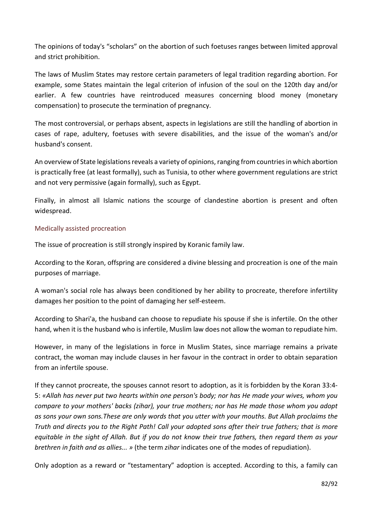The opinions of today's "scholars" on the abortion of such foetuses ranges between limited approval and strict prohibition.

The laws of Muslim States may restore certain parameters of legal tradition regarding abortion. For example, some States maintain the legal criterion of infusion of the soul on the 120th day and/or earlier. A few countries have reintroduced measures concerning blood money (monetary compensation) to prosecute the termination of pregnancy.

The most controversial, or perhaps absent, aspects in legislations are still the handling of abortion in cases of rape, adultery, foetuses with severe disabilities, and the issue of the woman's and/or husband's consent.

An overview of State legislations reveals a variety of opinions, ranging from countries in which abortion is practically free (at least formally), such as Tunisia, to other where government regulations are strict and not very permissive (again formally), such as Egypt.

Finally, in almost all Islamic nations the scourge of clandestine abortion is present and often widespread.

### Medically assisted procreation

The issue of procreation is still strongly inspired by Koranic family law.

According to the Koran, offspring are considered a divine blessing and procreation is one of the main purposes of marriage.

A woman's social role has always been conditioned by her ability to procreate, therefore infertility damages her position to the point of damaging her self-esteem.

According to Shari'a, the husband can choose to repudiate his spouse if she is infertile. On the other hand, when it is the husband who is infertile, Muslim law does not allow the woman to repudiate him.

However, in many of the legislations in force in Muslim States, since marriage remains a private contract, the woman may include clauses in her favour in the contract in order to obtain separation from an infertile spouse.

If they cannot procreate, the spouses cannot resort to adoption, as it is forbidden by the Koran 33:4- 5: *«Allah has never put two hearts within one person's body; nor has He made your wives, whom you compare to your mothers' backs (zihar), your true mothers; nor has He made those whom you adopt as sons your own sons.These are only words that you utter with your mouths. But Allah proclaims the Truth and directs you to the Right Path! Call your adopted sons after their true fathers; that is more equitable in the sight of Allah. But if you do not know their true fathers, then regard them as your brethren in faith and as allies... »* (the term *zihar* indicates one of the modes of repudiation).

Only adoption as a reward or "testamentary" adoption is accepted. According to this, a family can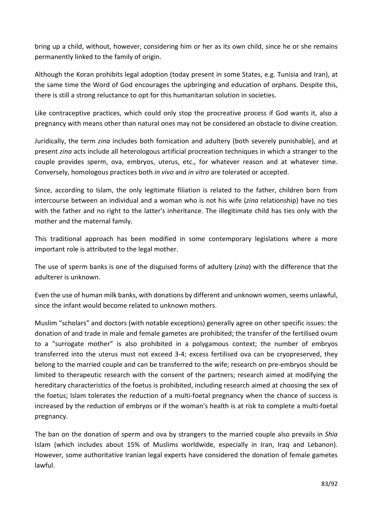bring up a child, without, however, considering him or her as its own child, since he or she remains permanently linked to the family of origin.

Although the Koran prohibits legal adoption (today present in some States, e.g. Tunisia and Iran), at the same time the Word of God encourages the upbringing and education of orphans. Despite this, there is still a strong reluctance to opt for this humanitarian solution in societies.

Like contraceptive practices, which could only stop the procreative process if God wants it, also a pregnancy with means other than natural ones may not be considered an obstacle to divine creation.

Juridically, the term *zina* includes both fornication and adultery (both severely punishable), and at present *zina* acts include all heterologous artificial procreation techniques in which a stranger to the couple provides sperm, ova, embryos, uterus, etc., for whatever reason and at whatever time. Conversely, homologous practices both *in vivo* and *in vitro* are tolerated or accepted.

Since, according to Islam, the only legitimate filiation is related to the father, children born from intercourse between an individual and a woman who is not his wife (*zina* relationship) have no ties with the father and no right to the latter's inheritance. The illegitimate child has ties only with the mother and the maternal family.

This traditional approach has been modified in some contemporary legislations where a more important role is attributed to the legal mother.

The use of sperm banks is one of the disguised forms of adultery (*zina*) with the difference that the adulterer is unknown.

Even the use of human milk banks, with donations by different and unknown women, seems unlawful, since the infant would become related to unknown mothers.

Muslim "scholars" and doctors (with notable exceptions) generally agree on other specific issues: the donation of and trade in male and female gametes are prohibited; the transfer of the fertilised ovum to a "surrogate mother" is also prohibited in a polygamous context; the number of embryos transferred into the uterus must not exceed 3-4; excess fertilised ova can be cryopreserved, they belong to the married couple and can be transferred to the wife; research on pre-embryos should be limited to therapeutic research with the consent of the partners; research aimed at modifying the hereditary characteristics of the foetus is prohibited, including research aimed at choosing the sex of the foetus; Islam tolerates the reduction of a multi-foetal pregnancy when the chance of success is increased by the reduction of embryos or if the woman's health is at risk to complete a multi-foetal pregnancy.

The ban on the donation of sperm and ova by strangers to the married couple also prevails in *Shia* Islam (which includes about 15% of Muslims worldwide, especially in Iran, Iraq and Lebanon). However, some authoritative Iranian legal experts have considered the donation of female gametes lawful.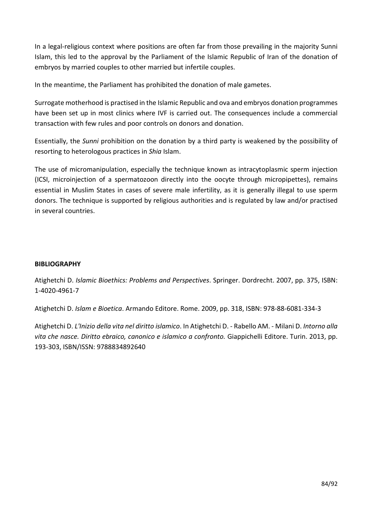In a legal-religious context where positions are often far from those prevailing in the majority Sunni Islam, this led to the approval by the Parliament of the Islamic Republic of Iran of the donation of embryos by married couples to other married but infertile couples.

In the meantime, the Parliament has prohibited the donation of male gametes.

Surrogate motherhood is practised in the Islamic Republic and ova and embryos donation programmes have been set up in most clinics where IVF is carried out. The consequences include a commercial transaction with few rules and poor controls on donors and donation.

Essentially, the *Sunni* prohibition on the donation by a third party is weakened by the possibility of resorting to heterologous practices in *Shia* Islam.

The use of micromanipulation, especially the technique known as intracytoplasmic sperm injection (ICSI, microinjection of a spermatozoon directly into the oocyte through micropipettes), remains essential in Muslim States in cases of severe male infertility, as it is generally illegal to use sperm donors. The technique is supported by religious authorities and is regulated by law and/or practised in several countries.

### **BIBLIOGRAPHY**

Atighetchi D. *Islamic Bioethics: Problems and Perspectives*. Springer. Dordrecht. 2007, pp. 375, ISBN: 1-4020-4961-7

Atighetchi D. *Islam e Bioetica*. Armando Editore. Rome. 2009, pp. 318, ISBN: 978-88-6081-334-3

Atighetchi D. *L'Inizio della vita nel diritto islamico*. In Atighetchi D. - Rabello AM. - Milani D. *Intorno alla vita che nasce. Diritto ebraico, canonico e islamico a confronto.* Giappichelli Editore. Turin. 2013, pp. 193-303, ISBN/ISSN: 9788834892640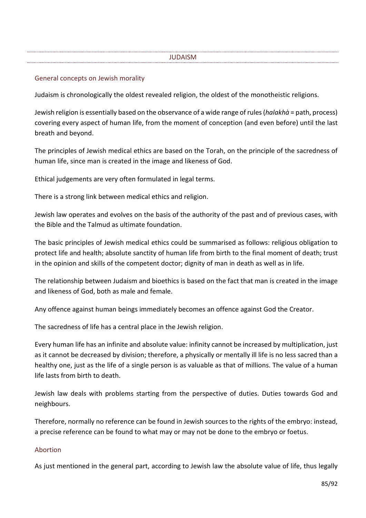#### JUDAISM

#### General concepts on Jewish morality

Judaism is chronologically the oldest revealed religion, the oldest of the monotheistic religions.

Jewish religion is essentially based on the observance of a wide range of rules (*halakhà* = path, process) covering every aspect of human life, from the moment of conception (and even before) until the last breath and beyond.

The principles of Jewish medical ethics are based on the Torah, on the principle of the sacredness of human life, since man is created in the image and likeness of God.

Ethical judgements are very often formulated in legal terms.

There is a strong link between medical ethics and religion.

Jewish law operates and evolves on the basis of the authority of the past and of previous cases, with the Bible and the Talmud as ultimate foundation.

The basic principles of Jewish medical ethics could be summarised as follows: religious obligation to protect life and health; absolute sanctity of human life from birth to the final moment of death; trust in the opinion and skills of the competent doctor; dignity of man in death as well as in life.

The relationship between Judaism and bioethics is based on the fact that man is created in the image and likeness of God, both as male and female.

Any offence against human beings immediately becomes an offence against God the Creator.

The sacredness of life has a central place in the Jewish religion.

Every human life has an infinite and absolute value: infinity cannot be increased by multiplication, just as it cannot be decreased by division; therefore, a physically or mentally ill life is no less sacred than a healthy one, just as the life of a single person is as valuable as that of millions. The value of a human life lasts from birth to death.

Jewish law deals with problems starting from the perspective of duties. Duties towards God and neighbours.

Therefore, normally no reference can be found in Jewish sources to the rights of the embryo: instead, a precise reference can be found to what may or may not be done to the embryo or foetus.

#### Abortion

As just mentioned in the general part, according to Jewish law the absolute value of life, thus legally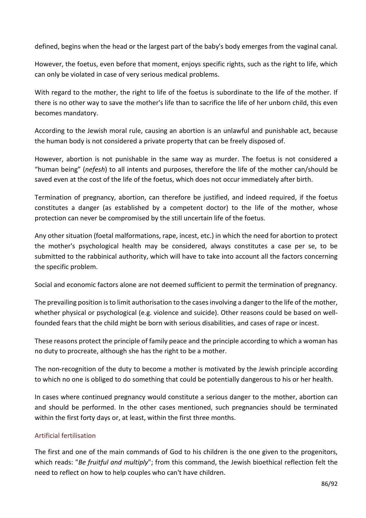defined, begins when the head or the largest part of the baby's body emerges from the vaginal canal.

However, the foetus, even before that moment, enjoys specific rights, such as the right to life, which can only be violated in case of very serious medical problems.

With regard to the mother, the right to life of the foetus is subordinate to the life of the mother. If there is no other way to save the mother's life than to sacrifice the life of her unborn child, this even becomes mandatory.

According to the Jewish moral rule, causing an abortion is an unlawful and punishable act, because the human body is not considered a private property that can be freely disposed of.

However, abortion is not punishable in the same way as murder. The foetus is not considered a "human being" (*nefesh*) to all intents and purposes, therefore the life of the mother can/should be saved even at the cost of the life of the foetus, which does not occur immediately after birth.

Termination of pregnancy, abortion, can therefore be justified, and indeed required, if the foetus constitutes a danger (as established by a competent doctor) to the life of the mother, whose protection can never be compromised by the still uncertain life of the foetus.

Any other situation (foetal malformations, rape, incest, etc.) in which the need for abortion to protect the mother's psychological health may be considered, always constitutes a case per se, to be submitted to the rabbinical authority, which will have to take into account all the factors concerning the specific problem.

Social and economic factors alone are not deemed sufficient to permit the termination of pregnancy.

The prevailing position is to limit authorisation to the cases involving a danger to the life of the mother, whether physical or psychological (e.g. violence and suicide). Other reasons could be based on wellfounded fears that the child might be born with serious disabilities, and cases of rape or incest.

These reasons protect the principle of family peace and the principle according to which a woman has no duty to procreate, although she has the right to be a mother.

The non-recognition of the duty to become a mother is motivated by the Jewish principle according to which no one is obliged to do something that could be potentially dangerous to his or her health.

In cases where continued pregnancy would constitute a serious danger to the mother, abortion can and should be performed. In the other cases mentioned, such pregnancies should be terminated within the first forty days or, at least, within the first three months.

### Artificial fertilisation

The first and one of the main commands of God to his children is the one given to the progenitors, which reads: "*Be fruitful and multiply*"; from this command, the Jewish bioethical reflection felt the need to reflect on how to help couples who can't have children.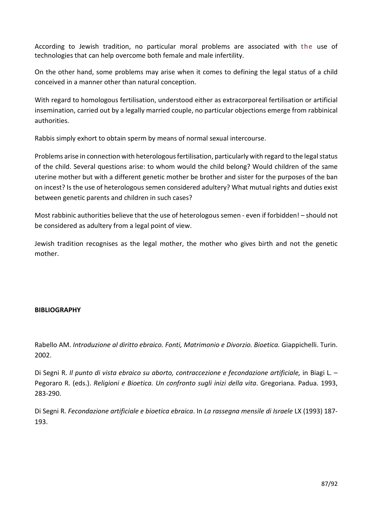According to Jewish tradition, no particular moral problems are associated with the use of technologies that can help overcome both female and male infertility.

On the other hand, some problems may arise when it comes to defining the legal status of a child conceived in a manner other than natural conception.

With regard to homologous fertilisation, understood either as extracorporeal fertilisation or artificial insemination, carried out by a legally married couple, no particular objections emerge from rabbinical authorities.

Rabbis simply exhort to obtain sperm by means of normal sexual intercourse.

Problems arise in connection with heterologous fertilisation, particularly with regard to the legal status of the child. Several questions arise: to whom would the child belong? Would children of the same uterine mother but with a different genetic mother be brother and sister for the purposes of the ban on incest? Is the use of heterologous semen considered adultery? What mutual rights and duties exist between genetic parents and children in such cases?

Most rabbinic authorities believe that the use of heterologous semen - even if forbidden! – should not be considered as adultery from a legal point of view.

Jewish tradition recognises as the legal mother, the mother who gives birth and not the genetic mother.

### **BIBLIOGRAPHY**

Rabello AM. *Introduzione al diritto ebraico. Fonti, Matrimonio e Divorzio. Bioetica.* Giappichelli. Turin. 2002.

Di Segni R. *Il punto di vista ebraico su aborto, contraccezione e fecondazione artificiale,* in Biagi L. – Pegoraro R. (eds.). *Religioni e Bioetica. Un confronto sugli inizi della vita*. Gregoriana. Padua. 1993, 283-290.

Di Segni R. *Fecondazione artificiale e bioetica ebraica*. In *La rassegna mensile di Israele* LX (1993) 187- 193.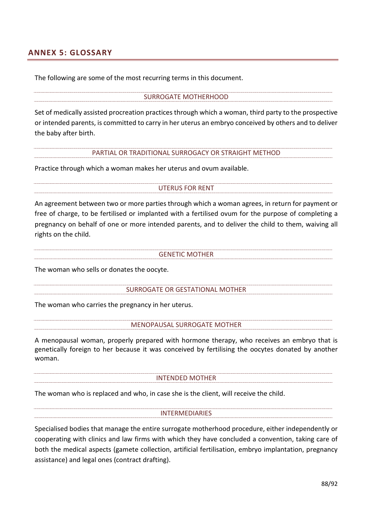## **ANNEX 5: GLOSSARY**

The following are some of the most recurring terms in this document.

#### SURROGATE MOTHERHOOD

Set of medically assisted procreation practices through which a woman, third party to the prospective or intended parents, is committed to carry in her uterus an embryo conceived by others and to deliver the baby after birth.

#### PARTIAL OR TRADITIONAL SURROGACY OR STRAIGHT METHOD

Practice through which a woman makes her uterus and ovum available.

#### UTERUS FOR RENT

An agreement between two or more parties through which a woman agrees, in return for payment or free of charge, to be fertilised or implanted with a fertilised ovum for the purpose of completing a pregnancy on behalf of one or more intended parents, and to deliver the child to them, waiving all rights on the child.

GENETIC MOTHER

The woman who sells or donates the oocyte.

SURROGATE OR GESTATIONAL MOTHER

The woman who carries the pregnancy in her uterus.

MENOPAUSAL SURROGATE MOTHER

A menopausal woman, properly prepared with hormone therapy, who receives an embryo that is genetically foreign to her because it was conceived by fertilising the oocytes donated by another woman.

INTENDED MOTHER

The woman who is replaced and who, in case she is the client, will receive the child.

#### **INTERMEDIARIES**

Specialised bodies that manage the entire surrogate motherhood procedure, either independently or cooperating with clinics and law firms with which they have concluded a convention, taking care of both the medical aspects (gamete collection, artificial fertilisation, embryo implantation, pregnancy assistance) and legal ones (contract drafting).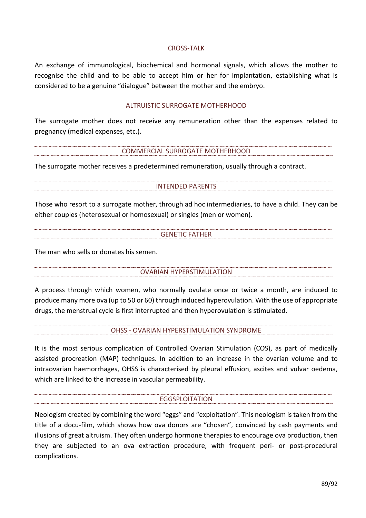#### CROSS-TALK

An exchange of immunological, biochemical and hormonal signals, which allows the mother to recognise the child and to be able to accept him or her for implantation, establishing what is considered to be a genuine "dialogue" between the mother and the embryo.

#### ALTRUISTIC SURROGATE MOTHERHOOD

The surrogate mother does not receive any remuneration other than the expenses related to pregnancy (medical expenses, etc.).

#### COMMERCIAL SURROGATE MOTHERHOOD

The surrogate mother receives a predetermined remuneration, usually through a contract.

INTENDED PARENTS

Those who resort to a surrogate mother, through ad hoc intermediaries, to have a child. They can be either couples (heterosexual or homosexual) or singles (men or women).

#### GENETIC FATHER

The man who sells or donates his semen.

#### OVARIAN HYPERSTIMULATION

A process through which women, who normally ovulate once or twice a month, are induced to produce many more ova (up to 50 or 60) through induced hyperovulation. With the use of appropriate drugs, the menstrual cycle is first interrupted and then hyperovulation is stimulated.

OHSS - OVARIAN HYPERSTIMULATION SYNDROME

It [is](https://www.fondazioneserono.org/glossario/complicanza/) the most serious complication of Controlled Ovarian Stimulation (COS), as part of [medically](https://www.fondazioneserono.org/glossario/procreazione-medicalmente-assistita/)  [assisted procreation \(MAP\)](https://www.fondazioneserono.org/glossario/procreazione-medicalmente-assistita/) techniques. In addition to an increase in the [ovarian](https://www.fondazioneserono.org/glossario/ovaie/) volume and to intraovarian haemorrhages, OHSS is characterised by pleural effusion, ascites and vulvar oedema, which are linked to the increase in vascular permeability.

#### EGGSPLOITATION

Neologism created by combining the word "eggs" and "exploitation". This neologism is taken from the title of a docu-film, which shows how ova donors are "chosen", convinced by cash payments and illusions of great altruism. They often undergo hormone therapies to encourage ova production, then they are subjected to an ova extraction procedure, with frequent peri- or post-procedural complications.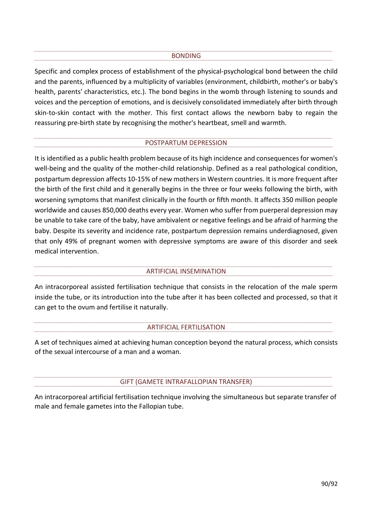#### BONDING

Specific and complex process of establishment of the physical-psychological bond between the child and the parents, influenced by a multiplicity of variables (environment, childbirth, mother's or baby's health, parents' characteristics, etc.). The bond begins in the womb through listening to sounds and voices and the perception of emotions, and is decisively consolidated immediately after birth through skin-to-skin contact with the mother. This first contact allows the newborn baby to regain the reassuring pre-birth state by recognising the mother's heartbeat, smell and warmth.

#### POSTPARTUM DEPRESSION

It is identified as a public health problem because of its high incidence and consequences for women's well-being and the quality of the mother-child relationship. Defined as a real pathological condition, postpartum depression affects 10-15% of new mothers in Western countries. It is more frequent after the birth of the first child and it generally begins in the three or four weeks following the birth, with worsening symptoms that manifest clinically in the fourth or fifth month. It affects 350 million people worldwide and causes 850,000 deaths every year. Women who suffer from puerperal depression may be unable to take care of the baby, have ambivalent or negative feelings and be afraid of harming the baby. Despite its severity and incidence rate, postpartum depression remains underdiagnosed, given that only 49% of pregnant women with depressive symptoms are aware of this disorder and seek medical intervention.

#### ARTIFICIAL INSEMINATION

An intracorporeal assisted fertilisation technique that consists in the relocation of the male sperm inside the tube, or its introduction into the tube after it has been collected and processed, so that it can get to the ovum and fertilise it naturally.

#### ARTIFICIAL FERTILISATION

A set of techniques aimed at achieving human conception beyond the natural process, which consists of the sexual intercourse of a man and a woman.

#### GIFT (GAMETE INTRAFALLOPIAN TRANSFER)

An intracorporeal artificial fertilisation technique involving the simultaneous but separate transfer of male and female gametes into the Fallopian tube.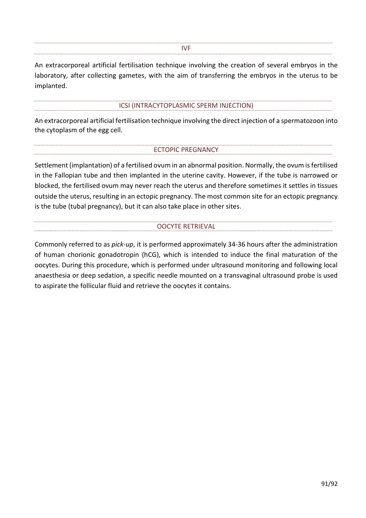#### IVF

An extracorporeal artificial fertilisation technique involving the creation of several embryos in the laboratory, after collecting gametes, with the aim of transferring the embryos in the uterus to be implanted.

#### ICSI (INTRACYTOPLASMIC SPERM INJECTION)

An extracorporeal artificial fertilisation technique involving the direct injection of a spermatozoon into the cytoplasm of the egg cell.

#### ECTOPIC PREGNANCY

Settlement (implantation) of a fertilised ovum in an abnormal position. Normally, the ovum is fertilised in the Fallopian tube and then implanted in the uterine cavity. However, if the tube is narrowed or blocked, the fertilised ovum may never reach the uterus and therefore sometimes it settles in tissues outside the uterus, resulting in an ectopic pregnancy. The most common site for an ectopic pregnancy is the tube (tubal pregnancy), but it can also take place in other sites.

#### OOCYTE RETRIEVAL

Commonly referred to as *pick-up*, it is performed approximately 34-36 hours after the administration of human chorionic gonadotropin (hCG), which is intended to induce the final maturation of the oocytes. During this procedure, which is performed under ultrasound monitoring and following local anaesthesia or deep sedation, a specific needle mounted on a transvaginal ultrasound probe is used to aspirate the follicular fluid and retrieve the oocytes it contains.